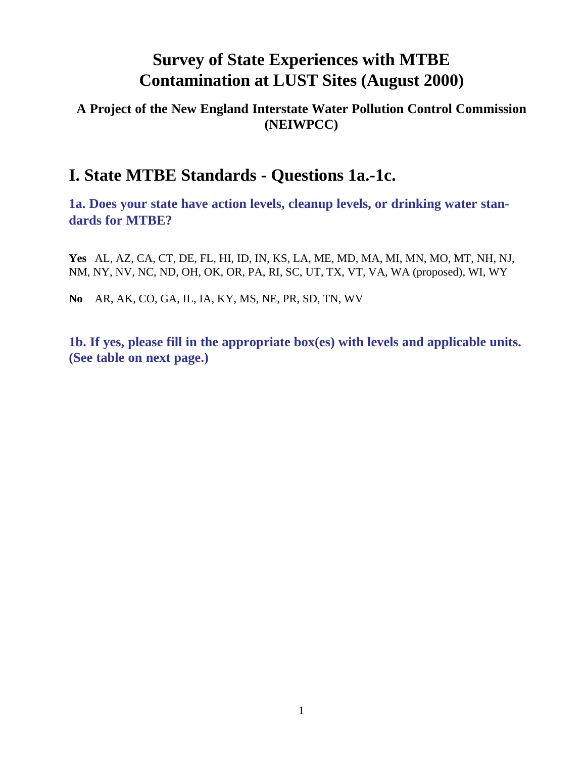### **A Project of the New England Interstate Water Pollution Control Commission (NEIWPCC)**

## **I. State MTBE Standards - Questions 1a.-1c.**

**1a. Does your state have action levels, cleanup levels, or drinking water standards for MTBE?**

**Yes** AL, AZ, CA, CT, DE, FL, HI, ID, IN, KS, LA, ME, MD, MA, MI, MN, MO, MT, NH, NJ, NM, NY, NV, NC, ND, OH, OK, OR, PA, RI, SC, UT, TX, VT, VA, WA (proposed), WI, WY

**No** AR, AK, CO, GA, IL, IA, KY, MS, NE, PR, SD, TN, WV

**1b. If yes, please fill in the appropriate box(es) with levels and applicable units. (See table on next page.)**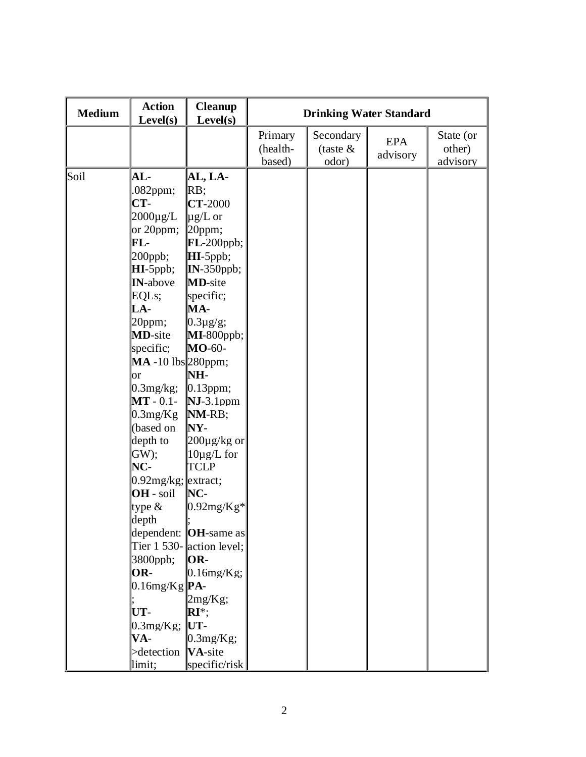| <b>Medium</b> | <b>Action</b><br>Level(s)                                                                                                                                                                                                                                                                                                                                                                                                                                                 | <b>Cleanup</b><br>Level(s)                                                                                                                                                                                                                                                                                                                                                                                                                                                                                     | <b>Drinking Water Standard</b> |                                  |                        |                                 |
|---------------|---------------------------------------------------------------------------------------------------------------------------------------------------------------------------------------------------------------------------------------------------------------------------------------------------------------------------------------------------------------------------------------------------------------------------------------------------------------------------|----------------------------------------------------------------------------------------------------------------------------------------------------------------------------------------------------------------------------------------------------------------------------------------------------------------------------------------------------------------------------------------------------------------------------------------------------------------------------------------------------------------|--------------------------------|----------------------------------|------------------------|---------------------------------|
|               |                                                                                                                                                                                                                                                                                                                                                                                                                                                                           |                                                                                                                                                                                                                                                                                                                                                                                                                                                                                                                | Primary<br>(health-<br>based)  | Secondary<br>(taste $&$<br>odor) | <b>EPA</b><br>advisory | State (or<br>other)<br>advisory |
| Soil          | $AL-$<br>$.082$ ppm;<br>$CT-$<br>$2000 \mu g/L$<br>or $20$ ppm;<br>$FL-$<br>$200$ ppb;<br>$HI$ -5ppb;<br><b>IN-above</b><br>EQLs;<br>$LA-$<br>20ppm;<br><b>MD</b> -site<br>specific;<br>$MA -10$ lbs 280ppm;<br>$\alpha$<br>$0.3$ mg/ $kg;$<br>$MT - 0.1 -$<br>0.3mg/Kg<br>(based on<br>depth to<br>GW);<br>NC-<br>$0.92$ mg/kg; extract;<br>OH - soil<br>type $\&$<br>depth<br>3800ppb;<br>OR-<br>$0.16$ mg/Kg $\mathbf{PA}$ -<br>UT-<br>$0.3 \text{mg/Kg}$ ; UT-<br>VA- | AL, LA-<br>RB;<br><b>CT-2000</b><br>$\mu$ g/L or<br>20ppm;<br>$FL-200$ ppb;<br>$\mathbf{H}$ I-5ppb;<br>$IN-350$ ppb;<br><b>MD</b> -site<br>specific;<br>MA-<br>$0.3\mu$ g/g;<br>$MI-800$ ppb;<br><b>MO-60-</b><br>NH-<br>$[0.13$ ppm;<br>$NJ-3.1$ ppm<br>NM-RB;<br>NY-<br>$200 \mu$ g/kg or<br>$10\mu g/L$ for<br><b>TCLP</b><br>$NC-$<br>$0.92mg/Kg*$<br>dependent: $ OH$ -same as<br>Tier 1 530- $\alpha$ action level;<br>$OR-$<br>$0.16$ mg/Kg;<br>$2mg/Kg$ ;<br>$\mathbf{R} \mathbf{I}^*$<br>$0.3mg/Kg$ ; |                                |                                  |                        |                                 |
|               | $\triangleright$ detection $\mathbf{VA}\text{-site}$<br>limit;                                                                                                                                                                                                                                                                                                                                                                                                            | specific/risk                                                                                                                                                                                                                                                                                                                                                                                                                                                                                                  |                                |                                  |                        |                                 |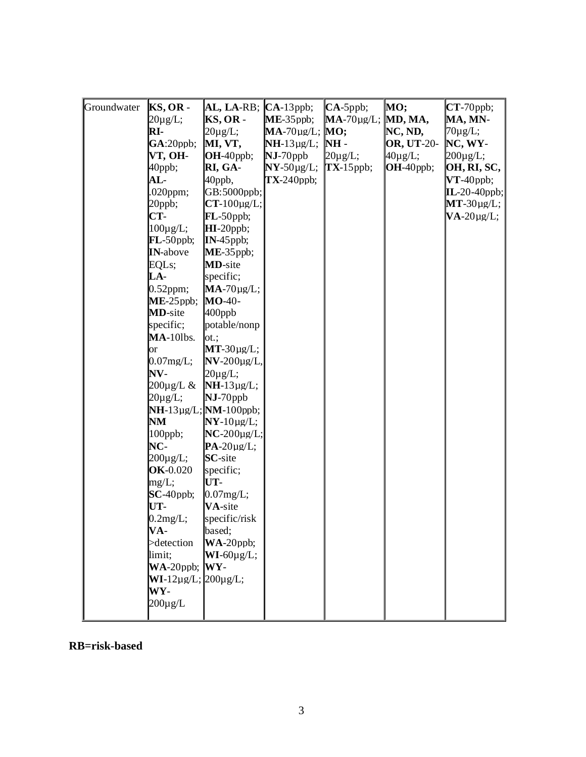| Groundwater | $KS$ , OR -<br>$20\mu$ g/L;<br>RI-<br>GA:20ppb;<br>VT, OH-<br>40ppb;<br>$AL-$<br>$.020$ ppm;<br>20ppb;<br>CT-<br>$100\mu$ g/L;<br>$FL-50$ ppb;<br><b>IN-above</b><br>EQL <sub>s</sub> ;<br>LA-<br>$0.52$ ppm;<br>$ME-25$ ppb;<br><b>MD</b> -site<br>specific;<br>$MA-10$ lbs.<br><b>or</b><br>$0.07$ mg/L;<br>NV-<br>$200 \mu$ g/L $\&$<br>$20\mu$ g/L;<br>NM<br>100ppb;<br>NC-<br>$200 \mu g/L;$<br><b>OK-0.020</b><br>mg/L;<br>$SC-40$ ppb;<br>UT-<br>0.2mg/L;<br>$VA-$<br>>detection | AL, LA-RB; $ $<br>$KS, OR -$<br>$20\mu$ g/L;<br>MI, VT,<br>OH-40ppb;<br>RI, GA-<br>40ppb,<br>$GB:5000$ ppb;<br>$CT-100\mu g/L;$<br>$FL-50$ ppb;<br>$HI-20$ ppb;<br>$IN-45$ ppb;<br>$ME-35$ ppb;<br><b>MD-site</b><br>specific;<br>$MA-70\mu g/L;$<br><b>MO-40-</b><br>$400$ ppb<br>potable/nonp<br>$\mathsf{lot}$ :<br>$MT-30\mu g/L;$<br>$NV-200\mu g/L$<br>$20\mu$ g/L;<br>$NH-13\mu g/L;$<br>$NJ-70$ ppb<br>$NH-13\mu g/L;$ NM-100ppb;<br>$NY-10\mu g/L;$<br>$NC-200\mu g/L;$<br>$PA-20\mu g/L;$<br><b>SC</b> -site<br>specific;<br>UT-<br>$0.07$ mg/L;<br>VA-site<br>specific/risk<br>based;<br>$WA-20$ ppb; | $CA-13$ ppb;<br>$ME-35$ ppb;<br>$MA-70\mu g/L$ ; $MO$ ;<br>$NH-13\mu g/L;$<br>$NJ-70$ ppb<br>$NY-50\mu g/L;$<br>$TX-240$ ppb; | $CA-5$ ppb;<br>$MA-70\mu g/L$ ; MD, MA,<br>$NH -$<br>$20\mu$ g/L;<br>$TX-15$ ppb; | MO;<br>NC, ND,<br><b>OR, UT-20-</b><br>$40\mu$ g/L;<br>$OH-40$ ppb; | $CT-70$ ppb;<br>MA, MN-<br>$70\mu$ g/L;<br>$NC, WY-$<br>$200 \mu g/L;$<br>OH, RI, SC,<br>$VT-40$ ppb;<br>$\text{IL-20-40ppb};$<br>$MT-30\mu g/L;$<br>$VA-20\mu g/L;$ |
|-------------|-----------------------------------------------------------------------------------------------------------------------------------------------------------------------------------------------------------------------------------------------------------------------------------------------------------------------------------------------------------------------------------------------------------------------------------------------------------------------------------------|------------------------------------------------------------------------------------------------------------------------------------------------------------------------------------------------------------------------------------------------------------------------------------------------------------------------------------------------------------------------------------------------------------------------------------------------------------------------------------------------------------------------------------------------------------------------------------------------------------------|-------------------------------------------------------------------------------------------------------------------------------|-----------------------------------------------------------------------------------|---------------------------------------------------------------------|----------------------------------------------------------------------------------------------------------------------------------------------------------------------|
|             | limit;<br>$WA-20$ ppb; $WY-$<br>$WI-12\mu g/L; [200\mu g/L;$<br>$WY-$<br>$200 \mu g/L$                                                                                                                                                                                                                                                                                                                                                                                                  | $WI-60\mu g/L;$                                                                                                                                                                                                                                                                                                                                                                                                                                                                                                                                                                                                  |                                                                                                                               |                                                                                   |                                                                     |                                                                                                                                                                      |

#### **RB=risk-based**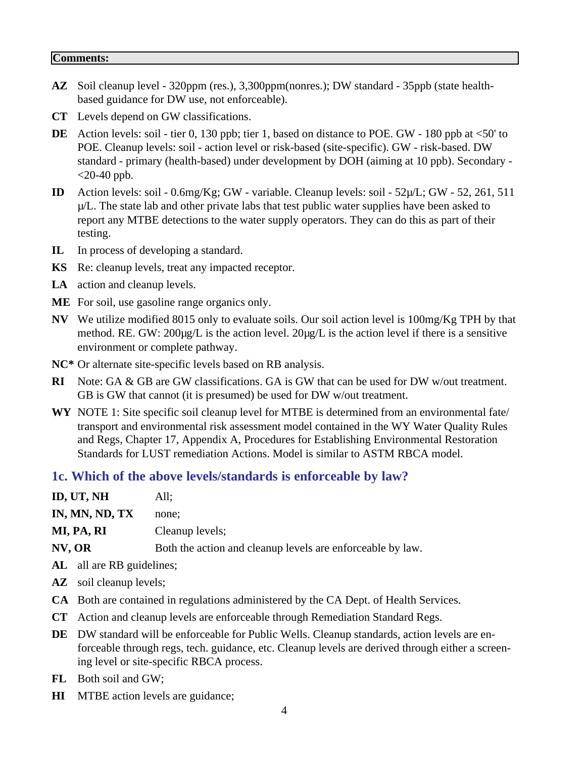#### **Comments:**

- **AZ** Soil cleanup level 320ppm (res.), 3,300ppm(nonres.); DW standard 35ppb (state healthbased guidance for DW use, not enforceable).
- **CT** Levels depend on GW classifications.
- **DE** Action levels: soil tier 0, 130 ppb; tier 1, based on distance to POE. GW 180 ppb at <50' to POE. Cleanup levels: soil - action level or risk-based (site-specific). GW - risk-based. DW standard - primary (health-based) under development by DOH (aiming at 10 ppb). Secondary -  $<$ 20-40 ppb.
- **ID** Action levels: soil 0.6mg/Kg; GW variable. Cleanup levels: soil 52µ/L; GW 52, 261, 511  $\mu/L$ . The state lab and other private labs that test public water supplies have been asked to report any MTBE detections to the water supply operators. They can do this as part of their testing.
- **IL** In process of developing a standard.
- **KS** Re: cleanup levels, treat any impacted receptor.
- **LA** action and cleanup levels.
- **ME** For soil, use gasoline range organics only.
- **NV** We utilize modified 8015 only to evaluate soils. Our soil action level is 100mg/Kg TPH by that method. RE. GW: 200µg/L is the action level. 20µg/L is the action level if there is a sensitive environment or complete pathway.
- **NC\*** Or alternate site-specific levels based on RB analysis.
- **RI** Note: GA & GB are GW classifications. GA is GW that can be used for DW w/out treatment. GB is GW that cannot (it is presumed) be used for DW w/out treatment.
- **WY** NOTE 1: Site specific soil cleanup level for MTBE is determined from an environmental fate/ transport and environmental risk assessment model contained in the WY Water Quality Rules and Regs, Chapter 17, Appendix A, Procedures for Establishing Environmental Restoration Standards for LUST remediation Actions. Model is similar to ASTM RBCA model.

#### **1c. Which of the above levels/standards is enforceable by law?**

| ID, UT, NH     | All:                                                       |
|----------------|------------------------------------------------------------|
| IN, MN, ND, TX | none:                                                      |
| MI, PA, RI     | Cleanup levels;                                            |
| NV, OR         | Both the action and cleanup levels are enforceable by law. |
|                |                                                            |

- AL all are RB guidelines;
- AZ soil cleanup levels;
- **CA** Both are contained in regulations administered by the CA Dept. of Health Services.
- **CT** Action and cleanup levels are enforceable through Remediation Standard Regs.
- **DE** DW standard will be enforceable for Public Wells. Cleanup standards, action levels are enforceable through regs, tech. guidance, etc. Cleanup levels are derived through either a screening level or site-specific RBCA process.
- **FL** Both soil and GW;
- **HI** MTBE action levels are guidance;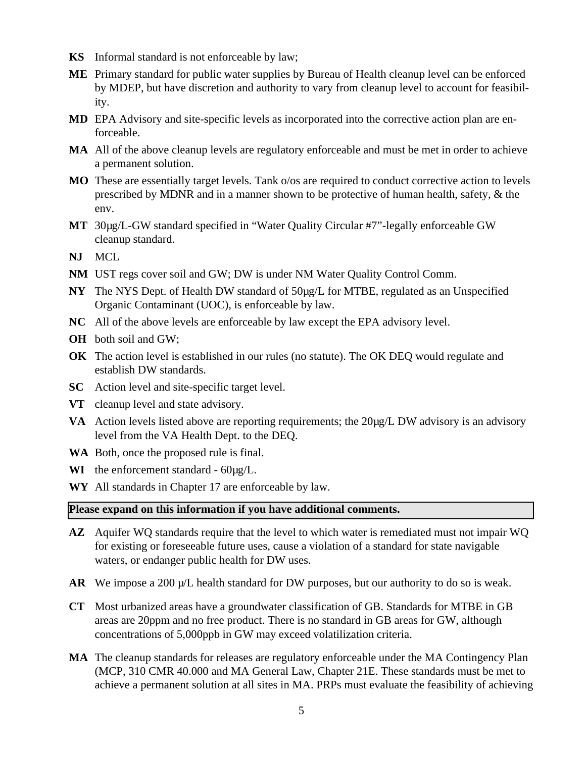- **KS** Informal standard is not enforceable by law;
- **ME** Primary standard for public water supplies by Bureau of Health cleanup level can be enforced by MDEP, but have discretion and authority to vary from cleanup level to account for feasibility.
- **MD** EPA Advisory and site-specific levels as incorporated into the corrective action plan are enforceable.
- **MA** All of the above cleanup levels are regulatory enforceable and must be met in order to achieve a permanent solution.
- **MO** These are essentially target levels. Tank o/os are required to conduct corrective action to levels prescribed by MDNR and in a manner shown to be protective of human health, safety, & the env.
- **MT** 30µg/L-GW standard specified in "Water Quality Circular #7"-legally enforceable GW cleanup standard.
- **NJ** MCL
- **NM** UST regs cover soil and GW; DW is under NM Water Quality Control Comm.
- **NY** The NYS Dept. of Health DW standard of 50µg/L for MTBE, regulated as an Unspecified Organic Contaminant (UOC), is enforceable by law.
- **NC** All of the above levels are enforceable by law except the EPA advisory level.
- **OH** both soil and GW;
- **OK** The action level is established in our rules (no statute). The OK DEQ would regulate and establish DW standards.
- **SC** Action level and site-specific target level.
- **VT** cleanup level and state advisory.
- **VA** Action levels listed above are reporting requirements; the 20µg/L DW advisory is an advisory level from the VA Health Dept. to the DEQ.
- **WA** Both, once the proposed rule is final.
- **WI** the enforcement standard 60µg/L.
- **WY** All standards in Chapter 17 are enforceable by law.

#### **Please expand on this information if you have additional comments.**

- **AZ** Aquifer WQ standards require that the level to which water is remediated must not impair WQ for existing or foreseeable future uses, cause a violation of a standard for state navigable waters, or endanger public health for DW uses.
- AR We impose a 200  $\mu$ /L health standard for DW purposes, but our authority to do so is weak.
- **CT** Most urbanized areas have a groundwater classification of GB. Standards for MTBE in GB areas are 20ppm and no free product. There is no standard in GB areas for GW, although concentrations of 5,000ppb in GW may exceed volatilization criteria.
- **MA** The cleanup standards for releases are regulatory enforceable under the MA Contingency Plan (MCP, 310 CMR 40.000 and MA General Law, Chapter 21E. These standards must be met to achieve a permanent solution at all sites in MA. PRPs must evaluate the feasibility of achieving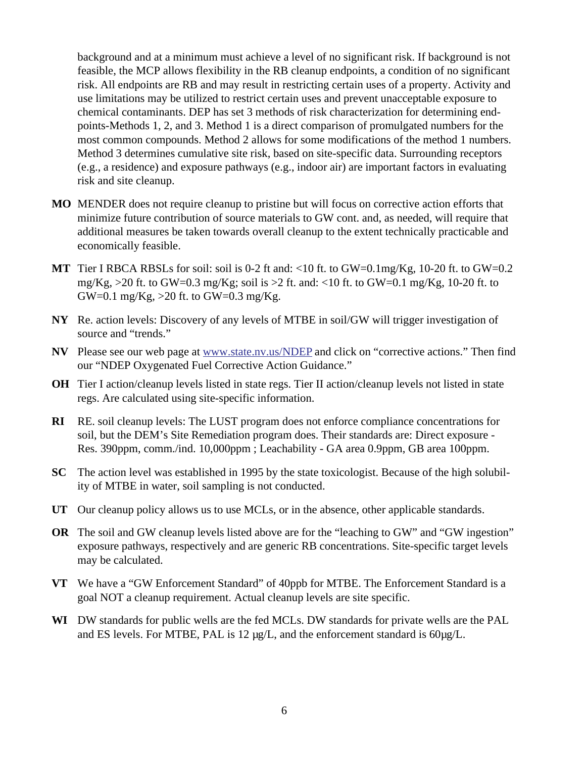background and at a minimum must achieve a level of no significant risk. If background is not feasible, the MCP allows flexibility in the RB cleanup endpoints, a condition of no significant risk. All endpoints are RB and may result in restricting certain uses of a property. Activity and use limitations may be utilized to restrict certain uses and prevent unacceptable exposure to chemical contaminants. DEP has set 3 methods of risk characterization for determining endpoints-Methods 1, 2, and 3. Method 1 is a direct comparison of promulgated numbers for the most common compounds. Method 2 allows for some modifications of the method 1 numbers. Method 3 determines cumulative site risk, based on site-specific data. Surrounding receptors (e.g., a residence) and exposure pathways (e.g., indoor air) are important factors in evaluating risk and site cleanup.

- **MO** MENDER does not require cleanup to pristine but will focus on corrective action efforts that minimize future contribution of source materials to GW cont. and, as needed, will require that additional measures be taken towards overall cleanup to the extent technically practicable and economically feasible.
- **MT** Tier I RBCA RBSLs for soil: soil is 0-2 ft and: <10 ft. to GW=0.1mg/Kg, 10-20 ft. to GW=0.2 mg/Kg,  $>$ 20 ft. to GW=0.3 mg/Kg; soil is  $>$ 2 ft. and: <10 ft. to GW=0.1 mg/Kg, 10-20 ft. to GW=0.1 mg/Kg,  $>$ 20 ft. to GW=0.3 mg/Kg.
- **NY** Re. action levels: Discovery of any levels of MTBE in soil/GW will trigger investigation of source and "trends."
- **NV** Please see our web page at www.state.nv.us/NDEP and click on "corrective actions." Then find our "NDEP Oxygenated Fuel Corrective Action Guidance."
- **OH** Tier I action/cleanup levels listed in state regs. Tier II action/cleanup levels not listed in state regs. Are calculated using site-specific information.
- **RI** RE. soil cleanup levels: The LUST program does not enforce compliance concentrations for soil, but the DEM's Site Remediation program does. Their standards are: Direct exposure - Res. 390ppm, comm./ind. 10,000ppm ; Leachability - GA area 0.9ppm, GB area 100ppm.
- **SC** The action level was established in 1995 by the state toxicologist. Because of the high solubility of MTBE in water, soil sampling is not conducted.
- **UT** Our cleanup policy allows us to use MCLs, or in the absence, other applicable standards.
- **OR** The soil and GW cleanup levels listed above are for the "leaching to GW" and "GW ingestion" exposure pathways, respectively and are generic RB concentrations. Site-specific target levels may be calculated.
- **VT** We have a "GW Enforcement Standard" of 40ppb for MTBE. The Enforcement Standard is a goal NOT a cleanup requirement. Actual cleanup levels are site specific.
- **WI** DW standards for public wells are the fed MCLs. DW standards for private wells are the PAL and ES levels. For MTBE, PAL is 12  $\mu$ g/L, and the enforcement standard is 60 $\mu$ g/L.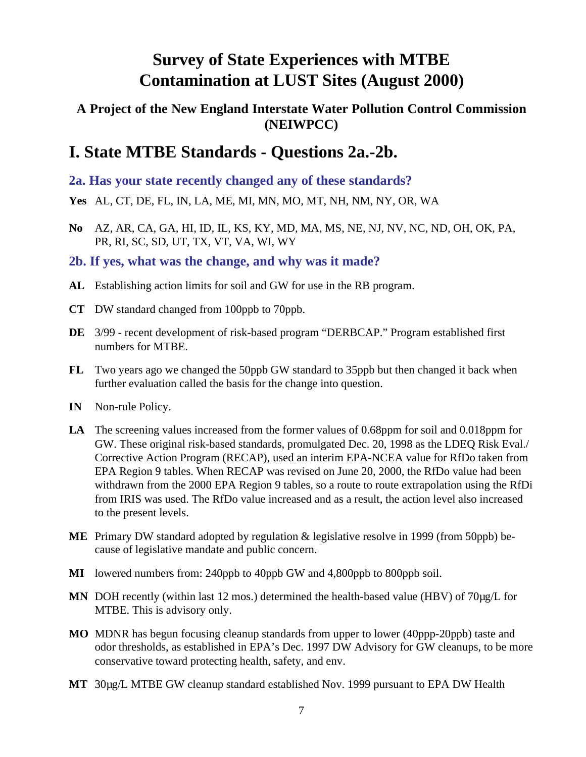### **A Project of the New England Interstate Water Pollution Control Commission (NEIWPCC)**

## **I. State MTBE Standards - Questions 2a.-2b.**

**2a. Has your state recently changed any of these standards?**

- **Yes** AL, CT, DE, FL, IN, LA, ME, MI, MN, MO, MT, NH, NM, NY, OR, WA
- **No** AZ, AR, CA, GA, HI, ID, IL, KS, KY, MD, MA, MS, NE, NJ, NV, NC, ND, OH, OK, PA, PR, RI, SC, SD, UT, TX, VT, VA, WI, WY

### **2b. If yes, what was the change, and why was it made?**

- **AL** Establishing action limits for soil and GW for use in the RB program.
- **CT** DW standard changed from 100ppb to 70ppb.
- **DE** 3/99 recent development of risk-based program "DERBCAP." Program established first numbers for MTBE.
- **FL** Two years ago we changed the 50ppb GW standard to 35ppb but then changed it back when further evaluation called the basis for the change into question.
- **IN** Non-rule Policy.
- **LA** The screening values increased from the former values of 0.68ppm for soil and 0.018ppm for GW. These original risk-based standards, promulgated Dec. 20, 1998 as the LDEQ Risk Eval./ Corrective Action Program (RECAP), used an interim EPA-NCEA value for RfDo taken from EPA Region 9 tables. When RECAP was revised on June 20, 2000, the RfDo value had been withdrawn from the 2000 EPA Region 9 tables, so a route to route extrapolation using the RfDi from IRIS was used. The RfDo value increased and as a result, the action level also increased to the present levels.
- **ME** Primary DW standard adopted by regulation & legislative resolve in 1999 (from 50ppb) because of legislative mandate and public concern.
- **MI** lowered numbers from: 240ppb to 40ppb GW and 4,800ppb to 800ppb soil.
- MN DOH recently (within last 12 mos.) determined the health-based value (HBV) of 70µg/L for MTBE. This is advisory only.
- **MO** MDNR has begun focusing cleanup standards from upper to lower (40ppp-20ppb) taste and odor thresholds, as established in EPA's Dec. 1997 DW Advisory for GW cleanups, to be more conservative toward protecting health, safety, and env.
- **MT** 30µg/L MTBE GW cleanup standard established Nov. 1999 pursuant to EPA DW Health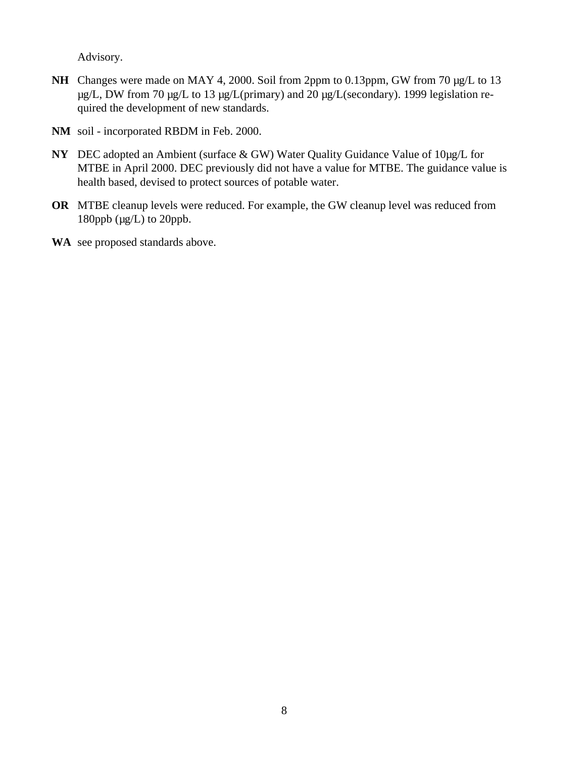Advisory.

- NH Changes were made on MAY 4, 2000. Soil from 2ppm to 0.13ppm, GW from 70  $\mu$ g/L to 13 µg/L, DW from 70 µg/L to 13 µg/L(primary) and 20 µg/L(secondary). 1999 legislation required the development of new standards.
- **NM** soil incorporated RBDM in Feb. 2000.
- **NY** DEC adopted an Ambient (surface & GW) Water Quality Guidance Value of 10µg/L for MTBE in April 2000. DEC previously did not have a value for MTBE. The guidance value is health based, devised to protect sources of potable water.
- **OR** MTBE cleanup levels were reduced. For example, the GW cleanup level was reduced from 180ppb (µg/L) to 20ppb.
- **WA** see proposed standards above.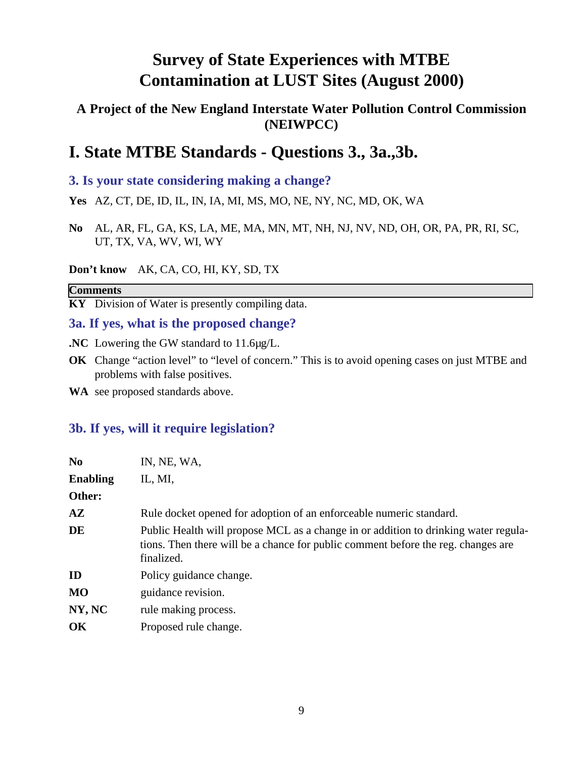### **A Project of the New England Interstate Water Pollution Control Commission (NEIWPCC)**

## **I. State MTBE Standards - Questions 3., 3a.,3b.**

### **3. Is your state considering making a change?**

**Yes** AZ, CT, DE, ID, IL, IN, IA, MI, MS, MO, NE, NY, NC, MD, OK, WA

**No** AL, AR, FL, GA, KS, LA, ME, MA, MN, MT, NH, NJ, NV, ND, OH, OR, PA, PR, RI, SC, UT, TX, VA, WV, WI, WY

#### **Don't know** AK, CA, CO, HI, KY, SD, TX

#### **Comments**

**KY** Division of Water is presently compiling data.

#### **3a. If yes, what is the proposed change?**

- **.NC** Lowering the GW standard to 11.6µg/L.
- **OK** Change "action level" to "level of concern." This is to avoid opening cases on just MTBE and problems with false positives.
- **WA** see proposed standards above.

### **3b. If yes, will it require legislation?**

| IN, NE, WA,                                                                                                                                                                            |
|----------------------------------------------------------------------------------------------------------------------------------------------------------------------------------------|
| IL, MI,                                                                                                                                                                                |
|                                                                                                                                                                                        |
| Rule docket opened for adoption of an enforceable numeric standard.                                                                                                                    |
| Public Health will propose MCL as a change in or addition to drinking water regula-<br>tions. Then there will be a chance for public comment before the reg. changes are<br>finalized. |
| Policy guidance change.                                                                                                                                                                |
| guidance revision.                                                                                                                                                                     |
| rule making process.                                                                                                                                                                   |
| Proposed rule change.                                                                                                                                                                  |
|                                                                                                                                                                                        |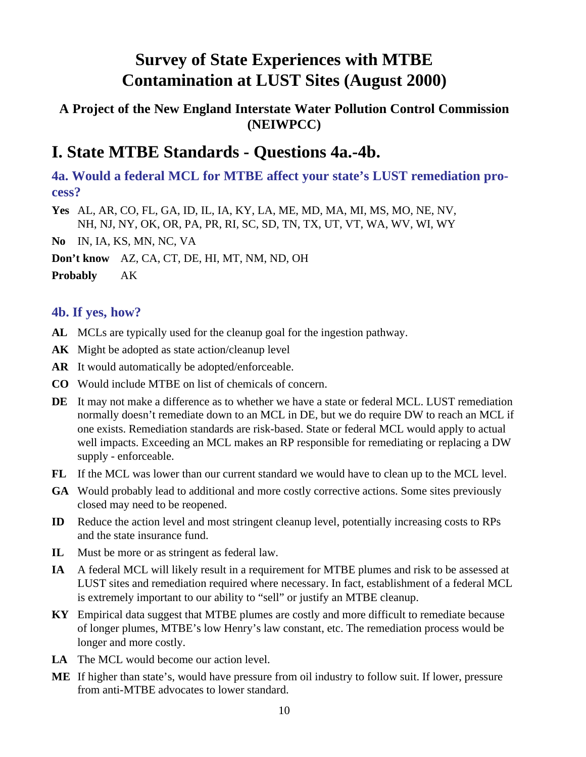### **A Project of the New England Interstate Water Pollution Control Commission (NEIWPCC)**

## **I. State MTBE Standards - Questions 4a.-4b.**

**4a. Would a federal MCL for MTBE affect your state's LUST remediation process?**

**Yes** AL, AR, CO, FL, GA, ID, IL, IA, KY, LA, ME, MD, MA, MI, MS, MO, NE, NV, NH, NJ, NY, OK, OR, PA, PR, RI, SC, SD, TN, TX, UT, VT, WA, WV, WI, WY

**No** IN, IA, KS, MN, NC, VA

**Don't know** AZ, CA, CT, DE, HI, MT, NM, ND, OH

**Probably** AK

### **4b. If yes, how?**

- **AL** MCLs are typically used for the cleanup goal for the ingestion pathway.
- **AK** Might be adopted as state action/cleanup level
- **AR** It would automatically be adopted/enforceable.
- **CO** Would include MTBE on list of chemicals of concern.
- **DE** It may not make a difference as to whether we have a state or federal MCL. LUST remediation normally doesn't remediate down to an MCL in DE, but we do require DW to reach an MCL if one exists. Remediation standards are risk-based. State or federal MCL would apply to actual well impacts. Exceeding an MCL makes an RP responsible for remediating or replacing a DW supply - enforceable.
- **FL** If the MCL was lower than our current standard we would have to clean up to the MCL level.
- **GA** Would probably lead to additional and more costly corrective actions. Some sites previously closed may need to be reopened.
- **ID** Reduce the action level and most stringent cleanup level, potentially increasing costs to RPs and the state insurance fund.
- **IL** Must be more or as stringent as federal law.
- **IA** A federal MCL will likely result in a requirement for MTBE plumes and risk to be assessed at LUST sites and remediation required where necessary. In fact, establishment of a federal MCL is extremely important to our ability to "sell" or justify an MTBE cleanup.
- **KY** Empirical data suggest that MTBE plumes are costly and more difficult to remediate because of longer plumes, MTBE's low Henry's law constant, etc. The remediation process would be longer and more costly.
- **LA** The MCL would become our action level.
- **ME** If higher than state's, would have pressure from oil industry to follow suit. If lower, pressure from anti-MTBE advocates to lower standard.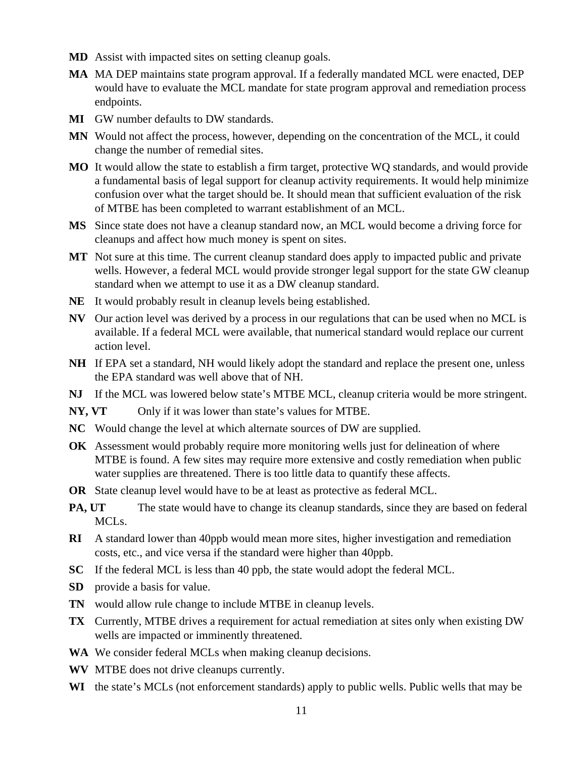- **MD** Assist with impacted sites on setting cleanup goals.
- **MA** MA DEP maintains state program approval. If a federally mandated MCL were enacted, DEP would have to evaluate the MCL mandate for state program approval and remediation process endpoints.
- **MI** GW number defaults to DW standards.
- **MN** Would not affect the process, however, depending on the concentration of the MCL, it could change the number of remedial sites.
- **MO** It would allow the state to establish a firm target, protective WQ standards, and would provide a fundamental basis of legal support for cleanup activity requirements. It would help minimize confusion over what the target should be. It should mean that sufficient evaluation of the risk of MTBE has been completed to warrant establishment of an MCL.
- **MS** Since state does not have a cleanup standard now, an MCL would become a driving force for cleanups and affect how much money is spent on sites.
- **MT** Not sure at this time. The current cleanup standard does apply to impacted public and private wells. However, a federal MCL would provide stronger legal support for the state GW cleanup standard when we attempt to use it as a DW cleanup standard.
- **NE** It would probably result in cleanup levels being established.
- **NV** Our action level was derived by a process in our regulations that can be used when no MCL is available. If a federal MCL were available, that numerical standard would replace our current action level.
- **NH** If EPA set a standard, NH would likely adopt the standard and replace the present one, unless the EPA standard was well above that of NH.
- **NJ** If the MCL was lowered below state's MTBE MCL, cleanup criteria would be more stringent.
- NY, VT Only if it was lower than state's values for MTBE.
- **NC** Would change the level at which alternate sources of DW are supplied.
- **OK** Assessment would probably require more monitoring wells just for delineation of where MTBE is found. A few sites may require more extensive and costly remediation when public water supplies are threatened. There is too little data to quantify these affects.
- **OR** State cleanup level would have to be at least as protective as federal MCL.
- **PA, UT** The state would have to change its cleanup standards, since they are based on federal MCLs.
- **RI** A standard lower than 40ppb would mean more sites, higher investigation and remediation costs, etc., and vice versa if the standard were higher than 40ppb.
- **SC** If the federal MCL is less than 40 ppb, the state would adopt the federal MCL.
- **SD** provide a basis for value.
- **TN** would allow rule change to include MTBE in cleanup levels.
- **TX** Currently, MTBE drives a requirement for actual remediation at sites only when existing DW wells are impacted or imminently threatened.
- **WA** We consider federal MCLs when making cleanup decisions.
- **WV** MTBE does not drive cleanups currently.
- **WI** the state's MCLs (not enforcement standards) apply to public wells. Public wells that may be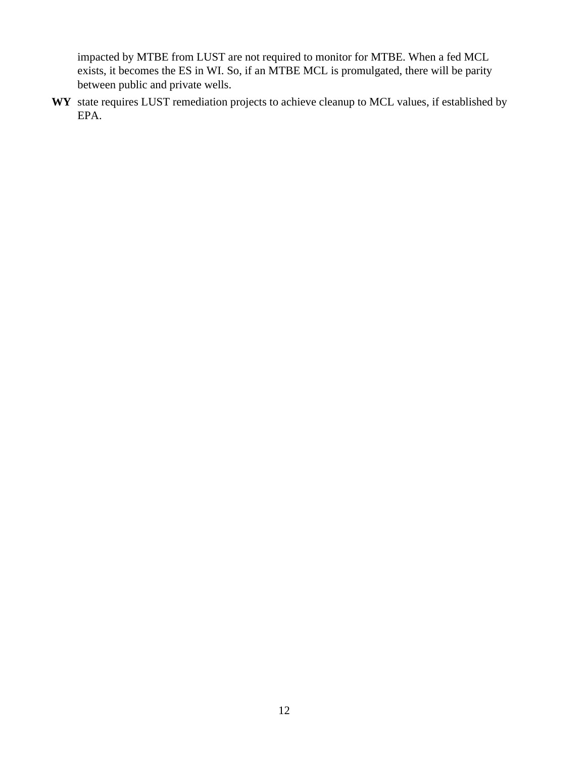impacted by MTBE from LUST are not required to monitor for MTBE. When a fed MCL exists, it becomes the ES in WI. So, if an MTBE MCL is promulgated, there will be parity between public and private wells.

**WY** state requires LUST remediation projects to achieve cleanup to MCL values, if established by EPA.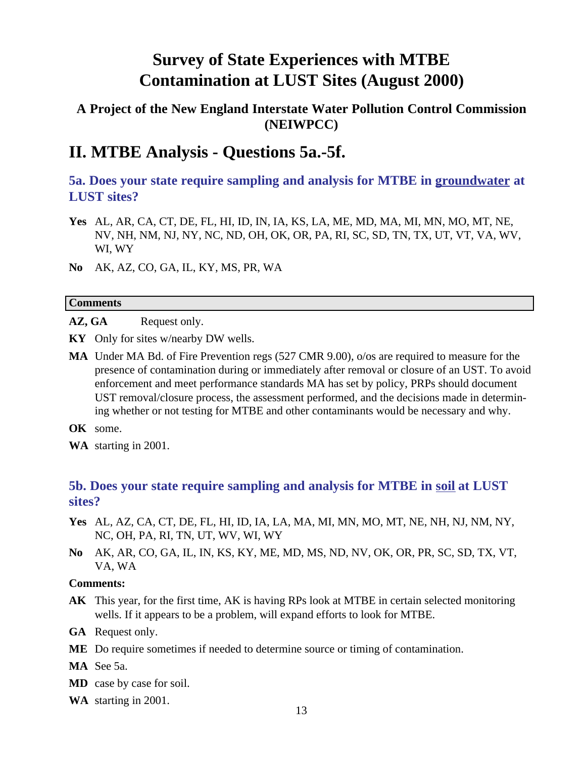### **A Project of the New England Interstate Water Pollution Control Commission (NEIWPCC)**

## **II. MTBE Analysis - Questions 5a.-5f.**

**5a. Does your state require sampling and analysis for MTBE in groundwater at LUST sites?**

- **Yes** AL, AR, CA, CT, DE, FL, HI, ID, IN, IA, KS, LA, ME, MD, MA, MI, MN, MO, MT, NE, NV, NH, NM, NJ, NY, NC, ND, OH, OK, OR, PA, RI, SC, SD, TN, TX, UT, VT, VA, WV, WI, WY
- **No** AK, AZ, CO, GA, IL, KY, MS, PR, WA

#### **Comments**

AZ, GA Request only.

- **KY** Only for sites w/nearby DW wells.
- **MA** Under MA Bd. of Fire Prevention regs (527 CMR 9.00), o/os are required to measure for the presence of contamination during or immediately after removal or closure of an UST. To avoid enforcement and meet performance standards MA has set by policy, PRPs should document UST removal/closure process, the assessment performed, and the decisions made in determining whether or not testing for MTBE and other contaminants would be necessary and why.
- **OK** some.
- **WA** starting in 2001.

### **5b. Does your state require sampling and analysis for MTBE in soil at LUST sites?**

- **Yes** AL, AZ, CA, CT, DE, FL, HI, ID, IA, LA, MA, MI, MN, MO, MT, NE, NH, NJ, NM, NY, NC, OH, PA, RI, TN, UT, WV, WI, WY
- **No** AK, AR, CO, GA, IL, IN, KS, KY, ME, MD, MS, ND, NV, OK, OR, PR, SC, SD, TX, VT, VA, WA

#### **Comments:**

**AK** This year, for the first time, AK is having RPs look at MTBE in certain selected monitoring wells. If it appears to be a problem, will expand efforts to look for MTBE.

**GA** Request only.

- **ME** Do require sometimes if needed to determine source or timing of contamination.
- **MA** See 5a.
- **MD** case by case for soil.
- **WA** starting in 2001.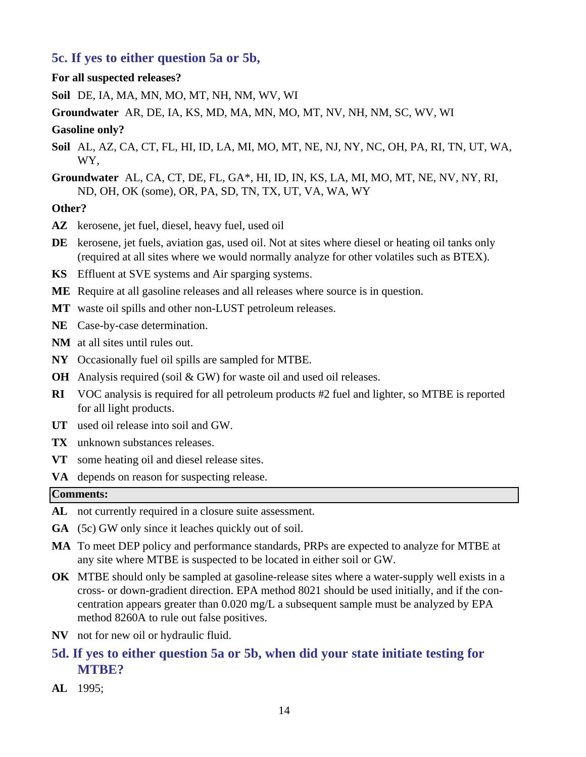#### **5c. If yes to either question 5a or 5b,**

#### **For all suspected releases?**

**Soil** DE, IA, MA, MN, MO, MT, NH, NM, WV, WI

**Groundwater** AR, DE, IA, KS, MD, MA, MN, MO, MT, NV, NH, NM, SC, WV, WI

#### **Gasoline only?**

- **Soil** AL, AZ, CA, CT, FL, HI, ID, LA, MI, MO, MT, NE, NJ, NY, NC, OH, PA, RI, TN, UT, WA, WY,
- **Groundwater** AL, CA, CT, DE, FL, GA\*, HI, ID, IN, KS, LA, MI, MO, MT, NE, NV, NY, RI, ND, OH, OK (some), OR, PA, SD, TN, TX, UT, VA, WA, WY

#### **Other?**

- **AZ** kerosene, jet fuel, diesel, heavy fuel, used oil
- **DE** kerosene, jet fuels, aviation gas, used oil. Not at sites where diesel or heating oil tanks only (required at all sites where we would normally analyze for other volatiles such as BTEX).
- **KS** Effluent at SVE systems and Air sparging systems.
- **ME** Require at all gasoline releases and all releases where source is in question.
- **MT** waste oil spills and other non-LUST petroleum releases.
- **NE** Case-by-case determination.
- **NM** at all sites until rules out.
- **NY** Occasionally fuel oil spills are sampled for MTBE.
- **OH** Analysis required (soil & GW) for waste oil and used oil releases.
- **RI** VOC analysis is required for all petroleum products #2 fuel and lighter, so MTBE is reported for all light products.
- **UT** used oil release into soil and GW.
- **TX** unknown substances releases.
- **VT** some heating oil and diesel release sites.
- **VA** depends on reason for suspecting release.

#### **Comments:**

- **AL** not currently required in a closure suite assessment.
- **GA** (5c) GW only since it leaches quickly out of soil.
- **MA** To meet DEP policy and performance standards, PRPs are expected to analyze for MTBE at any site where MTBE is suspected to be located in either soil or GW.
- **OK** MTBE should only be sampled at gasoline-release sites where a water-supply well exists in a cross- or down-gradient direction. EPA method 8021 should be used initially, and if the concentration appears greater than 0.020 mg/L a subsequent sample must be analyzed by EPA method 8260A to rule out false positives.
- **NV** not for new oil or hydraulic fluid.
- **5d. If yes to either question 5a or 5b, when did your state initiate testing for MTBE?**
- **AL** 1995;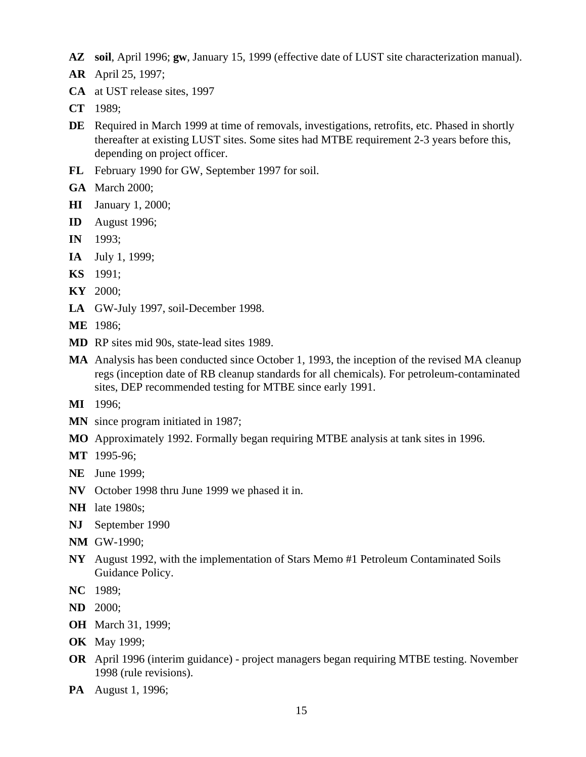- **AZ soil**, April 1996; **gw**, January 15, 1999 (effective date of LUST site characterization manual).
- **AR** April 25, 1997;
- **CA** at UST release sites, 1997
- **CT** 1989;
- **DE** Required in March 1999 at time of removals, investigations, retrofits, etc. Phased in shortly thereafter at existing LUST sites. Some sites had MTBE requirement 2-3 years before this, depending on project officer.
- **FL** February 1990 for GW, September 1997 for soil.
- **GA** March 2000;
- **HI** January 1, 2000;
- **ID** August 1996;
- **IN** 1993;
- **IA** July 1, 1999;
- **KS** 1991;
- **KY** 2000;
- **LA** GW-July 1997, soil-December 1998.
- **ME** 1986;
- **MD** RP sites mid 90s, state-lead sites 1989.
- **MA** Analysis has been conducted since October 1, 1993, the inception of the revised MA cleanup regs (inception date of RB cleanup standards for all chemicals). For petroleum-contaminated sites, DEP recommended testing for MTBE since early 1991.
- **MI** 1996;
- **MN** since program initiated in 1987;
- **MO** Approximately 1992. Formally began requiring MTBE analysis at tank sites in 1996.
- **MT** 1995-96;
- **NE** June 1999;
- **NV** October 1998 thru June 1999 we phased it in.
- **NH** late 1980s;
- **NJ** September 1990
- **NM** GW-1990;
- **NY** August 1992, with the implementation of Stars Memo #1 Petroleum Contaminated Soils Guidance Policy.
- **NC** 1989;
- **ND** 2000;
- **OH** March 31, 1999;
- **OK** May 1999;
- **OR** April 1996 (interim guidance) project managers began requiring MTBE testing. November 1998 (rule revisions).
- **PA** August 1, 1996;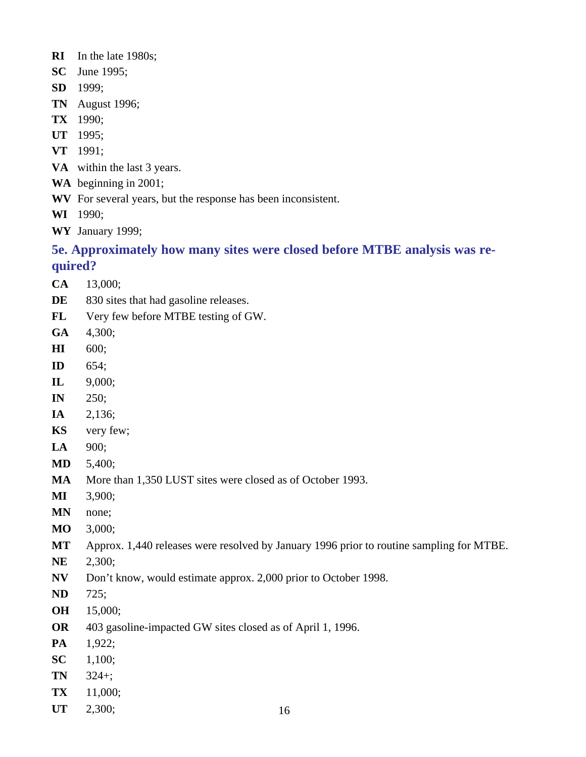- **RI** In the late 1980s;
- **SC** June 1995;
- **SD** 1999;
- **TN** August 1996;
- **TX** 1990;
- **UT** 1995;
- **VT** 1991;
- **VA** within the last 3 years.
- **WA** beginning in 2001;
- **WV** For several years, but the response has been inconsistent.
- **WI** 1990;
- **WY** January 1999;

### **5e. Approximately how many sites were closed before MTBE analysis was required?**

- **CA** 13,000;
- DE 830 sites that had gasoline releases.
- **FL** Very few before MTBE testing of GW.
- **GA** 4,300;
- **HI** 600;
- **ID** 654;
- **IL** 9,000;
- **IN** 250;
- **IA** 2,136;
- **KS** very few;
- **LA** 900;
- **MD** 5,400;
- **MA** More than 1,350 LUST sites were closed as of October 1993.
- **MI** 3,900;
- **MN** none;
- **MO** 3,000;
- **MT** Approx. 1,440 releases were resolved by January 1996 prior to routine sampling for MTBE.
- **NE** 2,300;
- **NV** Don't know, would estimate approx. 2,000 prior to October 1998.
- **ND** 725;
- **OH** 15,000;
- **OR** 403 gasoline-impacted GW sites closed as of April 1, 1996.
- **PA** 1,922;
- **SC** 1,100;
- **TN** 324+;
- **TX** 11,000;
- **UT** 2,300;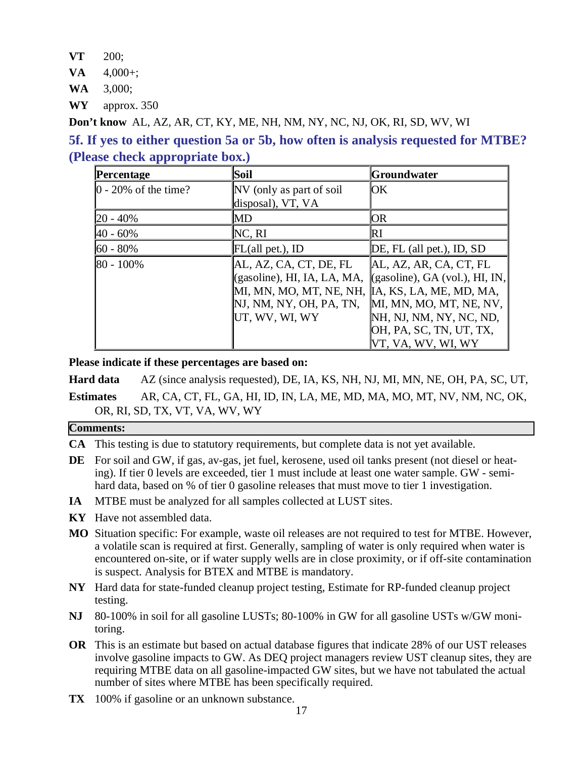- **VT** 200;
- **VA**  $4,000+$ ;

**WA** 3,000;

**WY** approx. 350

**Don't know** AL, AZ, AR, CT, KY, ME, NH, NM, NY, NC, NJ, OK, RI, SD, WV, WI

### **5f. If yes to either question 5a or 5b, how often is analysis requested for MTBE? (Please check appropriate box.)**

| Percentage                            | Soil                                                                                                                          | Groundwater                                                                                                                                                                                    |
|---------------------------------------|-------------------------------------------------------------------------------------------------------------------------------|------------------------------------------------------------------------------------------------------------------------------------------------------------------------------------------------|
| $\vert 0 - 20\% \rangle$ of the time? | NV (only as part of soil<br>disposal), VT, VA                                                                                 | <b>lOK</b>                                                                                                                                                                                     |
| $ 20 - 40\%$                          | MD                                                                                                                            | <b>OR</b>                                                                                                                                                                                      |
| $ 40 - 60\%$                          | NC, RI                                                                                                                        | R <sub>I</sub>                                                                                                                                                                                 |
| $160 - 80\%$                          | FL(all pet.), ID                                                                                                              | DE, FL (all pet.), ID, SD                                                                                                                                                                      |
| $ 80 - 100\%$                         | AL, AZ, CA, CT, DE, FL<br>(gasoline), HI, IA, LA, MA,<br>MI, MN, MO, MT, NE, NH,<br>NJ, NM, NY, OH, PA, TN,<br>UT, WV, WI, WY | AL, AZ, AR, CA, CT, FL<br>$(gasoline)$ , GA (vol.), HI, IN,<br>IA, KS, LA, ME, MD, MA,<br>MI, MN, MO, MT, NE, NV,<br>NH, NJ, NM, NY, NC, ND,<br>[OH, PA, SC, TN, UT, TX,<br>VT, VA, WV, WI, WY |

**Please indicate if these percentages are based on:**

**Hard data** AZ (since analysis requested), DE, IA, KS, NH, NJ, MI, MN, NE, OH, PA, SC, UT,

**Estimates** AR, CA, CT, FL, GA, HI, ID, IN, LA, ME, MD, MA, MO, MT, NV, NM, NC, OK, OR, RI, SD, TX, VT, VA, WV, WY

#### **Comments:**

- **CA** This testing is due to statutory requirements, but complete data is not yet available.
- **DE** For soil and GW, if gas, av-gas, jet fuel, kerosene, used oil tanks present (not diesel or heating). If tier 0 levels are exceeded, tier 1 must include at least one water sample. GW - semihard data, based on % of tier 0 gasoline releases that must move to tier 1 investigation.
- **IA** MTBE must be analyzed for all samples collected at LUST sites.
- **KY** Have not assembled data.
- **MO** Situation specific: For example, waste oil releases are not required to test for MTBE. However, a volatile scan is required at first. Generally, sampling of water is only required when water is encountered on-site, or if water supply wells are in close proximity, or if off-site contamination is suspect. Analysis for BTEX and MTBE is mandatory.
- **NY** Hard data for state-funded cleanup project testing, Estimate for RP-funded cleanup project testing.
- **NJ** 80-100% in soil for all gasoline LUSTs; 80-100% in GW for all gasoline USTs w/GW monitoring.
- **OR** This is an estimate but based on actual database figures that indicate 28% of our UST releases involve gasoline impacts to GW. As DEQ project managers review UST cleanup sites, they are requiring MTBE data on all gasoline-impacted GW sites, but we have not tabulated the actual number of sites where MTBE has been specifically required.
- **TX** 100% if gasoline or an unknown substance.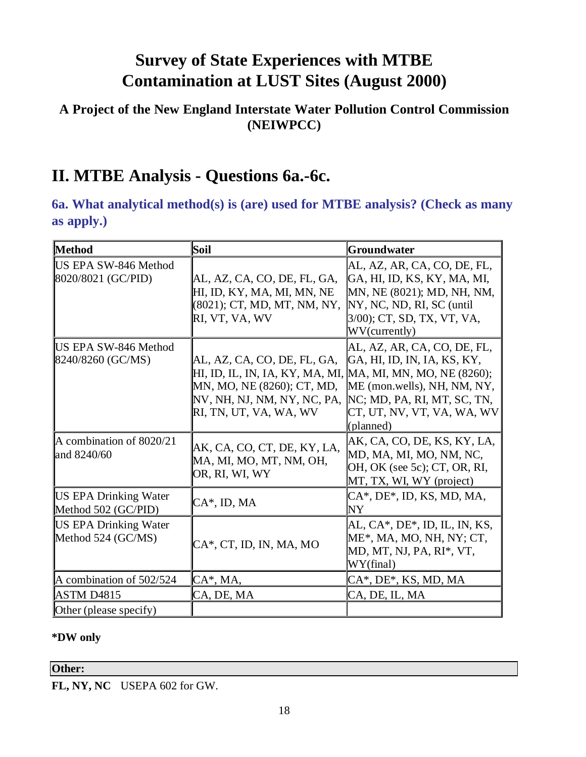### **A Project of the New England Interstate Water Pollution Control Commission (NEIWPCC)**

## **II. MTBE Analysis - Questions 6a.-6c.**

**6a. What analytical method(s) is (are) used for MTBE analysis? (Check as many as apply.)**

| Method                                              | Soil                                                                                                                                                                              | <b>Groundwater</b>                                                                                                                                                   |
|-----------------------------------------------------|-----------------------------------------------------------------------------------------------------------------------------------------------------------------------------------|----------------------------------------------------------------------------------------------------------------------------------------------------------------------|
| <b>US EPA SW-846 Method</b><br>8020/8021 (GC/PID)   | AL, AZ, CA, CO, DE, FL, GA,<br>HI, ID, KY, MA, MI, MN, NE<br>(8021); CT, MD, MT, NM, NY,<br>RI, VT, VA, WV                                                                        | AL, AZ, AR, CA, CO, DE, FL,<br>GA, HI, ID, KS, KY, MA, MI,<br>MN, NE (8021); MD, NH, NM,<br>NY, NC, ND, RI, SC (until<br>3/00); CT, SD, TX, VT, VA,<br>WV(currently) |
| <b>US EPA SW-846 Method</b><br>8240/8260 (GC/MS)    | AL, AZ, CA, CO, DE, FL, GA,<br>[HI, ID, IL, IN, IA, KY, MA, MI, MA, MI, MN, MO, NE (8260);<br>MN, MO, NE (8260); CT, MD,<br>NV, NH, NJ, NM, NY, NC, PA,<br>RI, TN, UT, VA, WA, WV | AL, AZ, AR, CA, CO, DE, FL,<br>GA, HI, ID, IN, IA, KS, KY,<br>ME (mon.wells), NH, NM, NY,<br>NC; MD, PA, RI, MT, SC, TN,<br>CT, UT, NV, VT, VA, WA, WV<br>(planned)  |
| A combination of 8020/21<br>and 8240/60             | AK, CA, CO, CT, DE, KY, LA,<br>MA, MI, MO, MT, NM, OH,<br>OR, RI, WI, WY                                                                                                          | AK, CA, CO, DE, KS, KY, LA,<br>MD, MA, MI, MO, NM, NC,<br>OH, OK (see 5c); CT, OR, RI,<br>MT, TX, WI, WY (project)                                                   |
| <b>US EPA Drinking Water</b><br>Method 502 (GC/PID) | $CA^*$ , ID, MA                                                                                                                                                                   | $CA^*$ , DE <sup>*</sup> , ID, KS, MD, MA,<br>ΝY                                                                                                                     |
| <b>US EPA Drinking Water</b><br>Method 524 (GC/MS)  | CA*, CT, ID, IN, MA, MO                                                                                                                                                           | $AL, CA^*$ , DE <sup>*</sup> , ID, IL, IN, KS,<br>$ME^*$ , MA, MO, NH, NY; CT,<br>MD, MT, NJ, PA, RI*, VT,<br>WY(final)                                              |
| A combination of 502/524                            | $CA^*$ , MA,                                                                                                                                                                      | CA*, DE*, KS, MD, MA                                                                                                                                                 |
| <b>ASTM D4815</b>                                   | CA, DE, MA                                                                                                                                                                        | CA, DE, IL, MA                                                                                                                                                       |
| Other (please specify)                              |                                                                                                                                                                                   |                                                                                                                                                                      |

#### **\*DW only**

#### **Other:**

**FL, NY, NC** USEPA 602 for GW.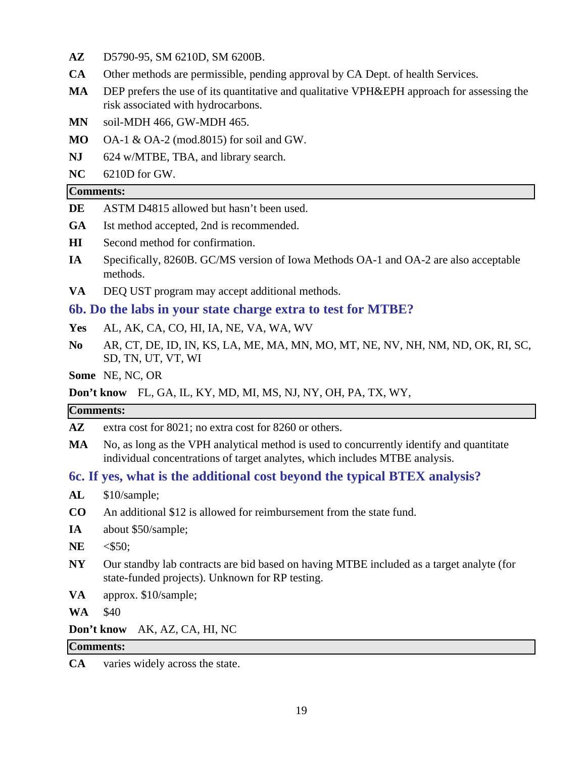- **AZ** D5790-95, SM 6210D, SM 6200B.
- **CA** Other methods are permissible, pending approval by CA Dept. of health Services.
- **MA** DEP prefers the use of its quantitative and qualitative VPH&EPH approach for assessing the risk associated with hydrocarbons.
- **MN** soil-MDH 466, GW-MDH 465.
- **MO** OA-1 & OA-2 (mod.8015) for soil and GW.
- **NJ** 624 w/MTBE, TBA, and library search.
- **NC** 6210D for GW.

#### **Comments:**

- **DE** ASTM D4815 allowed but hasn't been used.
- **GA** Ist method accepted, 2nd is recommended.
- **HI** Second method for confirmation.
- **IA** Specifically, 8260B. GC/MS version of Iowa Methods OA-1 and OA-2 are also acceptable methods.
- **VA** DEQ UST program may accept additional methods.

#### **6b. Do the labs in your state charge extra to test for MTBE?**

- **Yes** AL, AK, CA, CO, HI, IA, NE, VA, WA, WV
- **No** AR, CT, DE, ID, IN, KS, LA, ME, MA, MN, MO, MT, NE, NV, NH, NM, ND, OK, RI, SC, SD, TN, UT, VT, WI

**Some** NE, NC, OR

#### **Don't know** FL, GA, IL, KY, MD, MI, MS, NJ, NY, OH, PA, TX, WY,

#### **Comments:**

**AZ** extra cost for 8021; no extra cost for 8260 or others.

**MA** No, as long as the VPH analytical method is used to concurrently identify and quantitate individual concentrations of target analytes, which includes MTBE analysis.

#### **6c. If yes, what is the additional cost beyond the typical BTEX analysis?**

- **AL** \$10/sample;
- **CO** An additional \$12 is allowed for reimbursement from the state fund.
- **IA** about \$50/sample;
- **NE** <\$50;
- **NY** Our standby lab contracts are bid based on having MTBE included as a target analyte (for state-funded projects). Unknown for RP testing.
- **VA** approx. \$10/sample;

**WA** \$40

**Don't know** AK, AZ, CA, HI, NC

#### **Comments:**

**CA** varies widely across the state.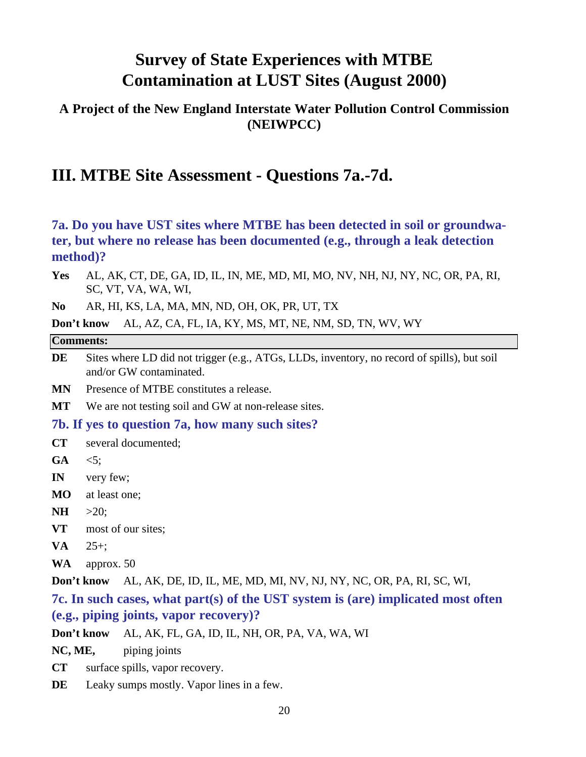### **A Project of the New England Interstate Water Pollution Control Commission (NEIWPCC)**

## **III. MTBE Site Assessment - Questions 7a.-7d.**

**7a. Do you have UST sites where MTBE has been detected in soil or groundwater, but where no release has been documented (e.g., through a leak detection method)?**

**Yes** AL, AK, CT, DE, GA, ID, IL, IN, ME, MD, MI, MO, NV, NH, NJ, NY, NC, OR, PA, RI, SC, VT, VA, WA, WI,

**No** AR, HI, KS, LA, MA, MN, ND, OH, OK, PR, UT, TX

**Don't know** AL, AZ, CA, FL, IA, KY, MS, MT, NE, NM, SD, TN, WV, WY

#### **Comments:**

**DE** Sites where LD did not trigger (e.g., ATGs, LLDs, inventory, no record of spills), but soil and/or GW contaminated.

**MN** Presence of MTBE constitutes a release.

**MT** We are not testing soil and GW at non-release sites.

**7b. If yes to question 7a, how many such sites?**

- **CT** several documented;
- $GA \leq 5$ :
- **IN** very few;
- **MO** at least one;
- **NH**  $>20$ :
- **VT** most of our sites;
- **VA** 25+;
- **WA** approx. 50

**Don't know** AL, AK, DE, ID, IL, ME, MD, MI, NV, NJ, NY, NC, OR, PA, RI, SC, WI,

### **7c. In such cases, what part(s) of the UST system is (are) implicated most often (e.g., piping joints, vapor recovery)?**

**Don't know** AL, AK, FL, GA, ID, IL, NH, OR, PA, VA, WA, WI

NC, ME, piping joints

- **CT** surface spills, vapor recovery.
- **DE** Leaky sumps mostly. Vapor lines in a few.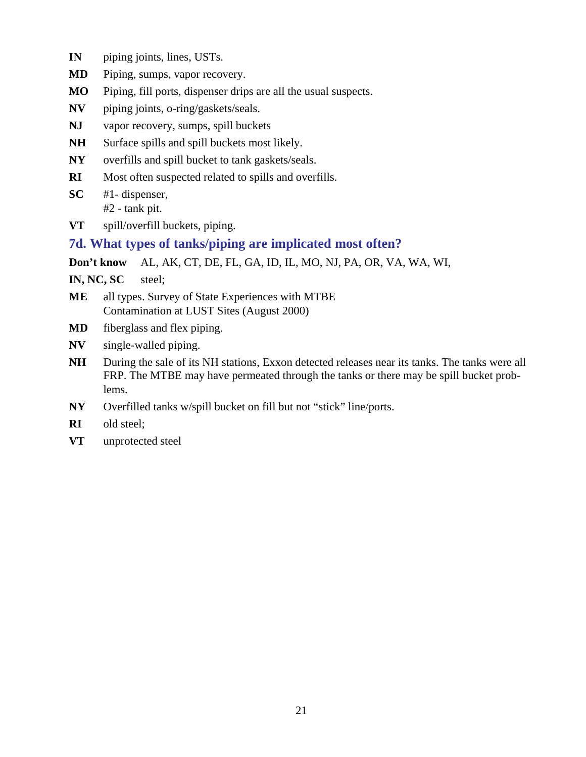- **IN** piping joints, lines, USTs.
- **MD** Piping, sumps, vapor recovery.
- **MO** Piping, fill ports, dispenser drips are all the usual suspects.
- **NV** piping joints, o-ring/gaskets/seals.
- **NJ** vapor recovery, sumps, spill buckets
- NH Surface spills and spill buckets most likely.
- **NY** overfills and spill bucket to tank gaskets/seals.
- **RI** Most often suspected related to spills and overfills.
- **SC** #1- dispenser, #2 - tank pit.
- **VT** spill/overfill buckets, piping.

#### **7d. What types of tanks/piping are implicated most often?**

**Don't know** AL, AK, CT, DE, FL, GA, ID, IL, MO, NJ, PA, OR, VA, WA, WI,

**IN, NC, SC** steel;

- **ME** all types. Survey of State Experiences with MTBE Contamination at LUST Sites (August 2000)
- **MD** fiberglass and flex piping.
- **NV** single-walled piping.
- **NH** During the sale of its NH stations, Exxon detected releases near its tanks. The tanks were all FRP. The MTBE may have permeated through the tanks or there may be spill bucket problems.
- **NY** Overfilled tanks w/spill bucket on fill but not "stick" line/ports.
- **RI** old steel;
- **VT** unprotected steel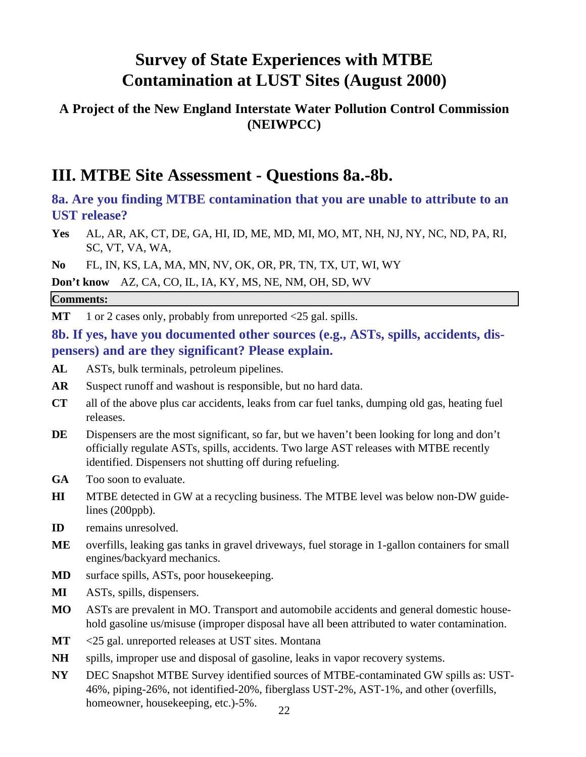### **A Project of the New England Interstate Water Pollution Control Commission (NEIWPCC)**

## **III. MTBE Site Assessment - Questions 8a.-8b.**

**8a. Are you finding MTBE contamination that you are unable to attribute to an UST release?**

**Yes** AL, AR, AK, CT, DE, GA, HI, ID, ME, MD, MI, MO, MT, NH, NJ, NY, NC, ND, PA, RI, SC, VT, VA, WA,

**No** FL, IN, KS, LA, MA, MN, NV, OK, OR, PR, TN, TX, UT, WI, WY

**Don't know** AZ, CA, CO, IL, IA, KY, MS, NE, NM, OH, SD, WV

#### **Comments:**

MT 1 or 2 cases only, probably from unreported <25 gal. spills.

**8b. If yes, have you documented other sources (e.g., ASTs, spills, accidents, dispensers) and are they significant? Please explain.**

- **AL** ASTs, bulk terminals, petroleum pipelines.
- **AR** Suspect runoff and washout is responsible, but no hard data.
- **CT** all of the above plus car accidents, leaks from car fuel tanks, dumping old gas, heating fuel releases.
- **DE** Dispensers are the most significant, so far, but we haven't been looking for long and don't officially regulate ASTs, spills, accidents. Two large AST releases with MTBE recently identified. Dispensers not shutting off during refueling.
- **GA** Too soon to evaluate.
- **HI** MTBE detected in GW at a recycling business. The MTBE level was below non-DW guidelines (200ppb).
- **ID** remains unresolved.
- **ME** overfills, leaking gas tanks in gravel driveways, fuel storage in 1-gallon containers for small engines/backyard mechanics.
- **MD** surface spills, ASTs, poor housekeeping.
- **MI** ASTs, spills, dispensers.
- **MO** ASTs are prevalent in MO. Transport and automobile accidents and general domestic household gasoline us/misuse (improper disposal have all been attributed to water contamination.
- **MT** <25 gal. unreported releases at UST sites. Montana
- **NH** spills, improper use and disposal of gasoline, leaks in vapor recovery systems.
- **NY** DEC Snapshot MTBE Survey identified sources of MTBE-contaminated GW spills as: UST-46%, piping-26%, not identified-20%, fiberglass UST-2%, AST-1%, and other (overfills, homeowner, housekeeping, etc.)-5%.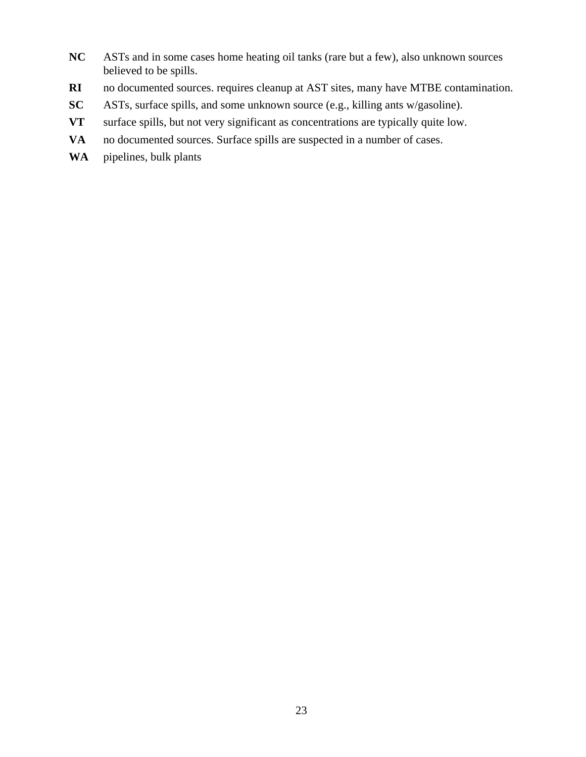- **NC** ASTs and in some cases home heating oil tanks (rare but a few), also unknown sources believed to be spills.
- **RI** no documented sources. requires cleanup at AST sites, many have MTBE contamination.
- **SC** ASTs, surface spills, and some unknown source (e.g., killing ants w/gasoline).
- **VT** surface spills, but not very significant as concentrations are typically quite low.
- **VA** no documented sources. Surface spills are suspected in a number of cases.
- **WA** pipelines, bulk plants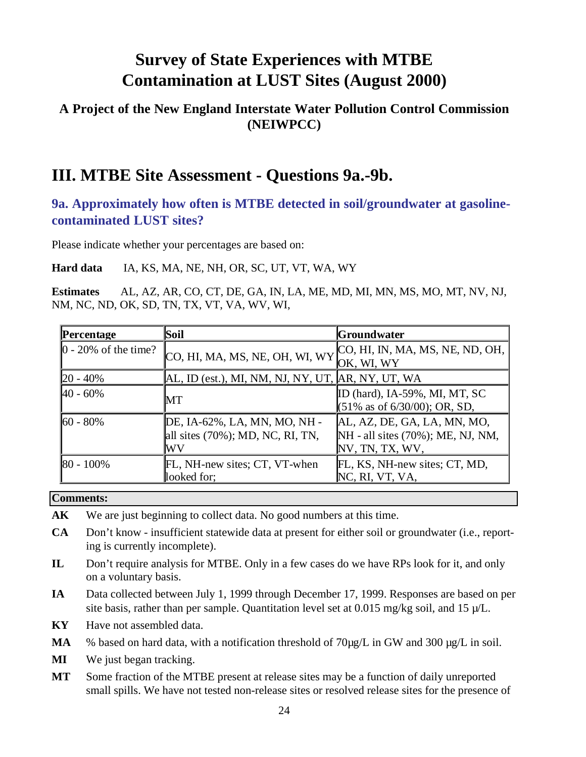### **A Project of the New England Interstate Water Pollution Control Commission (NEIWPCC)**

## **III. MTBE Site Assessment - Questions 9a.-9b.**

### **9a. Approximately how often is MTBE detected in soil/groundwater at gasolinecontaminated LUST sites?**

Please indicate whether your percentages are based on:

**Hard data** IA, KS, MA, NE, NH, OR, SC, UT, VT, WA, WY

**Estimates** AL, AZ, AR, CO, CT, DE, GA, IN, LA, ME, MD, MI, MN, MS, MO, MT, NV, NJ, NM, NC, ND, OK, SD, TN, TX, VT, VA, WV, WI,

| Percentage                          | Soil                                                                       | <b>Groundwater</b>                                                                  |
|-------------------------------------|----------------------------------------------------------------------------|-------------------------------------------------------------------------------------|
| $\vert 0 - 20\% \vert$ of the time? | [CO, HI, MA, MS, NE, OH, WI, WY]                                           | CO, HI, IN, MA, MS, NE, ND, OH,<br>OK, WI, WY                                       |
| $20 - 40\%$                         | AL, ID (est.), MI, NM, NJ, NY, UT, AR, NY, UT, WA                          |                                                                                     |
| $40 - 60\%$                         | MT                                                                         | ID (hard), IA-59%, MI, MT, SC<br>$(51\% \text{ as of } 6/30/00); \text{ OR, SD,}$   |
| $60 - 80\%$                         | DE, IA-62%, LA, MN, MO, NH -<br>all sites $(70\%)$ ; MD, NC, RI, TN,<br>WV | AL, AZ, DE, GA, LA, MN, MO,<br>NH - all sites (70%); ME, NJ, NM,<br>NV, TN, TX, WV, |
| $ 80 - 100\%$                       | FL, NH-new sites; CT, VT-when<br>looked for;                               | FL, KS, NH-new sites; CT, MD,<br>NC, RI, VT, VA,                                    |

#### **Comments:**

- **AK** We are just beginning to collect data. No good numbers at this time.
- **CA** Don't know insufficient statewide data at present for either soil or groundwater (i.e., reporting is currently incomplete).
- **IL** Don't require analysis for MTBE. Only in a few cases do we have RPs look for it, and only on a voluntary basis.
- **IA** Data collected between July 1, 1999 through December 17, 1999. Responses are based on per site basis, rather than per sample. Quantitation level set at  $0.015$  mg/kg soil, and  $15 \mu/L$ .
- **KY** Have not assembled data.
- MA % based on hard data, with a notification threshold of 70 ug/L in GW and 300 ug/L in soil.
- **MI** We just began tracking.
- **MT** Some fraction of the MTBE present at release sites may be a function of daily unreported small spills. We have not tested non-release sites or resolved release sites for the presence of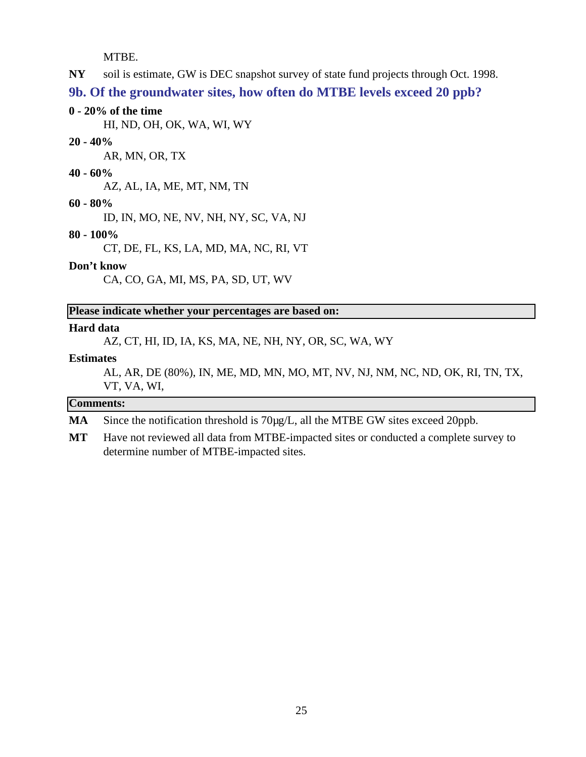MTBE.

**NY** soil is estimate, GW is DEC snapshot survey of state fund projects through Oct. 1998.

**9b. Of the groundwater sites, how often do MTBE levels exceed 20 ppb?**

#### **0 - 20% of the time**

HI, ND, OH, OK, WA, WI, WY

#### **20 - 40%**

AR, MN, OR, TX

#### **40 - 60%**

AZ, AL, IA, ME, MT, NM, TN

#### **60 - 80%**

ID, IN, MO, NE, NV, NH, NY, SC, VA, NJ

#### **80 - 100%**

CT, DE, FL, KS, LA, MD, MA, NC, RI, VT

#### **Don't know**

CA, CO, GA, MI, MS, PA, SD, UT, WV

#### **Please indicate whether your percentages are based on:**

#### **Hard data**

AZ, CT, HI, ID, IA, KS, MA, NE, NH, NY, OR, SC, WA, WY

#### **Estimates**

AL, AR, DE (80%), IN, ME, MD, MN, MO, MT, NV, NJ, NM, NC, ND, OK, RI, TN, TX, VT, VA, WI,

#### **Comments:**

MA Since the notification threshold is 70µg/L, all the MTBE GW sites exceed 20ppb.

**MT** Have not reviewed all data from MTBE-impacted sites or conducted a complete survey to determine number of MTBE-impacted sites.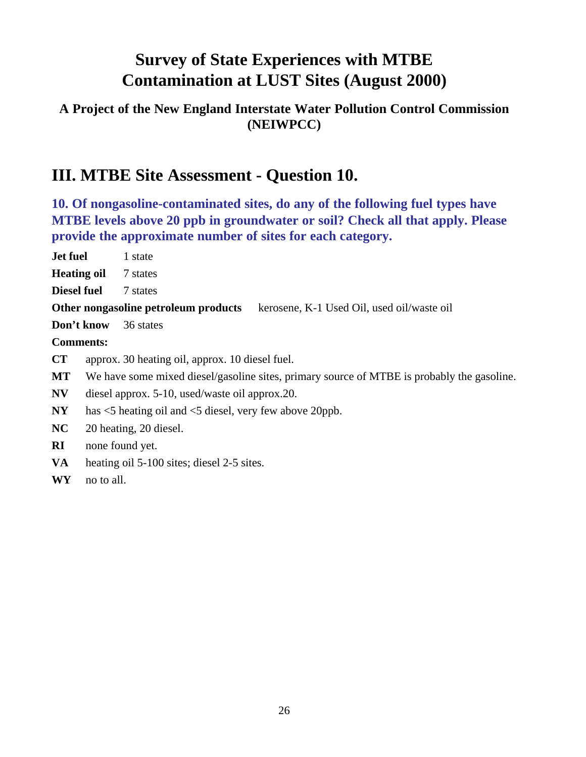### **A Project of the New England Interstate Water Pollution Control Commission (NEIWPCC)**

## **III. MTBE Site Assessment - Question 10.**

**10. Of nongasoline-contaminated sites, do any of the following fuel types have MTBE levels above 20 ppb in groundwater or soil? Check all that apply. Please provide the approximate number of sites for each category.**

| <b>Jet fuel</b>         |                                                                                            | 1 state                                                                            |  |
|-------------------------|--------------------------------------------------------------------------------------------|------------------------------------------------------------------------------------|--|
| <b>Heating oil</b>      |                                                                                            | 7 states                                                                           |  |
| <b>Diesel fuel</b>      |                                                                                            | 7 states                                                                           |  |
|                         |                                                                                            | Other nongasoline petroleum products<br>kerosene, K-1 Used Oil, used oil/waste oil |  |
|                         | Don't know                                                                                 | 36 states                                                                          |  |
|                         | <b>Comments:</b>                                                                           |                                                                                    |  |
| <b>CT</b>               |                                                                                            | approx. 30 heating oil, approx. 10 diesel fuel.                                    |  |
| МT                      | We have some mixed diesel/gasoline sites, primary source of MTBE is probably the gasoline. |                                                                                    |  |
| $\mathbf{N}\mathbf{V}$  | diesel approx. 5-10, used/waste oil approx. 20.                                            |                                                                                    |  |
| $\bold{NY}$             | has $\leq$ 5 heating oil and $\leq$ 5 diesel, very few above 20ppb.                        |                                                                                    |  |
| NC                      | 20 heating, 20 diesel.                                                                     |                                                                                    |  |
| $\overline{\mathbf{R}}$ | none found yet.                                                                            |                                                                                    |  |

- **VA** heating oil 5-100 sites; diesel 2-5 sites.
- **WY** no to all.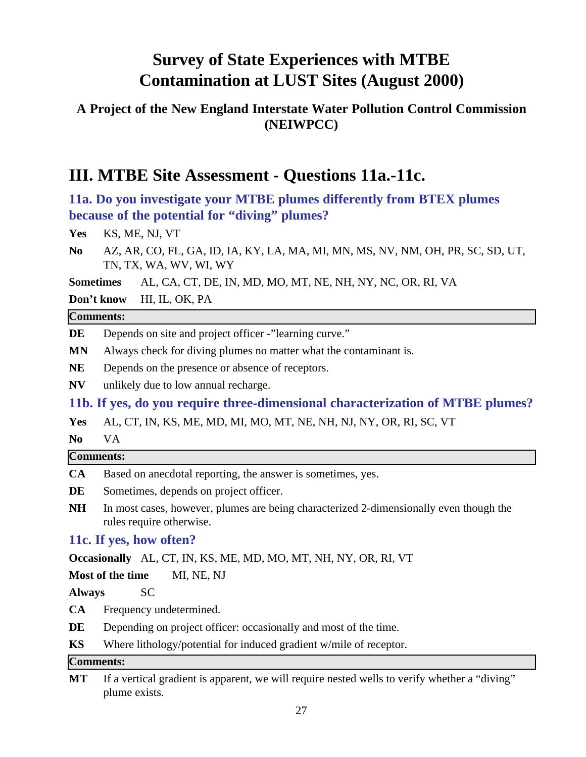### **A Project of the New England Interstate Water Pollution Control Commission (NEIWPCC)**

## **III. MTBE Site Assessment - Questions 11a.-11c.**

**11a. Do you investigate your MTBE plumes differently from BTEX plumes because of the potential for "diving" plumes?**

Yes KS, ME, NJ, VT

**No** AZ, AR, CO, FL, GA, ID, IA, KY, LA, MA, MI, MN, MS, NV, NM, OH, PR, SC, SD, UT, TN, TX, WA, WV, WI, WY

**Sometimes** AL, CA, CT, DE, IN, MD, MO, MT, NE, NH, NY, NC, OR, RI, VA

**Don't know** HI, IL, OK, PA

#### **Comments:**

- **DE** Depends on site and project officer -"learning curve."
- **MN** Always check for diving plumes no matter what the contaminant is.
- **NE** Depends on the presence or absence of receptors.
- **NV** unlikely due to low annual recharge.

**11b. If yes, do you require three-dimensional characterization of MTBE plumes?**

**Yes** AL, CT, IN, KS, ME, MD, MI, MO, MT, NE, NH, NJ, NY, OR, RI, SC, VT

**No** VA

#### **Comments:**

- **CA** Based on anecdotal reporting, the answer is sometimes, yes.
- DE Sometimes, depends on project officer.
- **NH** In most cases, however, plumes are being characterized 2-dimensionally even though the rules require otherwise.

### **11c. If yes, how often?**

**Occasionally** AL, CT, IN, KS, ME, MD, MO, MT, NH, NY, OR, RI, VT

**Most of the time** MI, NE, NJ

**Always** SC

- **CA** Frequency undetermined.
- **DE** Depending on project officer: occasionally and most of the time.
- **KS** Where lithology/potential for induced gradient w/mile of receptor.

#### **Comments:**

**MT** If a vertical gradient is apparent, we will require nested wells to verify whether a "diving" plume exists.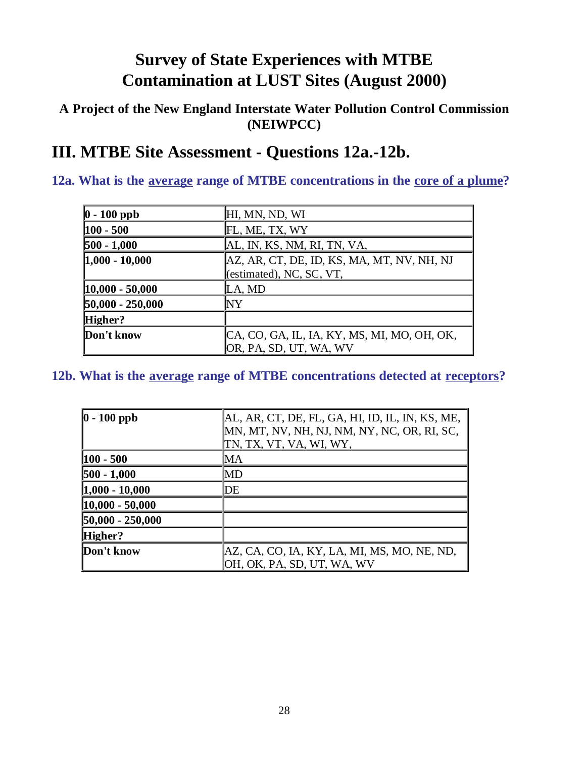### **A Project of the New England Interstate Water Pollution Control Commission (NEIWPCC)**

## **III. MTBE Site Assessment - Questions 12a.-12b.**

## **12a. What is the average range of MTBE concentrations in the core of a plume?**

| $ 0 - 100$ ppb     | HI, MN, ND, WI                              |
|--------------------|---------------------------------------------|
| $ 100 - 500 $      | FL, ME, TX, WY                              |
| $500 - 1,000$      | AL, IN, KS, NM, RI, TN, VA,                 |
| $ 1,000 - 10,000$  | AZ, AR, CT, DE, ID, KS, MA, MT, NV, NH, NJ  |
|                    | (estimated), NC, SC, VT,                    |
| $ 10,000 - 50,000$ | LA, MD                                      |
| $50,000 - 250,000$ | NY                                          |
| Higher?            |                                             |
| Don't know         | CA, CO, GA, IL, IA, KY, MS, MI, MO, OH, OK, |
|                    | OR, PA, SD, UT, WA, WV                      |

### **12b. What is the average range of MTBE concentrations detected at receptors?**

| $ 0 - 100$ ppb      | AL, AR, CT, DE, FL, GA, HI, ID, IL, IN, KS, ME,<br>MN, MT, NV, NH, NJ, NM, NY, NC, OR, RI, SC,<br>TN, TX, VT, VA, WI, WY, |
|---------------------|---------------------------------------------------------------------------------------------------------------------------|
| $ 100 - 500 $       | MА                                                                                                                        |
| $500 - 1,000$       | MD                                                                                                                        |
| $1,000 - 10,000$    | DE                                                                                                                        |
| $ 10,000 - 50,000 $ |                                                                                                                           |
| $50,000 - 250,000$  |                                                                                                                           |
| Higher?             |                                                                                                                           |
| Don't know          | AZ, CA, CO, IA, KY, LA, MI, MS, MO, NE, ND,<br>OH, OK, PA, SD, UT, WA, WV                                                 |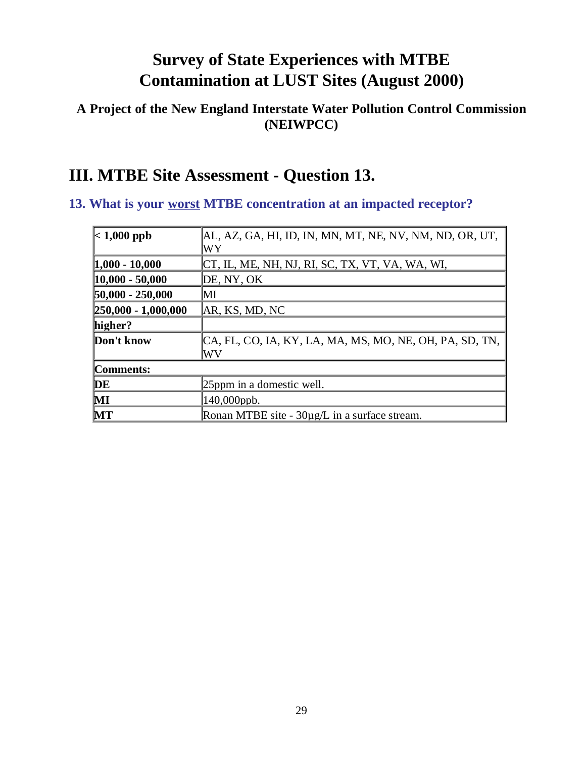### **A Project of the New England Interstate Water Pollution Control Commission (NEIWPCC)**

## **III. MTBE Site Assessment - Question 13.**

### **13. What is your worst MTBE concentration at an impacted receptor?**

| $\vert$ < 1,000 ppb     | AL, AZ, GA, HI, ID, IN, MN, MT, NE, NV, NM, ND, OR, UT,       |
|-------------------------|---------------------------------------------------------------|
|                         | WY                                                            |
| $ 1,000 - 10,000$       | CT, IL, ME, NH, NJ, RI, SC, TX, VT, VA, WA, WI,               |
| $ 10,000 - 50,000 $     | DE, NY, OK                                                    |
| $50,000 - 250,000$      | MІ                                                            |
| $[250,000 - 1,000,000]$ | AR, KS, MD, NC                                                |
| higher?                 |                                                               |
| Don't know              | CA, FL, CO, IA, KY, LA, MA, MS, MO, NE, OH, PA, SD, TN,<br>WV |
| Comments:               |                                                               |
| DE                      | 25ppm in a domestic well.                                     |
| $\mathbf{M}$            | 140,000ppb.                                                   |
| MT                      | Ronan MTBE site - $30\mu g/L$ in a surface stream.            |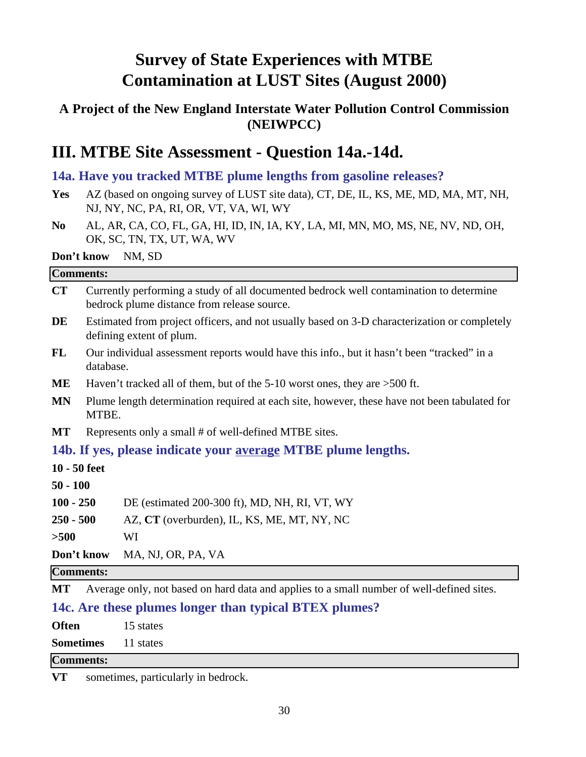### **A Project of the New England Interstate Water Pollution Control Commission (NEIWPCC)**

## **III. MTBE Site Assessment - Question 14a.-14d.**

### **14a. Have you tracked MTBE plume lengths from gasoline releases?**

- **Yes** AZ (based on ongoing survey of LUST site data), CT, DE, IL, KS, ME, MD, MA, MT, NH, NJ, NY, NC, PA, RI, OR, VT, VA, WI, WY
- **No** AL, AR, CA, CO, FL, GA, HI, ID, IN, IA, KY, LA, MI, MN, MO, MS, NE, NV, ND, OH, OK, SC, TN, TX, UT, WA, WV

#### **Don't know** NM, SD

## **Comments: CT** Currently performing a study of all documented bedrock well contamination to determine bedrock plume distance from release source. DE Estimated from project officers, and not usually based on 3-D characterization or completely defining extent of plum. **FL** Our individual assessment reports would have this info., but it hasn't been "tracked" in a database. **ME** Haven't tracked all of them, but of the 5-10 worst ones, they are >500 ft. **MN** Plume length determination required at each site, however, these have not been tabulated for MTBE. **MT** Represents only a small # of well-defined MTBE sites. **14b. If yes, please indicate your average MTBE plume lengths. 10 - 50 feet 50 - 100 100 - 250** DE (estimated 200-300 ft), MD, NH, RI, VT, WY **250 - 500** AZ, **CT** (overburden), IL, KS, ME, MT, NY, NC **>500** WI **Don't know** MA, NJ, OR, PA, VA **Comments: MT** Average only, not based on hard data and applies to a small number of well-defined sites.

**14c. Are these plumes longer than typical BTEX plumes?**

**Often** 15 states

**Sometimes** 11 states

#### **Comments:**

**VT** sometimes, particularly in bedrock.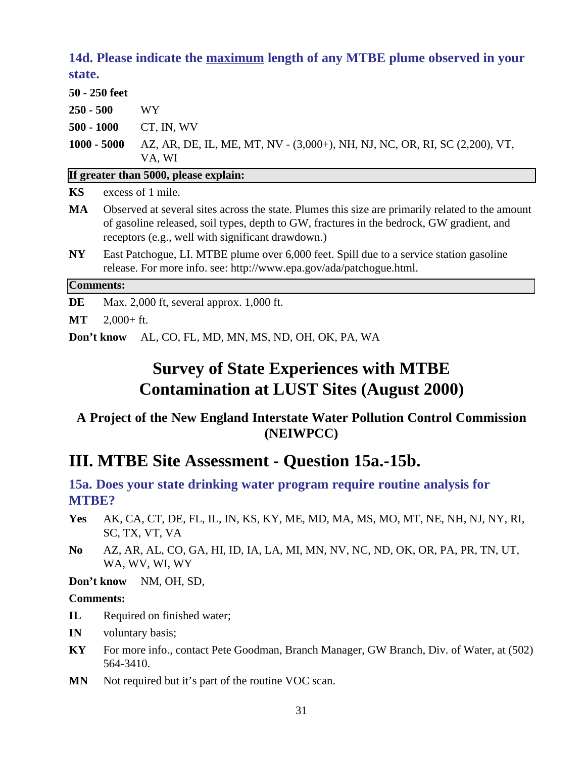### **14d. Please indicate the maximum length of any MTBE plume observed in your state.**

|                         | 50 - 250 feet                                                                                                                                                                                                                                      |                                                                            |  |
|-------------------------|----------------------------------------------------------------------------------------------------------------------------------------------------------------------------------------------------------------------------------------------------|----------------------------------------------------------------------------|--|
| $250 - 500$             |                                                                                                                                                                                                                                                    | <b>WY</b>                                                                  |  |
| $500 - 1000$            |                                                                                                                                                                                                                                                    | CT, IN, WV                                                                 |  |
| $1000 - 5000$<br>VA, WI |                                                                                                                                                                                                                                                    | AZ, AR, DE, IL, ME, MT, NV - (3,000+), NH, NJ, NC, OR, RI, SC (2,200), VT, |  |
|                         |                                                                                                                                                                                                                                                    | If greater than 5000, please explain:                                      |  |
| KS                      | excess of 1 mile.                                                                                                                                                                                                                                  |                                                                            |  |
| MA                      | Observed at several sites across the state. Plumes this size are primarily related to the amount<br>of gasoline released, soil types, depth to GW, fractures in the bedrock, GW gradient, and<br>receptors (e.g., well with significant drawdown.) |                                                                            |  |
| $\bold{N}\bold{Y}$      | East Patchogue, LI. MTBE plume over 6,000 feet. Spill due to a service station gasoline<br>release. For more info. see: http://www.epa.gov/ada/patchogue.html.                                                                                     |                                                                            |  |
| <b>Comments:</b>        |                                                                                                                                                                                                                                                    |                                                                            |  |

**DE** Max. 2,000 ft, several approx. 1,000 ft.

**MT** 2,000+ ft.

**Don't know** AL, CO, FL, MD, MN, MS, ND, OH, OK, PA, WA

## **Survey of State Experiences with MTBE Contamination at LUST Sites (August 2000)**

### **A Project of the New England Interstate Water Pollution Control Commission (NEIWPCC)**

## **III. MTBE Site Assessment - Question 15a.-15b.**

### **15a. Does your state drinking water program require routine analysis for MTBE?**

- **Yes** AK, CA, CT, DE, FL, IL, IN, KS, KY, ME, MD, MA, MS, MO, MT, NE, NH, NJ, NY, RI, SC, TX, VT, VA
- **No** AZ, AR, AL, CO, GA, HI, ID, IA, LA, MI, MN, NV, NC, ND, OK, OR, PA, PR, TN, UT, WA, WV, WI, WY

**Don't know** NM, OH, SD,

#### **Comments:**

- **IL** Required on finished water;
- **IN** voluntary basis;
- **KY** For more info., contact Pete Goodman, Branch Manager, GW Branch, Div. of Water, at (502) 564-3410.
- MN Not required but it's part of the routine VOC scan.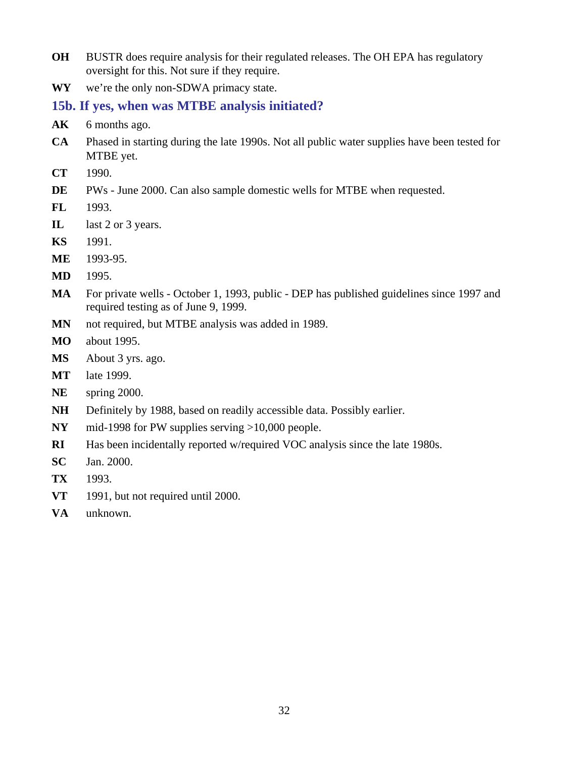- **OH** BUSTR does require analysis for their regulated releases. The OH EPA has regulatory oversight for this. Not sure if they require.
- **WY** we're the only non-SDWA primacy state.

### **15b. If yes, when was MTBE analysis initiated?**

- AK 6 months ago.
- **CA** Phased in starting during the late 1990s. Not all public water supplies have been tested for MTBE yet.
- **CT** 1990.
- **DE** PWs June 2000. Can also sample domestic wells for MTBE when requested.
- **FL** 1993.
- **IL** last 2 or 3 years.
- **KS** 1991.
- **ME** 1993-95.
- **MD** 1995.
- **MA** For private wells October 1, 1993, public DEP has published guidelines since 1997 and required testing as of June 9, 1999.
- **MN** not required, but MTBE analysis was added in 1989.
- **MO** about 1995.
- **MS** About 3 yrs. ago.
- **MT** late 1999.
- **NE** spring 2000.
- **NH** Definitely by 1988, based on readily accessible data. Possibly earlier.
- **NY** mid-1998 for PW supplies serving >10,000 people.
- **RI** Has been incidentally reported w/required VOC analysis since the late 1980s.
- **SC** Jan. 2000.
- **TX** 1993.
- **VT** 1991, but not required until 2000.
- **VA** unknown.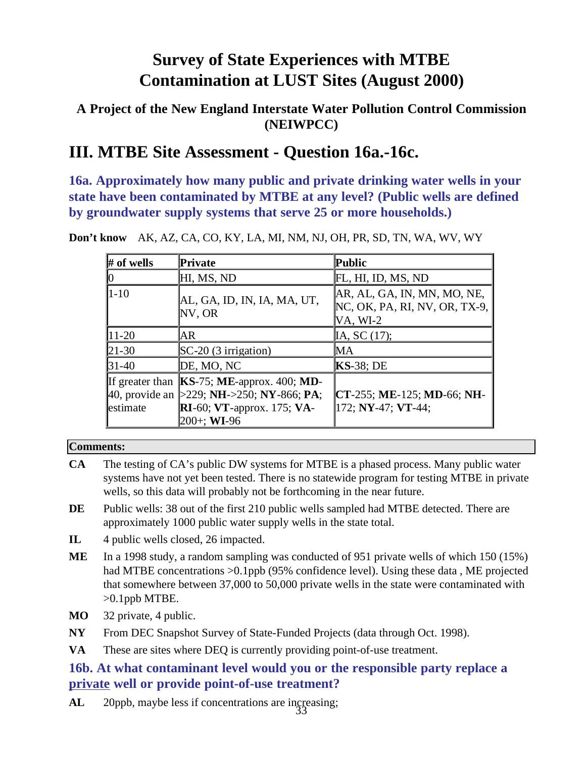### **A Project of the New England Interstate Water Pollution Control Commission (NEIWPCC)**

## **III. MTBE Site Assessment - Question 16a.-16c.**

**16a. Approximately how many public and private drinking water wells in your state have been contaminated by MTBE at any level? (Public wells are defined by groundwater supply systems that serve 25 or more households.)**

| $#$ of wells | Private                                                                                                                                                    | Public                                                                         |
|--------------|------------------------------------------------------------------------------------------------------------------------------------------------------------|--------------------------------------------------------------------------------|
|              | HI, MS, ND                                                                                                                                                 | FL, HI, ID, MS, ND                                                             |
| $1 - 10$     | AL, GA, ID, IN, IA, MA, UT,<br>NV, OR                                                                                                                      | AR, AL, GA, IN, MN, MO, NE,<br>$NC$ , OK, PA, RI, NV, OR, TX-9,<br>$VA$ , WI-2 |
| $11 - 20$    | IAR.                                                                                                                                                       | IA, SC (17);                                                                   |
| $21-30$      | $SC-20$ (3 irrigation)                                                                                                                                     | MА                                                                             |
| $31-40$      | DE, MO, NC                                                                                                                                                 | $KS-38$ ; DE                                                                   |
| estimate     | If greater than $KS-75$ ; ME-approx. 400; MD-<br>40, provide an $\geq$ 229; NH- $\geq$ 250; NY-866; PA;<br>$RI-60$ ; VT-approx. 175; VA-<br>$200+$ ; WI-96 | <b>CT-255; ME-125; MD-66; NH-</b><br>172; NY-47; VT-44;                        |

**Don't know** AK, AZ, CA, CO, KY, LA, MI, NM, NJ, OH, PR, SD, TN, WA, WV, WY

#### **Comments:**

- **CA** The testing of CA's public DW systems for MTBE is a phased process. Many public water systems have not yet been tested. There is no statewide program for testing MTBE in private wells, so this data will probably not be forthcoming in the near future.
- **DE** Public wells: 38 out of the first 210 public wells sampled had MTBE detected. There are approximately 1000 public water supply wells in the state total.
- **IL** 4 public wells closed, 26 impacted.
- **ME** In a 1998 study, a random sampling was conducted of 951 private wells of which 150 (15%) had MTBE concentrations  $>0.1$ ppb (95% confidence level). Using these data, ME projected that somewhere between 37,000 to 50,000 private wells in the state were contaminated with >0.1ppb MTBE.
- **MO** 32 private, 4 public.
- **NY** From DEC Snapshot Survey of State-Funded Projects (data through Oct. 1998).
- **VA** These are sites where DEQ is currently providing point-of-use treatment.

### **16b. At what contaminant level would you or the responsible party replace a private well or provide point-of-use treatment?**

AL 20ppb, maybe less if concentrations are ingreasing;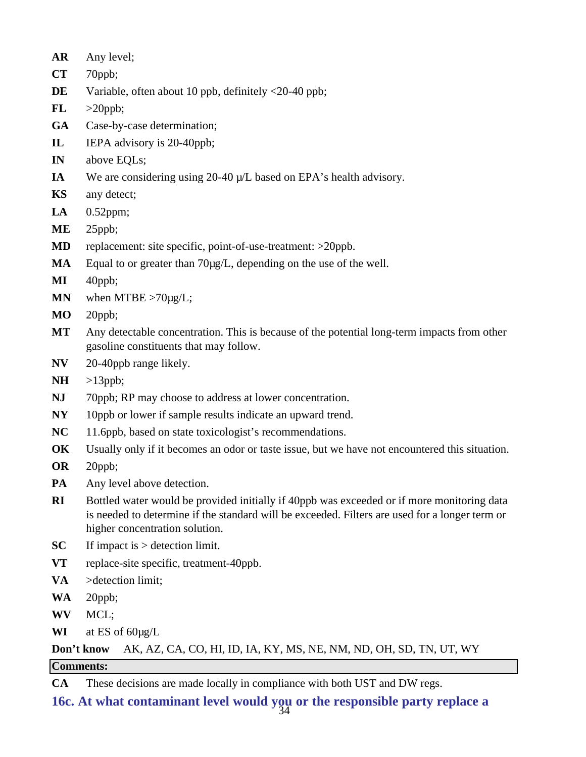- **AR** Any level;
- **CT** 70ppb;
- **DE** Variable, often about 10 ppb, definitely <20-40 ppb;
- $FL$   $>20$ ppb;
- **GA** Case-by-case determination;
- **IL** IEPA advisory is 20-40ppb;
- **IN** above EQLs;
- **IA** We are considering using 20-40  $\mu$ /L based on EPA's health advisory.
- **KS** any detect;
- **LA** 0.52ppm;
- **ME** 25ppb;
- **MD** replacement: site specific, point-of-use-treatment: >20ppb.
- **MA** Equal to or greater than 70µg/L, depending on the use of the well.
- **MI** 40ppb;
- **MN** when MTBE  $>70\mu g/L$ ;
- **MO** 20ppb;
- **MT** Any detectable concentration. This is because of the potential long-term impacts from other gasoline constituents that may follow.
- **NV** 20-40ppb range likely.
- **NH** >13ppb;
- **NJ** 70ppb; RP may choose to address at lower concentration.
- **NY** 10ppb or lower if sample results indicate an upward trend.
- NC 11.6ppb, based on state toxicologist's recommendations.
- **OK** Usually only if it becomes an odor or taste issue, but we have not encountered this situation.
- **OR** 20ppb;
- **PA** Any level above detection.
- **RI** Bottled water would be provided initially if 40ppb was exceeded or if more monitoring data is needed to determine if the standard will be exceeded. Filters are used for a longer term or higher concentration solution.
- **SC** If impact is > detection limit.
- **VT** replace-site specific, treatment-40ppb.
- **VA** >detection limit;
- **WA** 20ppb;
- **WV** MCL;
- **WI** at ES of 60µg/L

### **Don't know** AK, AZ, CA, CO, HI, ID, IA, KY, MS, NE, NM, ND, OH, SD, TN, UT, WY

#### **Comments:**

**CA** These decisions are made locally in compliance with both UST and DW regs.

34 **16c. At what contaminant level would you or the responsible party replace a**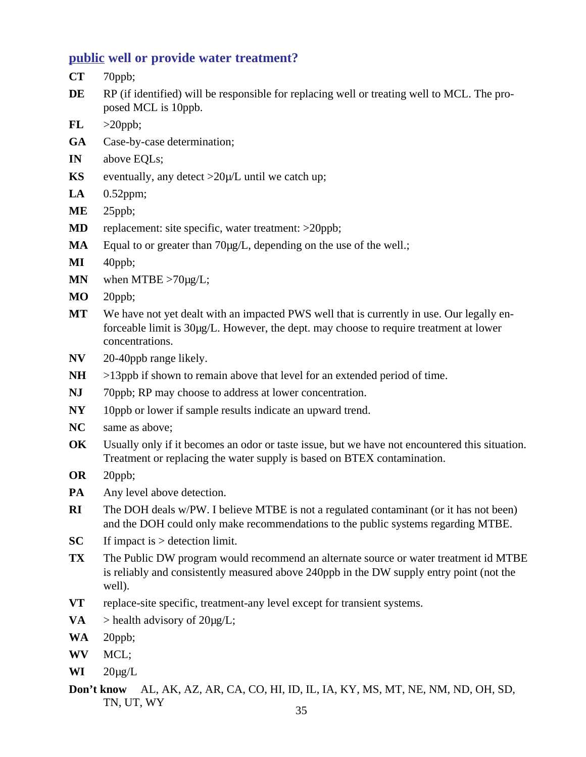#### **public well or provide water treatment?**

- **CT** 70ppb;
- **DE** RP (if identified) will be responsible for replacing well or treating well to MCL. The proposed MCL is 10ppb.
- $FL$   $>20$ ppb;
- **GA** Case-by-case determination;
- **IN** above EQLs;
- **KS** eventually, any detect  $>20\mu/L$  until we catch up;
- **LA** 0.52ppm;
- **ME** 25ppb;
- **MD** replacement: site specific, water treatment: >20ppb;
- **MA** Equal to or greater than 70µg/L, depending on the use of the well.;
- **MI** 40ppb;
- **MN** when MTBE >70µg/L;
- **MO** 20ppb;
- **MT** We have not yet dealt with an impacted PWS well that is currently in use. Our legally enforceable limit is 30µg/L. However, the dept. may choose to require treatment at lower concentrations.
- **NV** 20-40ppb range likely.
- **NH** >13ppb if shown to remain above that level for an extended period of time.
- **NJ** 70ppb; RP may choose to address at lower concentration.
- **NY** 10ppb or lower if sample results indicate an upward trend.
- **NC** same as above;
- **OK** Usually only if it becomes an odor or taste issue, but we have not encountered this situation. Treatment or replacing the water supply is based on BTEX contamination.
- **OR** 20ppb;
- **PA** Any level above detection.
- **RI** The DOH deals w/PW. I believe MTBE is not a regulated contaminant (or it has not been) and the DOH could only make recommendations to the public systems regarding MTBE.
- **SC** If impact is > detection limit.
- **TX** The Public DW program would recommend an alternate source or water treatment id MTBE is reliably and consistently measured above 240ppb in the DW supply entry point (not the well).
- **VT** replace-site specific, treatment-any level except for transient systems.
- **VA** > health advisory of  $20\mu g/L$ ;
- **WA** 20ppb;
- **WV** MCL;
- **WI**  $20\mu g/L$
- **Don't know** AL, AK, AZ, AR, CA, CO, HI, ID, IL, IA, KY, MS, MT, NE, NM, ND, OH, SD, TN, UT, WY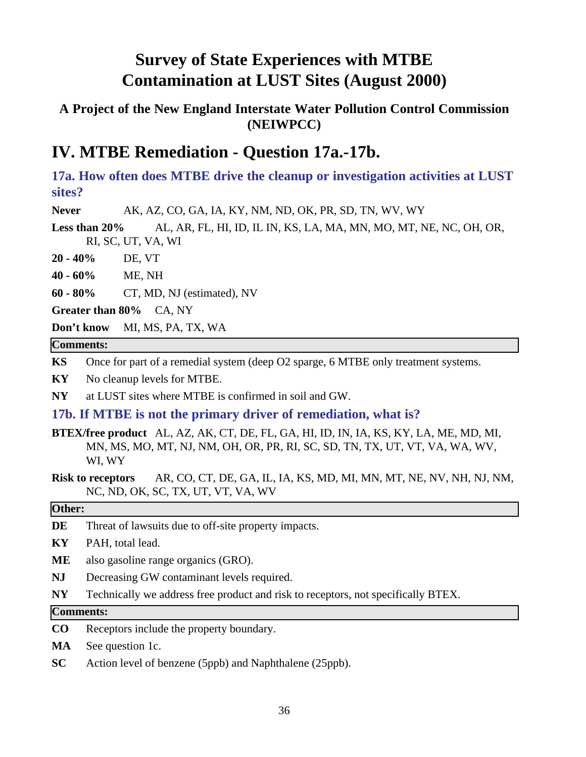### **A Project of the New England Interstate Water Pollution Control Commission (NEIWPCC)**

## **IV. MTBE Remediation - Question 17a.-17b.**

**17a. How often does MTBE drive the cleanup or investigation activities at LUST sites?**

**Never** AK, AZ, CO, GA, IA, KY, NM, ND, OK, PR, SD, TN, WV, WY

**Less than 20%** AL, AR, FL, HI, ID, IL IN, KS, LA, MA, MN, MO, MT, NE, NC, OH, OR, RI, SC, UT, VA, WI

**20 - 40%** DE, VT

**40 - 60%** ME, NH

**60 - 80%** CT, MD, NJ (estimated), NV

**Greater than 80%** CA, NY

**Don't know** MI, MS, PA, TX, WA

#### **Comments:**

**KS** Once for part of a remedial system (deep O2 sparge, 6 MTBE only treatment systems.

**KY** No cleanup levels for MTBE.

**NY** at LUST sites where MTBE is confirmed in soil and GW.

#### **17b. If MTBE is not the primary driver of remediation, what is?**

**BTEX/free product** AL, AZ, AK, CT, DE, FL, GA, HI, ID, IN, IA, KS, KY, LA, ME, MD, MI, MN, MS, MO, MT, NJ, NM, OH, OR, PR, RI, SC, SD, TN, TX, UT, VT, VA, WA, WV, WI, WY

**Risk to receptors** AR, CO, CT, DE, GA, IL, IA, KS, MD, MI, MN, MT, NE, NV, NH, NJ, NM, NC, ND, OK, SC, TX, UT, VT, VA, WV

#### **Other:**

- **DE** Threat of lawsuits due to off-site property impacts.
- **KY** PAH, total lead.
- **ME** also gasoline range organics (GRO).
- **NJ** Decreasing GW contaminant levels required.
- **NY** Technically we address free product and risk to receptors, not specifically BTEX.

#### **Comments:**

- **CO** Receptors include the property boundary.
- **MA** See question 1c.
- **SC** Action level of benzene (5ppb) and Naphthalene (25ppb).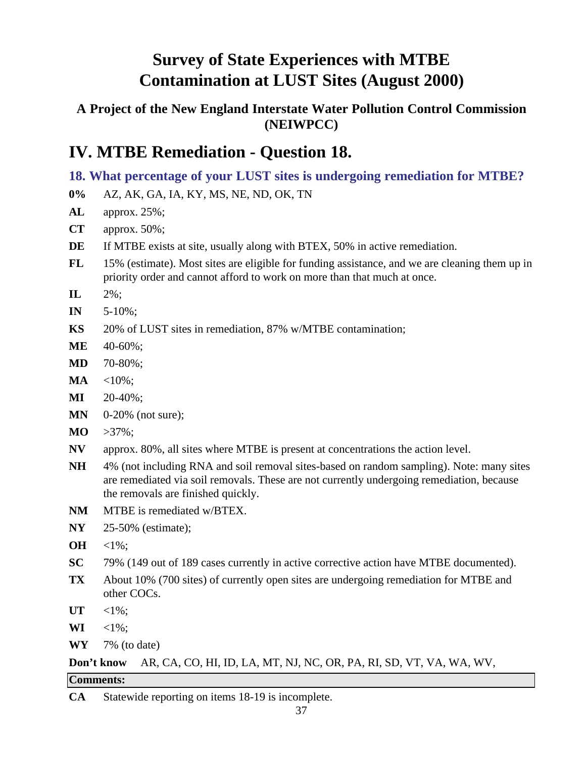## **A Project of the New England Interstate Water Pollution Control Commission (NEIWPCC)**

## **IV. MTBE Remediation - Question 18.**

## **18. What percentage of your LUST sites is undergoing remediation for MTBE?**

- **0%** AZ, AK, GA, IA, KY, MS, NE, ND, OK, TN
- **AL** approx. 25%;
- **CT** approx. 50%;
- **DE** If MTBE exists at site, usually along with BTEX, 50% in active remediation.
- **FL** 15% (estimate). Most sites are eligible for funding assistance, and we are cleaning them up in priority order and cannot afford to work on more than that much at once.
- **IL** 2%;
- **IN** 5-10%;
- **KS** 20% of LUST sites in remediation, 87% w/MTBE contamination;
- **ME** 40-60%;
- **MD** 70-80%;
- **MA**  $\leq 10\%$ ;
- **MI** 20-40%;
- **MN** 0-20% (not sure);
- **MO** >37%;
- **NV** approx. 80%, all sites where MTBE is present at concentrations the action level.
- **NH** 4% (not including RNA and soil removal sites-based on random sampling). Note: many sites are remediated via soil removals. These are not currently undergoing remediation, because the removals are finished quickly.
- **NM** MTBE is remediated w/BTEX.
- **NY** 25-50% (estimate);
- **OH** <1%;
- **SC** 79% (149 out of 189 cases currently in active corrective action have MTBE documented).
- **TX** About 10% (700 sites) of currently open sites are undergoing remediation for MTBE and other COCs.
- **UT** <1%;
- **WI**  $\leq 1\%$ :
- **WY** 7% (to date)

### **Don't know** AR, CA, CO, HI, ID, LA, MT, NJ, NC, OR, PA, RI, SD, VT, VA, WA, WV,

#### **Comments:**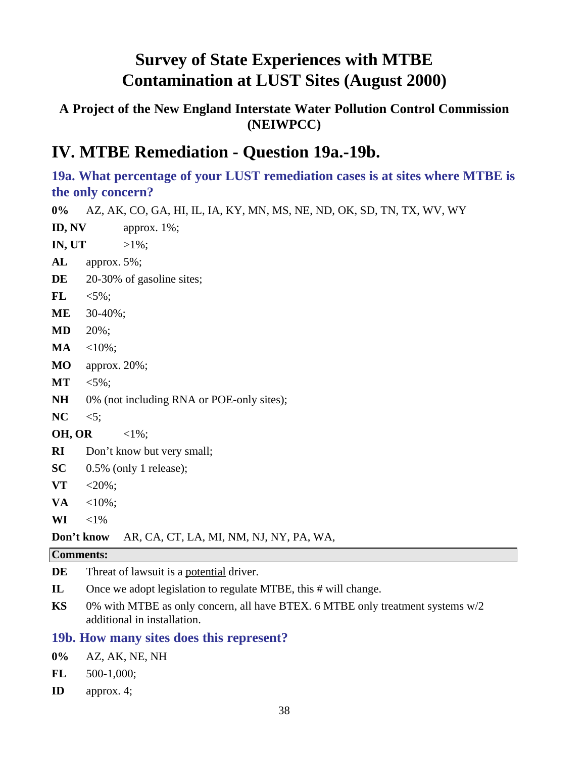### **A Project of the New England Interstate Water Pollution Control Commission (NEIWPCC)**

## **IV. MTBE Remediation - Question 19a.-19b.**

**19a. What percentage of your LUST remediation cases is at sites where MTBE is the only concern?**

**0%** AZ, AK, CO, GA, HI, IL, IA, KY, MN, MS, NE, ND, OK, SD, TN, TX, WV, WY **ID, NV** approx. 1%; **IN, UT**  $>1\%$ ; **AL** approx. 5%; DE 20-30% of gasoline sites; **FL** <5%; **ME** 30-40%;

- **MD** 20%;
- **MA** <10%;
- **MO** approx. 20%;
- **MT**  $< 5\%$ ;
- NH 0% (not including RNA or POE-only sites);
- **NC** <5;
- **OH, OR** <1%;
- **RI** Don't know but very small;
- **SC** 0.5% (only 1 release);
- **VT** <20%;
- $VA \t < 10\%;$
- **WI**  $<1\%$

#### **Don't know** AR, CA, CT, LA, MI, NM, NJ, NY, PA, WA,

#### **Comments:**

**DE** Threat of lawsuit is a potential driver.

- **IL** Once we adopt legislation to regulate MTBE, this # will change.
- **KS** 0% with MTBE as only concern, all have BTEX. 6 MTBE only treatment systems w/2 additional in installation.

#### **19b. How many sites does this represent?**

- **0%** AZ, AK, NE, NH
- **FL** 500-1,000;
- **ID** approx. 4;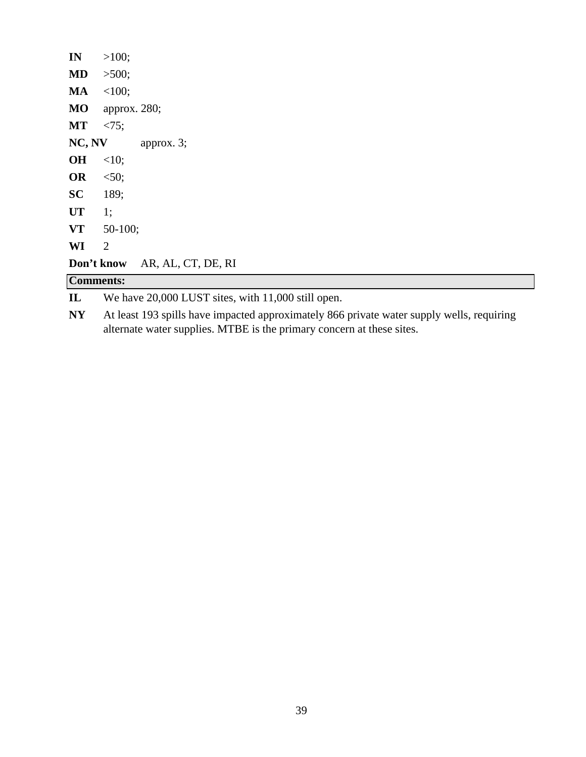| IN           | >100;            |                                                    |  |
|--------------|------------------|----------------------------------------------------|--|
| <b>MD</b>    | >500;            |                                                    |  |
| MA           | <100;            |                                                    |  |
| <b>MO</b>    | approx. 280;     |                                                    |  |
| <b>MT</b>    | < 75;            |                                                    |  |
| NC, NV       |                  | approx. $3$ ;                                      |  |
| <b>OH</b>    | <10;             |                                                    |  |
| <b>OR</b>    | < 50;            |                                                    |  |
| <b>SC</b>    | 189;             |                                                    |  |
| <b>UT</b>    | 1;               |                                                    |  |
| <b>VT</b>    | $50-100;$        |                                                    |  |
| WI           | 2                |                                                    |  |
|              | Don't know       | AR, AL, CT, DE, RI                                 |  |
|              | <b>Comments:</b> |                                                    |  |
| $\mathbf{I}$ |                  | We have 20,000 LUST sites, with 11,000 still open. |  |

**NY** At least 193 spills have impacted approximately 866 private water supply wells, requiring alternate water supplies. MTBE is the primary concern at these sites.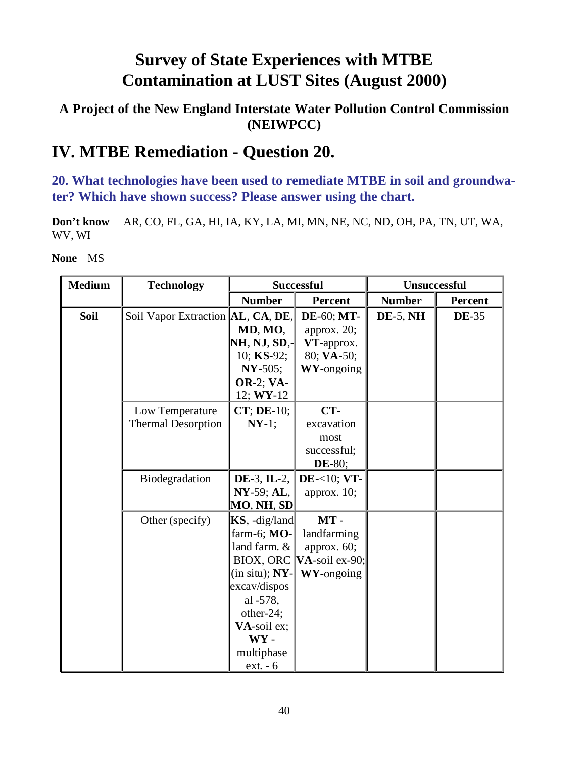### **A Project of the New England Interstate Water Pollution Control Commission (NEIWPCC)**

## **IV. MTBE Remediation - Question 20.**

**20. What technologies have been used to remediate MTBE in soil and groundwater? Which have shown success? Please answer using the chart.**

**Don't know** AR, CO, FL, GA, HI, IA, KY, LA, MI, MN, NE, NC, ND, OH, PA, TN, UT, WA, WV, WI

| <b>Medium</b> | <b>Technology</b>                            | <b>Successful</b>                                                                                                                                                                              |                                                                            | Unsuccessful  |              |
|---------------|----------------------------------------------|------------------------------------------------------------------------------------------------------------------------------------------------------------------------------------------------|----------------------------------------------------------------------------|---------------|--------------|
|               |                                              | <b>Number</b>                                                                                                                                                                                  | Percent                                                                    | <b>Number</b> | Percent      |
| <b>Soil</b>   | Soil Vapor Extraction  AL, CA, DE,           | MD, MO,<br>NH, NJ, SD,<br>10; KS-92;<br>$NY-505;$<br><b>OR-2; VA-</b><br>12; WY-12                                                                                                             | <b>DE-60; MT-</b><br>approx. 20;<br>VT-approx.<br>80; VA-50;<br>WY-ongoing | $DE-5$ , NH   | <b>DE-35</b> |
|               | Low Temperature<br><b>Thermal Desorption</b> | CT; DE-10;<br>$NY-1;$                                                                                                                                                                          | CT-<br>excavation<br>most<br>successful;<br><b>DE-80;</b>                  |               |              |
|               | Biodegradation                               | $DE-3$ , IL-2,<br>NY-59; AL,<br>MO, NH, SD                                                                                                                                                     | $DE - <10; VT -$<br>approx. $10$ ;                                         |               |              |
|               | Other (specify)                              | $KS$ , -dig/land<br>farm-6; MO-<br>land farm. &<br>BIOX, ORC<br>$(in situ); NY-$<br>excav/dispos<br>al -578,<br>other-24;<br>VA-soil ex;<br>$\mathbf{W}\mathbf{Y}$ -<br>multiphase<br>ext. - 6 | $MT -$<br>landfarming<br>approx. 60;<br>$VA$ -soil ex-90;<br>WY-ongoing    |               |              |

**None** MS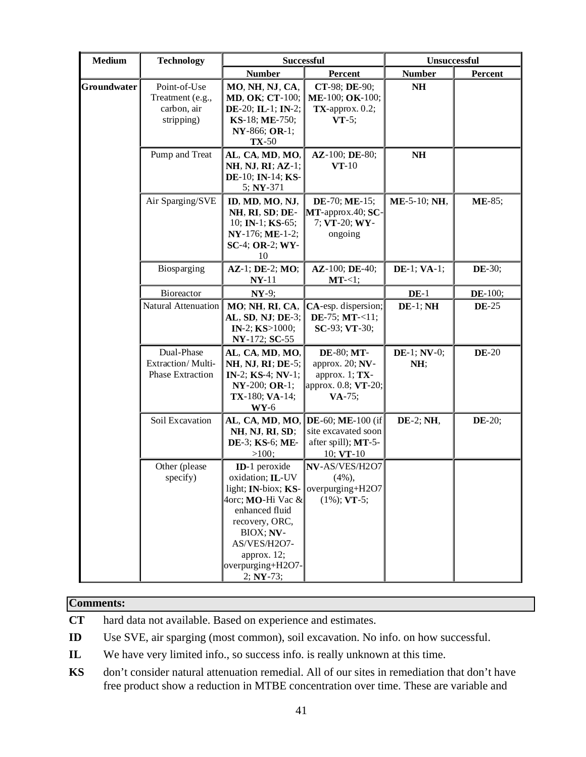| <b>Medium</b> | <b>Technology</b>                                             | <b>Successful</b>                                                                                                                                                                                    |                                                                                       | Unsuccessful          |               |
|---------------|---------------------------------------------------------------|------------------------------------------------------------------------------------------------------------------------------------------------------------------------------------------------------|---------------------------------------------------------------------------------------|-----------------------|---------------|
|               |                                                               | <b>Number</b>                                                                                                                                                                                        | Percent                                                                               | <b>Number</b>         | Percent       |
| Groundwater   | Point-of-Use<br>Treatment (e.g.,<br>carbon, air<br>stripping) | MO, NH, NJ, CA,<br><b>MD, OK; CT-100;</b><br>DE-20; IL-1; IN-2;<br>KS-18; ME-750;<br>NY-866; OR-1;<br>$TX-50$                                                                                        | CT-98; DE-90;<br>ME-100; OK-100;<br>$TX$ -approx. 0.2;<br>$VT-5;$                     | NH                    |               |
|               | Pump and Treat                                                | AL, CA, MD, MO,<br>NH, NJ, RI; AZ-1;<br>DE-10; IN-14; KS-<br>5; NY-371                                                                                                                               | AZ-100; DE-80;<br>$VT-10$                                                             | N <sub>H</sub>        |               |
|               | Air Sparging/SVE                                              | ID, MD, MO, NJ,<br>NH, RI, SD; DE-<br>10; IN-1; KS-65;<br>NY-176; ME-1-2;<br>SC-4; OR-2; WY-<br>10                                                                                                   | DE-70; ME-15;<br>MT-approx.40; SC-<br>7; VT-20; WY-<br>ongoing                        | ME-5-10; NH,          | <b>ME-85;</b> |
|               | Biosparging                                                   | AZ-1; DE-2; MO;<br>$NY-11$                                                                                                                                                                           | AZ-100; DE-40;<br>MT<1;                                                               | <b>DE-1; VA-1;</b>    | <b>DE-30;</b> |
|               | Bioreactor                                                    | $NY-9;$                                                                                                                                                                                              |                                                                                       | $DE-1$                | DE-100;       |
|               | Natural Attenuation                                           | MO; NH, RI, CA,<br>AL, SD, NJ; DE-3;<br>IN-2; $KS>1000$ ;<br>NY-172; SC-55                                                                                                                           | CA-esp. dispersion;<br>DE-75; $MT < 11$ ;<br>SC-93; VT-30;                            | $DE-1; NH$            | <b>DE-25</b>  |
|               | Dual-Phase<br>Extraction/Multi-<br>Phase Extraction           | AL, CA, MD, MO,<br><b>NH, NJ, RI; DE-5;</b><br>IN-2; KS-4; NV-1;<br>$NY-200; OR-1;$<br>TX-180; VA-14;<br>$WY-6$                                                                                      | DE-80; MT-<br>approx. 20; NV-<br>approx. $1; TX-$<br>approx. 0.8; VT-20;<br>$VA-75$ ; | $DE-1$ ; NV-0;<br>NH; | $DE-20$       |
|               | Soil Excavation                                               | AL, CA, MD, MO,<br>NH, NJ, RI, SD;<br>DE-3; KS-6; ME-<br>$>100$ ;                                                                                                                                    | $DE-60$ ; ME-100 (if<br>site excavated soon<br>after spill); MT-5-<br>10; VT-10       | DE-2; NH,             | DE-20;        |
|               | Other (please<br>specify)                                     | ID-1 peroxide<br>oxidation; IL-UV<br>light; IN-biox; KS-<br>4orc; MO-Hi Vac $\&$<br>enhanced fluid<br>recovery, ORC,<br>BIOX; NV-<br>AS/VES/H2O7-<br>approx. 12;<br>overpurging+H2O7-<br>$2; NY-73;$ | NV-AS/VES/H2O7<br>$(4\%)$<br>overpurging+H2O7<br>$(1\%)$ ; VT-5;                      |                       |               |

#### **Comments:**

**CT** hard data not available. Based on experience and estimates.

**ID** Use SVE, air sparging (most common), soil excavation. No info. on how successful.

- **IL** We have very limited info., so success info. is really unknown at this time.
- **KS** don't consider natural attenuation remedial. All of our sites in remediation that don't have free product show a reduction in MTBE concentration over time. These are variable and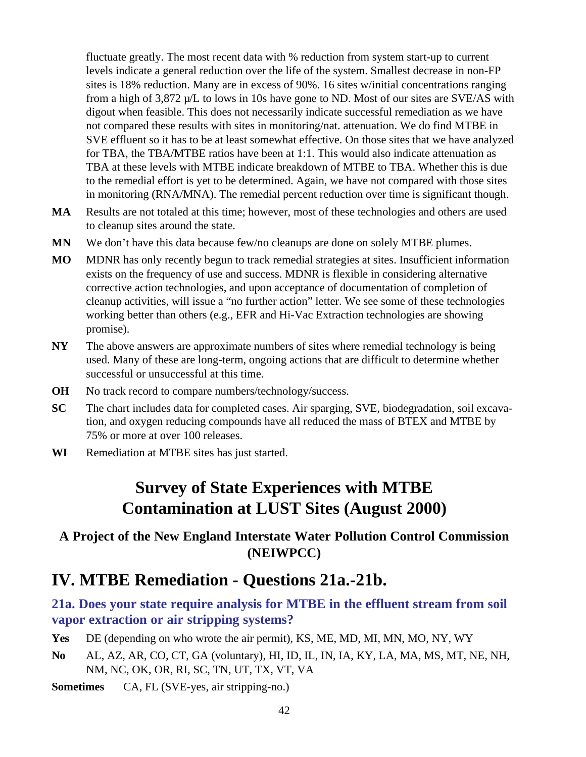fluctuate greatly. The most recent data with % reduction from system start-up to current levels indicate a general reduction over the life of the system. Smallest decrease in non-FP sites is 18% reduction. Many are in excess of 90%. 16 sites w/initial concentrations ranging from a high of 3,872 µ/L to lows in 10s have gone to ND. Most of our sites are SVE/AS with digout when feasible. This does not necessarily indicate successful remediation as we have not compared these results with sites in monitoring/nat. attenuation. We do find MTBE in SVE effluent so it has to be at least somewhat effective. On those sites that we have analyzed for TBA, the TBA/MTBE ratios have been at 1:1. This would also indicate attenuation as TBA at these levels with MTBE indicate breakdown of MTBE to TBA. Whether this is due to the remedial effort is yet to be determined. Again, we have not compared with those sites in monitoring (RNA/MNA). The remedial percent reduction over time is significant though.

- **MA** Results are not totaled at this time; however, most of these technologies and others are used to cleanup sites around the state.
- **MN** We don't have this data because few/no cleanups are done on solely MTBE plumes.
- **MO** MDNR has only recently begun to track remedial strategies at sites. Insufficient information exists on the frequency of use and success. MDNR is flexible in considering alternative corrective action technologies, and upon acceptance of documentation of completion of cleanup activities, will issue a "no further action" letter. We see some of these technologies working better than others (e.g., EFR and Hi-Vac Extraction technologies are showing promise).
- **NY** The above answers are approximate numbers of sites where remedial technology is being used. Many of these are long-term, ongoing actions that are difficult to determine whether successful or unsuccessful at this time.
- **OH** No track record to compare numbers/technology/success.
- **SC** The chart includes data for completed cases. Air sparging, SVE, biodegradation, soil excavation, and oxygen reducing compounds have all reduced the mass of BTEX and MTBE by 75% or more at over 100 releases.
- **WI** Remediation at MTBE sites has just started.

## **Survey of State Experiences with MTBE Contamination at LUST Sites (August 2000)**

### **A Project of the New England Interstate Water Pollution Control Commission (NEIWPCC)**

## **IV. MTBE Remediation - Questions 21a.-21b.**

### **21a. Does your state require analysis for MTBE in the effluent stream from soil vapor extraction or air stripping systems?**

- **Yes** DE (depending on who wrote the air permit), KS, ME, MD, MI, MN, MO, NY, WY
- **No** AL, AZ, AR, CO, CT, GA (voluntary), HI, ID, IL, IN, IA, KY, LA, MA, MS, MT, NE, NH, NM, NC, OK, OR, RI, SC, TN, UT, TX, VT, VA
- **Sometimes** CA, FL (SVE-yes, air stripping-no.)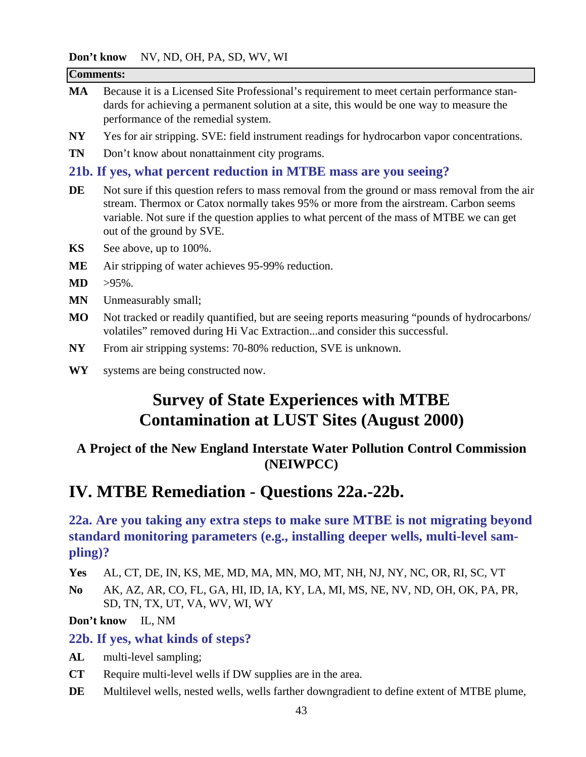**p<sup>3</sup>t know** NV ND, OH, PA, SD, WV, WI

|                | <b>Don't know</b> $NV$ , ND, OH, PA, SD, WV, WI                                                                                                                                                                                                                                                                 |
|----------------|-----------------------------------------------------------------------------------------------------------------------------------------------------------------------------------------------------------------------------------------------------------------------------------------------------------------|
|                | <b>Comments:</b>                                                                                                                                                                                                                                                                                                |
| <b>MA</b>      | Because it is a Licensed Site Professional's requirement to meet certain performance stan-<br>dards for achieving a permanent solution at a site, this would be one way to measure the<br>performance of the remedial system.                                                                                   |
| NY             | Yes for air stripping. SVE: field instrument readings for hydrocarbon vapor concentrations.                                                                                                                                                                                                                     |
| <b>TN</b>      | Don't know about nonattainment city programs.                                                                                                                                                                                                                                                                   |
|                | 21b. If yes, what percent reduction in MTBE mass are you seeing?                                                                                                                                                                                                                                                |
| DE             | Not sure if this question refers to mass removal from the ground or mass removal from the air<br>stream. Thermox or Catox normally takes 95% or more from the airstream. Carbon seems<br>variable. Not sure if the question applies to what percent of the mass of MTBE we can get<br>out of the ground by SVE. |
| <b>KS</b>      | See above, up to 100%.                                                                                                                                                                                                                                                                                          |
| <b>ME</b>      | Air stripping of water achieves 95-99% reduction.                                                                                                                                                                                                                                                               |
| <b>MD</b>      | $>95\%$ .                                                                                                                                                                                                                                                                                                       |
| <b>MN</b>      | Unmeasurably small;                                                                                                                                                                                                                                                                                             |
| M <sub>O</sub> | Not tracked or readily quantified, but are seeing reports measuring "pounds of hydrocarbons/<br>volatiles" removed during Hi Vac Extractionand consider this successful.                                                                                                                                        |
| <b>NY</b>      | From air stripping systems: 70-80% reduction, SVE is unknown.                                                                                                                                                                                                                                                   |
| <b>WY</b>      | systems are being constructed now.                                                                                                                                                                                                                                                                              |
|                | <b>Survey of State Experiences with MTBE</b><br><b>Contamination at LUST Sites (August 2000)</b>                                                                                                                                                                                                                |

### **A Project of the New England Interstate Water Pollution Control Commission (NEIWPCC)**

## **IV. MTBE Remediation - Questions 22a.-22b.**

**22a. Are you taking any extra steps to make sure MTBE is not migrating beyond standard monitoring parameters (e.g., installing deeper wells, multi-level sampling)?**

**Yes** AL, CT, DE, IN, KS, ME, MD, MA, MN, MO, MT, NH, NJ, NY, NC, OR, RI, SC, VT

**No** AK, AZ, AR, CO, FL, GA, HI, ID, IA, KY, LA, MI, MS, NE, NV, ND, OH, OK, PA, PR, SD, TN, TX, UT, VA, WV, WI, WY

**Don't know** IL, NM

#### **22b. If yes, what kinds of steps?**

- **AL** multi-level sampling;
- **CT** Require multi-level wells if DW supplies are in the area.
- **DE** Multilevel wells, nested wells, wells farther downgradient to define extent of MTBE plume,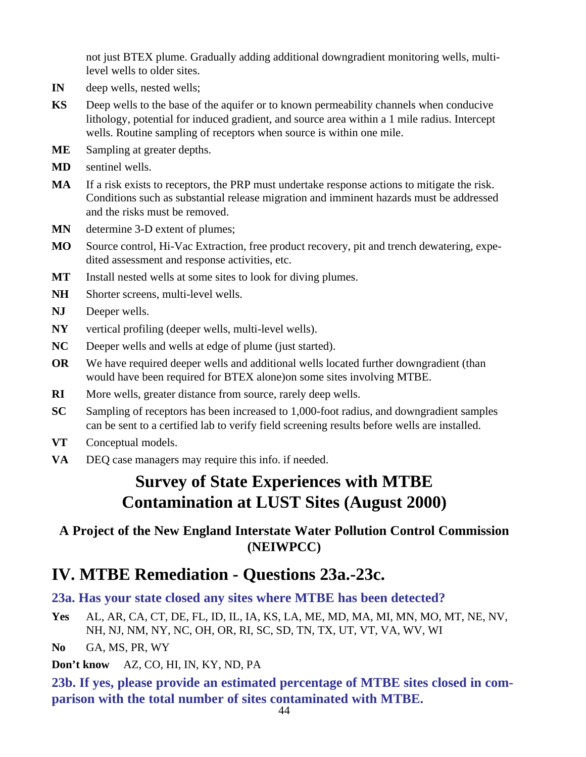not just BTEX plume. Gradually adding additional downgradient monitoring wells, multilevel wells to older sites.

- **IN** deep wells, nested wells;
- **KS** Deep wells to the base of the aquifer or to known permeability channels when conducive lithology, potential for induced gradient, and source area within a 1 mile radius. Intercept wells. Routine sampling of receptors when source is within one mile.
- **ME** Sampling at greater depths.
- **MD** sentinel wells.
- **MA** If a risk exists to receptors, the PRP must undertake response actions to mitigate the risk. Conditions such as substantial release migration and imminent hazards must be addressed and the risks must be removed.
- **MN** determine 3-D extent of plumes;
- **MO** Source control, Hi-Vac Extraction, free product recovery, pit and trench dewatering, expedited assessment and response activities, etc.
- **MT** Install nested wells at some sites to look for diving plumes.
- **NH** Shorter screens, multi-level wells.
- **NJ** Deeper wells.
- **NY** vertical profiling (deeper wells, multi-level wells).
- **NC** Deeper wells and wells at edge of plume (just started).
- **OR** We have required deeper wells and additional wells located further downgradient (than would have been required for BTEX alone)on some sites involving MTBE.
- **RI** More wells, greater distance from source, rarely deep wells.
- **SC** Sampling of receptors has been increased to 1,000-foot radius, and downgradient samples can be sent to a certified lab to verify field screening results before wells are installed.
- **VT** Conceptual models.
- **VA** DEQ case managers may require this info. if needed.

## **Survey of State Experiences with MTBE Contamination at LUST Sites (August 2000)**

### **A Project of the New England Interstate Water Pollution Control Commission (NEIWPCC)**

## **IV. MTBE Remediation - Questions 23a.-23c.**

### **23a. Has your state closed any sites where MTBE has been detected?**

**Yes** AL, AR, CA, CT, DE, FL, ID, IL, IA, KS, LA, ME, MD, MA, MI, MN, MO, MT, NE, NV, NH, NJ, NM, NY, NC, OH, OR, RI, SC, SD, TN, TX, UT, VT, VA, WV, WI

**No** GA, MS, PR, WY

**Don't know** AZ, CO, HI, IN, KY, ND, PA

**23b. If yes, please provide an estimated percentage of MTBE sites closed in comparison with the total number of sites contaminated with MTBE.**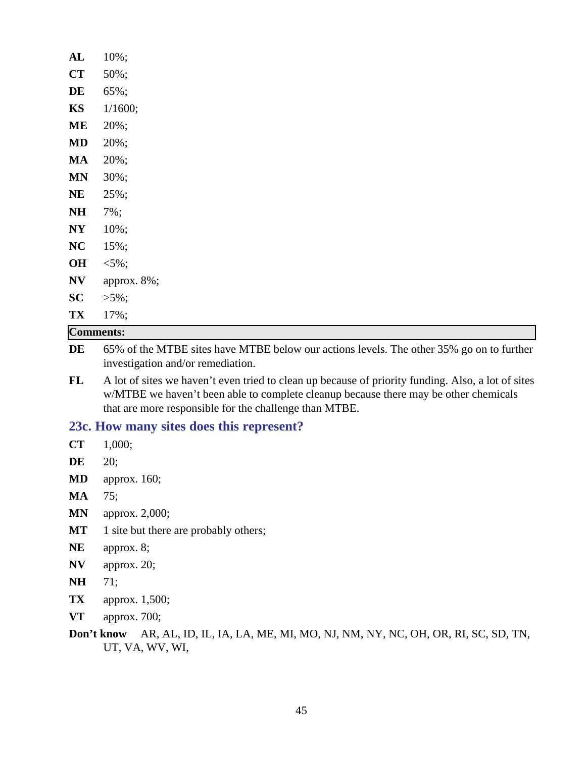| AL             | $10\%$ ;         |  |  |
|----------------|------------------|--|--|
| CT             | 50%;             |  |  |
| DE             | 65%;             |  |  |
| KS             | 1/1600;          |  |  |
| <b>ME</b>      | 20%;             |  |  |
| MD             | 20%;             |  |  |
| <b>MA</b>      | 20%;             |  |  |
| <b>MN</b>      | 30%;             |  |  |
| <b>NE</b>      | 25%;             |  |  |
| N <sub>H</sub> | 7%;              |  |  |
| N <sub>Y</sub> | 10%;             |  |  |
| NC             | 15%;             |  |  |
| OH             | $< 5\%$ ;        |  |  |
| N V            | approx. 8%;      |  |  |
| SC             | $>5\%$ ;         |  |  |
| TX             | 17%;             |  |  |
|                | <b>Comments:</b> |  |  |

**DE** 65% of the MTBE sites have MTBE below our actions levels. The other 35% go on to further investigation and/or remediation.

**FL** A lot of sites we haven't even tried to clean up because of priority funding. Also, a lot of sites w/MTBE we haven't been able to complete cleanup because there may be other chemicals that are more responsible for the challenge than MTBE.

#### **23c. How many sites does this represent?**

- **CT** 1,000;
- **DE** 20;
- **MD** approx. 160;
- **MA** 75;
- **MN** approx. 2,000;
- **MT** 1 site but there are probably others;
- **NE** approx. 8;
- **NV** approx. 20;
- **NH** 71;
- **TX** approx. 1,500;
- **VT** approx. 700;

**Don't know** AR, AL, ID, IL, IA, LA, ME, MI, MO, NJ, NM, NY, NC, OH, OR, RI, SC, SD, TN, UT, VA, WV, WI,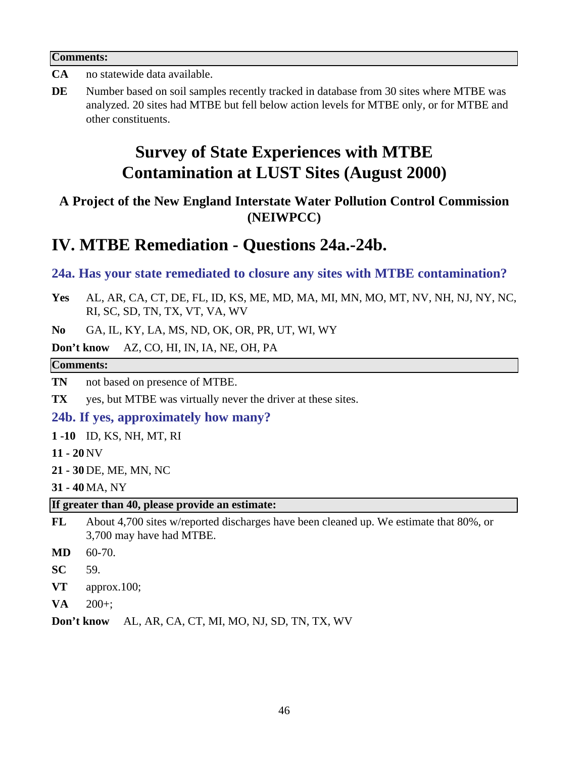#### **Comments:**

- **CA** no statewide data available.
- **DE** Number based on soil samples recently tracked in database from 30 sites where MTBE was analyzed. 20 sites had MTBE but fell below action levels for MTBE only, or for MTBE and other constituents.

## **Survey of State Experiences with MTBE Contamination at LUST Sites (August 2000)**

### **A Project of the New England Interstate Water Pollution Control Commission (NEIWPCC)**

## **IV. MTBE Remediation - Questions 24a.-24b.**

#### **24a. Has your state remediated to closure any sites with MTBE contamination?**

**Yes** AL, AR, CA, CT, DE, FL, ID, KS, ME, MD, MA, MI, MN, MO, MT, NV, NH, NJ, NY, NC, RI, SC, SD, TN, TX, VT, VA, WV

**No** GA, IL, KY, LA, MS, ND, OK, OR, PR, UT, WI, WY

**Don't know** AZ, CO, HI, IN, IA, NE, OH, PA

#### **Comments:**

**TN** not based on presence of MTBE.

**TX** yes, but MTBE was virtually never the driver at these sites.

#### **24b. If yes, approximately how many?**

**1 -10** ID, KS, NH, MT, RI

- **11 20** NV
- **21 30** DE, ME, MN, NC

**31 - 40** MA, NY

**If greater than 40, please provide an estimate:**

- **FL** About 4,700 sites w/reported discharges have been cleaned up. We estimate that 80%, or 3,700 may have had MTBE.
- **MD** 60-70.
- **SC** 59.
- **VT** approx.100;
- **VA** 200+;

**Don't know** AL, AR, CA, CT, MI, MO, NJ, SD, TN, TX, WV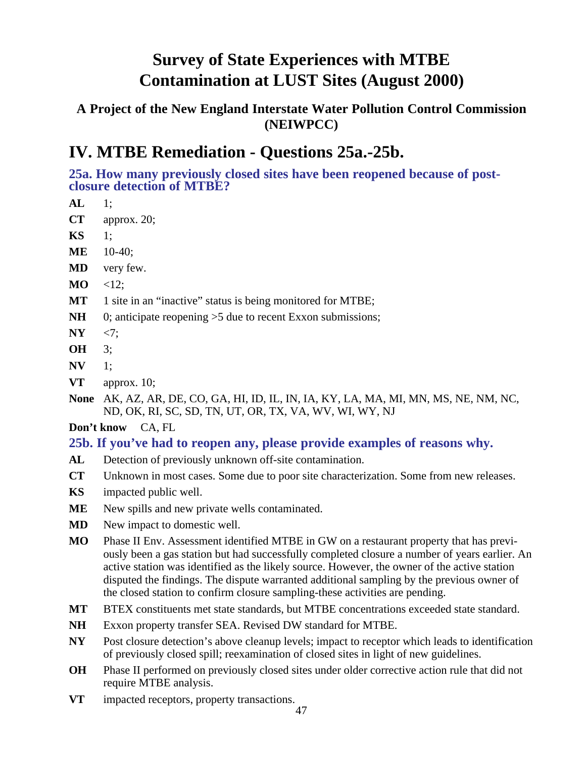### **A Project of the New England Interstate Water Pollution Control Commission (NEIWPCC)**

## **IV. MTBE Remediation - Questions 25a.-25b.**

**25a. How many previously closed sites have been reopened because of postclosure detection of MTBE?**

- **AL** 1; **CT** approx. 20;
- **KS** 1;
- **ME** 10-40;
- **MD** very few.
- **MO**  $\leq 12$ ;
- **MT** 1 site in an "inactive" status is being monitored for MTBE;
- **NH** 0; anticipate reopening >5 due to recent Exxon submissions;
- **NY** <7;
- **OH** 3;
- **NV** 1;
- **VT** approx. 10;

**None** AK, AZ, AR, DE, CO, GA, HI, ID, IL, IN, IA, KY, LA, MA, MI, MN, MS, NE, NM, NC, ND, OK, RI, SC, SD, TN, UT, OR, TX, VA, WV, WI, WY, NJ

### **Don't know** CA, FL

### **25b. If you've had to reopen any, please provide examples of reasons why.**

- **AL** Detection of previously unknown off-site contamination.
- **CT** Unknown in most cases. Some due to poor site characterization. Some from new releases.
- **KS** impacted public well.
- **ME** New spills and new private wells contaminated.
- **MD** New impact to domestic well.
- **MO** Phase II Env. Assessment identified MTBE in GW on a restaurant property that has previously been a gas station but had successfully completed closure a number of years earlier. An active station was identified as the likely source. However, the owner of the active station disputed the findings. The dispute warranted additional sampling by the previous owner of the closed station to confirm closure sampling-these activities are pending.
- **MT** BTEX constituents met state standards, but MTBE concentrations exceeded state standard.
- **NH** Exxon property transfer SEA. Revised DW standard for MTBE.
- **NY** Post closure detection's above cleanup levels; impact to receptor which leads to identification of previously closed spill; reexamination of closed sites in light of new guidelines.
- **OH** Phase II performed on previously closed sites under older corrective action rule that did not require MTBE analysis.
- **VT** impacted receptors, property transactions.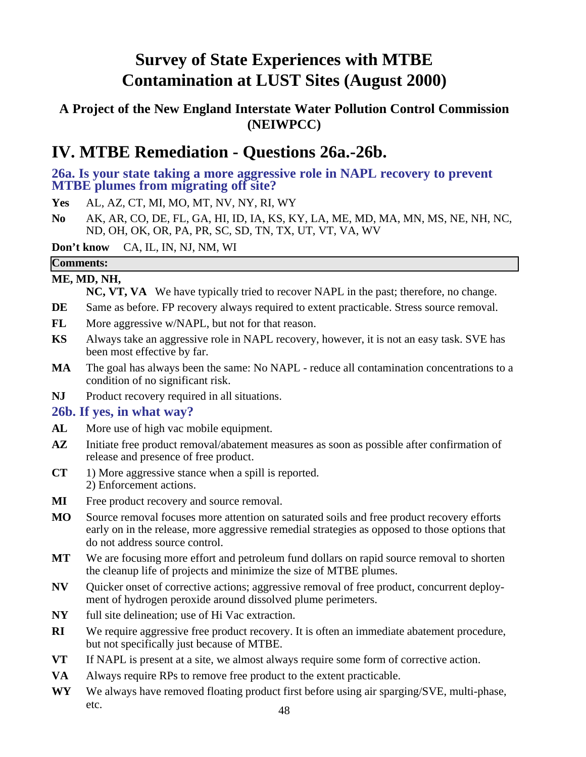### **A Project of the New England Interstate Water Pollution Control Commission (NEIWPCC)**

## **IV. MTBE Remediation - Questions 26a.-26b.**

**26a. Is your state taking a more aggressive role in NAPL recovery to prevent MTBE plumes from migrating off site?**

**Yes** AL, AZ, CT, MI, MO, MT, NV, NY, RI, WY

**No** AK, AR, CO, DE, FL, GA, HI, ID, IA, KS, KY, LA, ME, MD, MA, MN, MS, NE, NH, NC, ND, OH, OK, OR, PA, PR, SC, SD, TN, TX, UT, VT, VA, WV

**Don't know** CA, IL, IN, NJ, NM, WI

### **Comments:**

**ME, MD, NH,**

**NC, VT, VA** We have typically tried to recover NAPL in the past; therefore, no change.

- **DE** Same as before. FP recovery always required to extent practicable. Stress source removal.
- **FL** More aggressive w/NAPL, but not for that reason.
- **KS** Always take an aggressive role in NAPL recovery, however, it is not an easy task. SVE has been most effective by far.
- **MA** The goal has always been the same: No NAPL reduce all contamination concentrations to a condition of no significant risk.
- **NJ** Product recovery required in all situations.

#### **26b. If yes, in what way?**

- AL More use of high vac mobile equipment.
- AZ Initiate free product removal/abatement measures as soon as possible after confirmation of release and presence of free product.
- **CT** 1) More aggressive stance when a spill is reported. 2) Enforcement actions.
- **MI** Free product recovery and source removal.
- **MO** Source removal focuses more attention on saturated soils and free product recovery efforts early on in the release, more aggressive remedial strategies as opposed to those options that do not address source control.
- **MT** We are focusing more effort and petroleum fund dollars on rapid source removal to shorten the cleanup life of projects and minimize the size of MTBE plumes.
- **NV** Quicker onset of corrective actions; aggressive removal of free product, concurrent deployment of hydrogen peroxide around dissolved plume perimeters.
- **NY** full site delineation; use of Hi Vac extraction.
- **RI** We require aggressive free product recovery. It is often an immediate abatement procedure, but not specifically just because of MTBE.
- **VT** If NAPL is present at a site, we almost always require some form of corrective action.
- **VA** Always require RPs to remove free product to the extent practicable.
- **WY** We always have removed floating product first before using air sparging/SVE, multi-phase, etc.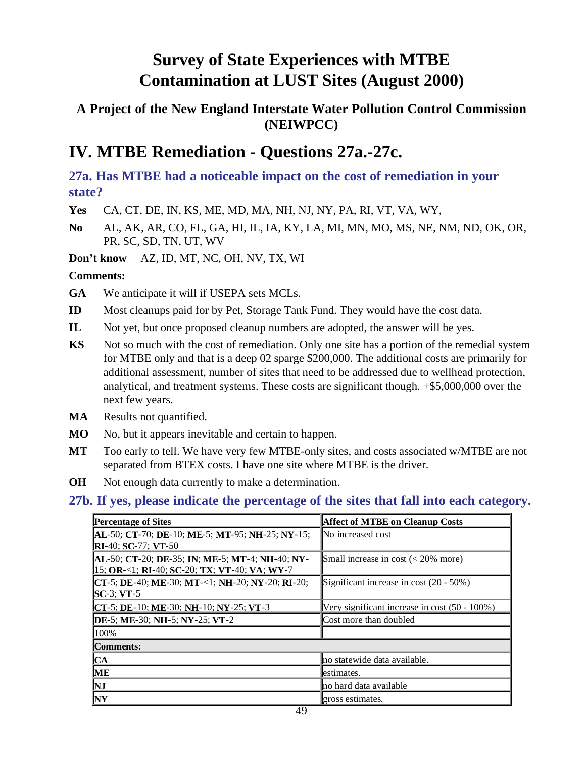### **A Project of the New England Interstate Water Pollution Control Commission (NEIWPCC)**

## **IV. MTBE Remediation - Questions 27a.-27c.**

**27a. Has MTBE had a noticeable impact on the cost of remediation in your state?**

**Yes** CA, CT, DE, IN, KS, ME, MD, MA, NH, NJ, NY, PA, RI, VT, VA, WY,

**No** AL, AK, AR, CO, FL, GA, HI, IL, IA, KY, LA, MI, MN, MO, MS, NE, NM, ND, OK, OR, PR, SC, SD, TN, UT, WV

**Don't know** AZ, ID, MT, NC, OH, NV, TX, WI

#### **Comments:**

**GA** We anticipate it will if USEPA sets MCLs.

- **ID** Most cleanups paid for by Pet, Storage Tank Fund. They would have the cost data.
- **IL** Not yet, but once proposed cleanup numbers are adopted, the answer will be yes.
- **KS** Not so much with the cost of remediation. Only one site has a portion of the remedial system for MTBE only and that is a deep 02 sparge \$200,000. The additional costs are primarily for additional assessment, number of sites that need to be addressed due to wellhead protection, analytical, and treatment systems. These costs are significant though. +\$5,000,000 over the next few years.
- **MA** Results not quantified.
- **MO** No, but it appears inevitable and certain to happen.
- **MT** Too early to tell. We have very few MTBE-only sites, and costs associated w/MTBE are not separated from BTEX costs. I have one site where MTBE is the driver.
- **OH** Not enough data currently to make a determination.

#### **27b. If yes, please indicate the percentage of the sites that fall into each category.**

| <b>Percentage of Sites</b>                                                                                | <b>Affect of MTBE on Cleanup Costs</b>        |
|-----------------------------------------------------------------------------------------------------------|-----------------------------------------------|
| AL-50; CT-70; DE-10; ME-5; MT-95; NH-25; NY-15;<br><b>RI</b> -40; <b>SC</b> -77; <b>VT</b> -50            | No increased cost                             |
| <b>AL-50; CT-20; DE-35; IN; ME-5; MT-4; NH-40; NY-</b><br>$15$ ; OR-<1; RI-40; SC-20; TX; VT-40; VA; WY-7 | Small increase in cost $(< 20\%$ more)        |
| CT-5; DE-40; ME-30; MT-<1; NH-20; NY-20; RI-20;<br>$SC-3$ ; VT-5                                          | Significant increase in cost $(20 - 50\%)$    |
| CT-5; DE-10; ME-30; NH-10; NY-25; VT-3                                                                    | Very significant increase in cost (50 - 100%) |
| DE-5; ME-30; NH-5; NY-25; VT-2                                                                            | Cost more than doubled                        |
| 100%                                                                                                      |                                               |
| <b>Comments:</b>                                                                                          |                                               |
| $ICA$                                                                                                     | no statewide data available.                  |
| <b>ME</b>                                                                                                 | estimates.                                    |
| NJ                                                                                                        | no hard data available                        |
| <b>NY</b>                                                                                                 | gross estimates.                              |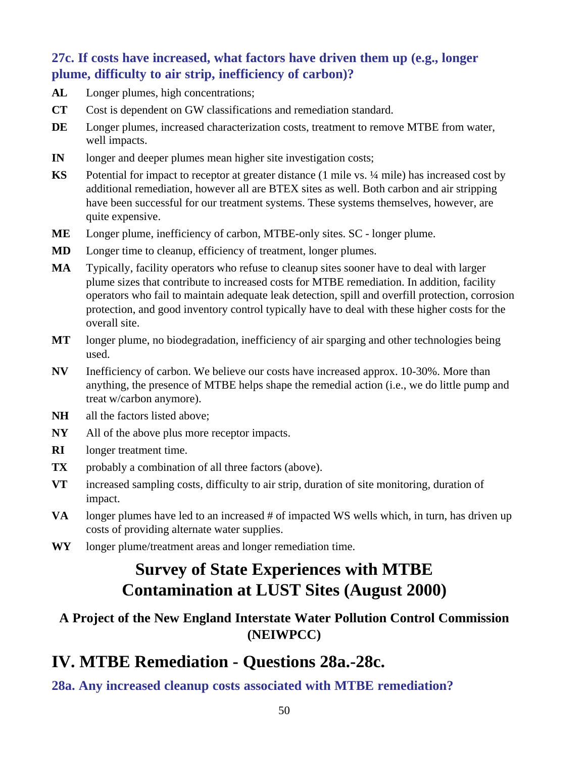### **27c. If costs have increased, what factors have driven them up (e.g., longer plume, difficulty to air strip, inefficiency of carbon)?**

- **AL** Longer plumes, high concentrations;
- **CT** Cost is dependent on GW classifications and remediation standard.
- **DE** Longer plumes, increased characterization costs, treatment to remove MTBE from water, well impacts.
- **IN** longer and deeper plumes mean higher site investigation costs;
- **KS** Potential for impact to receptor at greater distance (1 mile vs. ¼ mile) has increased cost by additional remediation, however all are BTEX sites as well. Both carbon and air stripping have been successful for our treatment systems. These systems themselves, however, are quite expensive.
- **ME** Longer plume, inefficiency of carbon, MTBE-only sites. SC longer plume.
- **MD** Longer time to cleanup, efficiency of treatment, longer plumes.
- **MA** Typically, facility operators who refuse to cleanup sites sooner have to deal with larger plume sizes that contribute to increased costs for MTBE remediation. In addition, facility operators who fail to maintain adequate leak detection, spill and overfill protection, corrosion protection, and good inventory control typically have to deal with these higher costs for the overall site.
- **MT** longer plume, no biodegradation, inefficiency of air sparging and other technologies being used.
- **NV** Inefficiency of carbon. We believe our costs have increased approx. 10-30%. More than anything, the presence of MTBE helps shape the remedial action (i.e., we do little pump and treat w/carbon anymore).
- **NH** all the factors listed above;
- **NY** All of the above plus more receptor impacts.
- **RI** longer treatment time.
- **TX** probably a combination of all three factors (above).
- **VT** increased sampling costs, difficulty to air strip, duration of site monitoring, duration of impact.
- **VA** longer plumes have led to an increased # of impacted WS wells which, in turn, has driven up costs of providing alternate water supplies.
- **WY** longer plume/treatment areas and longer remediation time.

# **Survey of State Experiences with MTBE Contamination at LUST Sites (August 2000)**

### **A Project of the New England Interstate Water Pollution Control Commission (NEIWPCC)**

## **IV. MTBE Remediation - Questions 28a.-28c.**

**28a. Any increased cleanup costs associated with MTBE remediation?**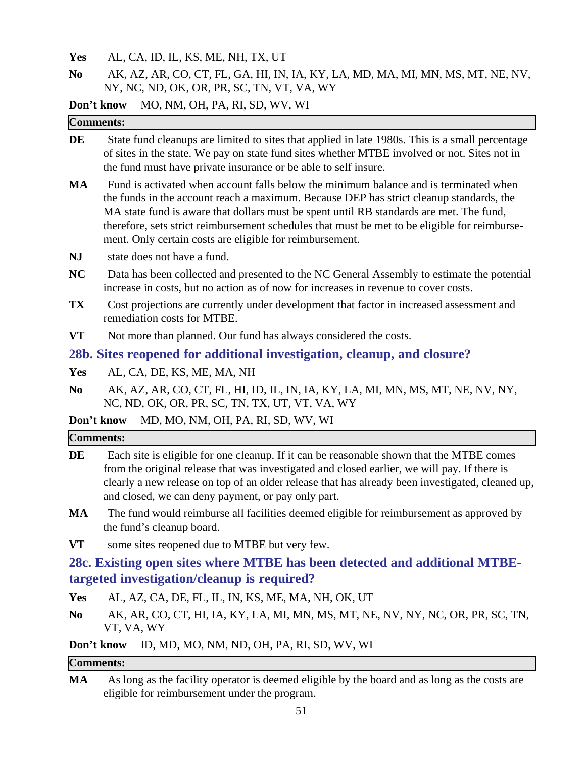**Yes** AL, CA, ID, IL, KS, ME, NH, TX, UT

**No** AK, AZ, AR, CO, CT, FL, GA, HI, IN, IA, KY, LA, MD, MA, MI, MN, MS, MT, NE, NV, NY, NC, ND, OK, OR, PR, SC, TN, VT, VA, WY

**Don't know** MO, NM, OH, PA, RI, SD, WV, WI

|                | <b>Comments:</b>                                                                                                                                                                                                                                                                                                                                                                                                                         |
|----------------|------------------------------------------------------------------------------------------------------------------------------------------------------------------------------------------------------------------------------------------------------------------------------------------------------------------------------------------------------------------------------------------------------------------------------------------|
| DE             | State fund cleanups are limited to sites that applied in late 1980s. This is a small percentage<br>of sites in the state. We pay on state fund sites whether MTBE involved or not. Sites not in<br>the fund must have private insurance or be able to self insure.                                                                                                                                                                       |
| <b>MA</b>      | Fund is activated when account falls below the minimum balance and is terminated when<br>the funds in the account reach a maximum. Because DEP has strict cleanup standards, the<br>MA state fund is aware that dollars must be spent until RB standards are met. The fund,<br>therefore, sets strict reimbursement schedules that must be met to be eligible for reimburse-<br>ment. Only certain costs are eligible for reimbursement. |
| <b>NJ</b>      | state does not have a fund.                                                                                                                                                                                                                                                                                                                                                                                                              |
| <b>NC</b>      | Data has been collected and presented to the NC General Assembly to estimate the potential<br>increase in costs, but no action as of now for increases in revenue to cover costs.                                                                                                                                                                                                                                                        |
| TX             | Cost projections are currently under development that factor in increased assessment and<br>remediation costs for MTBE.                                                                                                                                                                                                                                                                                                                  |
| <b>VT</b>      | Not more than planned. Our fund has always considered the costs.                                                                                                                                                                                                                                                                                                                                                                         |
|                | 28b. Sites reopened for additional investigation, cleanup, and closure?                                                                                                                                                                                                                                                                                                                                                                  |
| Yes            | AL, CA, DE, KS, ME, MA, NH                                                                                                                                                                                                                                                                                                                                                                                                               |
| N <sub>0</sub> | AK, AZ, AR, CO, CT, FL, HI, ID, IL, IN, IA, KY, LA, MI, MN, MS, MT, NE, NV, NY,<br>NC, ND, OK, OR, PR, SC, TN, TX, UT, VT, VA, WY                                                                                                                                                                                                                                                                                                        |
|                | MD, MO, NM, OH, PA, RI, SD, WV, WI<br>Don't know                                                                                                                                                                                                                                                                                                                                                                                         |
|                | <b>Comments:</b>                                                                                                                                                                                                                                                                                                                                                                                                                         |
| DE             | Each site is eligible for one cleanup. If it can be reasonable shown that the MTBE comes<br>from the original release that was investigated and closed earlier, we will pay. If there is<br>clearly a new release on top of an older release that has already been investigated, cleaned up,<br>and closed, we can deny payment, or pay only part.                                                                                       |
| <b>MA</b>      | The fund would reimburse all facilities deemed eligible for reimbursement as approved by<br>the fund's cleanup board.                                                                                                                                                                                                                                                                                                                    |
| <b>VT</b>      | some sites reopened due to MTBE but very few.                                                                                                                                                                                                                                                                                                                                                                                            |
|                | 28c. Existing open sites where MTBE has been detected and additional MTBE-                                                                                                                                                                                                                                                                                                                                                               |
|                | targeted investigation/cleanup is required?                                                                                                                                                                                                                                                                                                                                                                                              |

- **Yes** AL, AZ, CA, DE, FL, IL, IN, KS, ME, MA, NH, OK, UT
- **No** AK, AR, CO, CT, HI, IA, KY, LA, MI, MN, MS, MT, NE, NV, NY, NC, OR, PR, SC, TN, VT, VA, WY

**Don't know** ID, MD, MO, NM, ND, OH, PA, RI, SD, WV, WI

#### **Comments:**

**MA** As long as the facility operator is deemed eligible by the board and as long as the costs are eligible for reimbursement under the program.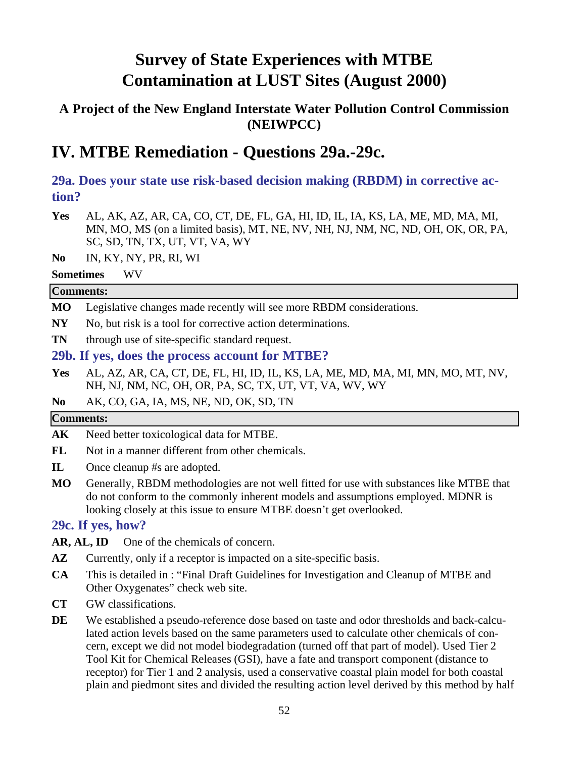### **A Project of the New England Interstate Water Pollution Control Commission (NEIWPCC)**

## **IV. MTBE Remediation - Questions 29a.-29c.**

**29a. Does your state use risk-based decision making (RBDM) in corrective action?**

- **Yes** AL, AK, AZ, AR, CA, CO, CT, DE, FL, GA, HI, ID, IL, IA, KS, LA, ME, MD, MA, MI, MN, MO, MS (on a limited basis), MT, NE, NV, NH, NJ, NM, NC, ND, OH, OK, OR, PA, SC, SD, TN, TX, UT, VT, VA, WY
- **No** IN, KY, NY, PR, RI, WI
- **Sometimes** WV

#### **Comments:**

- **MO** Legislative changes made recently will see more RBDM considerations.
- NY No, but risk is a tool for corrective action determinations.
- **TN** through use of site-specific standard request.

#### **29b. If yes, does the process account for MTBE?**

- **Yes** AL, AZ, AR, CA, CT, DE, FL, HI, ID, IL, KS, LA, ME, MD, MA, MI, MN, MO, MT, NV, NH, NJ, NM, NC, OH, OR, PA, SC, TX, UT, VT, VA, WV, WY
- **No** AK, CO, GA, IA, MS, NE, ND, OK, SD, TN

#### **Comments:**

- AK Need better toxicological data for MTBE.
- FL Not in a manner different from other chemicals.
- **IL** Once cleanup #s are adopted.
- **MO** Generally, RBDM methodologies are not well fitted for use with substances like MTBE that do not conform to the commonly inherent models and assumptions employed. MDNR is looking closely at this issue to ensure MTBE doesn't get overlooked.

#### **29c. If yes, how?**

AR, AL, ID One of the chemicals of concern.

- **AZ** Currently, only if a receptor is impacted on a site-specific basis.
- **CA** This is detailed in : "Final Draft Guidelines for Investigation and Cleanup of MTBE and Other Oxygenates" check web site.
- **CT** GW classifications.
- **DE** We established a pseudo-reference dose based on taste and odor thresholds and back-calculated action levels based on the same parameters used to calculate other chemicals of concern, except we did not model biodegradation (turned off that part of model). Used Tier 2 Tool Kit for Chemical Releases (GSI), have a fate and transport component (distance to receptor) for Tier 1 and 2 analysis, used a conservative coastal plain model for both coastal plain and piedmont sites and divided the resulting action level derived by this method by half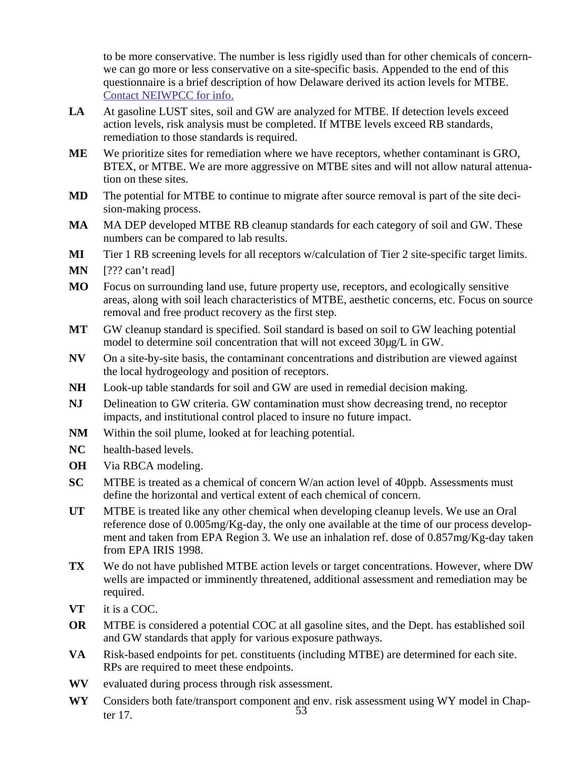to be more conservative. The number is less rigidly used than for other chemicals of concernwe can go more or less conservative on a site-specific basis. Appended to the end of this questionnaire is a brief description of how Delaware derived its action levels for MTBE. Contact NEIWPCC for info.

- LA At gasoline LUST sites, soil and GW are analyzed for MTBE. If detection levels exceed action levels, risk analysis must be completed. If MTBE levels exceed RB standards, remediation to those standards is required.
- **ME** We prioritize sites for remediation where we have receptors, whether contaminant is GRO, BTEX, or MTBE. We are more aggressive on MTBE sites and will not allow natural attenuation on these sites.
- **MD** The potential for MTBE to continue to migrate after source removal is part of the site decision-making process.
- **MA** MA DEP developed MTBE RB cleanup standards for each category of soil and GW. These numbers can be compared to lab results.
- **MI** Tier 1 RB screening levels for all receptors w/calculation of Tier 2 site-specific target limits.
- **MN** [??? can't read]
- **MO** Focus on surrounding land use, future property use, receptors, and ecologically sensitive areas, along with soil leach characteristics of MTBE, aesthetic concerns, etc. Focus on source removal and free product recovery as the first step.
- **MT** GW cleanup standard is specified. Soil standard is based on soil to GW leaching potential model to determine soil concentration that will not exceed 30µg/L in GW.
- **NV** On a site-by-site basis, the contaminant concentrations and distribution are viewed against the local hydrogeology and position of receptors.
- **NH** Look-up table standards for soil and GW are used in remedial decision making.
- **NJ** Delineation to GW criteria. GW contamination must show decreasing trend, no receptor impacts, and institutional control placed to insure no future impact.
- **NM** Within the soil plume, looked at for leaching potential.
- **NC** health-based levels.
- **OH** Via RBCA modeling.
- **SC** MTBE is treated as a chemical of concern W/an action level of 40ppb. Assessments must define the horizontal and vertical extent of each chemical of concern.
- **UT** MTBE is treated like any other chemical when developing cleanup levels. We use an Oral reference dose of 0.005mg/Kg-day, the only one available at the time of our process development and taken from EPA Region 3. We use an inhalation ref. dose of 0.857mg/Kg-day taken from EPA IRIS 1998.
- **TX** We do not have published MTBE action levels or target concentrations. However, where DW wells are impacted or imminently threatened, additional assessment and remediation may be required.
- **VT** it is a COC.
- **OR** MTBE is considered a potential COC at all gasoline sites, and the Dept. has established soil and GW standards that apply for various exposure pathways.
- **VA** Risk-based endpoints for pet. constituents (including MTBE) are determined for each site. RPs are required to meet these endpoints.
- **WV** evaluated during process through risk assessment.
- 53 **WY** Considers both fate/transport component and env. risk assessment using WY model in Chapter 17.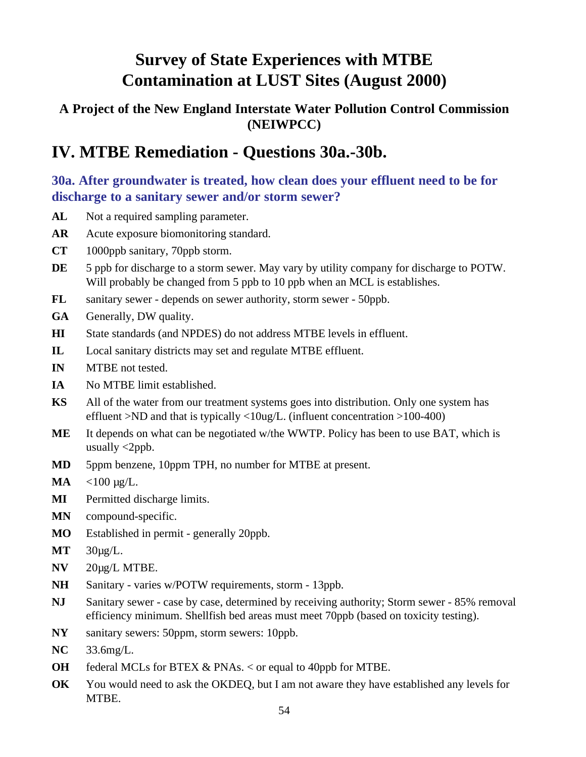### **A Project of the New England Interstate Water Pollution Control Commission (NEIWPCC)**

## **IV. MTBE Remediation - Questions 30a.-30b.**

### **30a. After groundwater is treated, how clean does your effluent need to be for discharge to a sanitary sewer and/or storm sewer?**

- AL Not a required sampling parameter.
- **AR** Acute exposure biomonitoring standard.
- **CT** 1000ppb sanitary, 70ppb storm.
- DE 5 ppb for discharge to a storm sewer. May vary by utility company for discharge to POTW. Will probably be changed from 5 ppb to 10 ppb when an MCL is establishes.
- **FL** sanitary sewer depends on sewer authority, storm sewer 50ppb.
- **GA** Generally, DW quality.
- **HI** State standards (and NPDES) do not address MTBE levels in effluent.
- **IL** Local sanitary districts may set and regulate MTBE effluent.
- **IN** MTBE not tested.
- **IA** No MTBE limit established.
- **KS** All of the water from our treatment systems goes into distribution. Only one system has effluent >ND and that is typically <10ug/L. (influent concentration >100-400)
- **ME** It depends on what can be negotiated w/the WWTP. Policy has been to use BAT, which is usually  $\langle 2ppb.$
- **MD** 5ppm benzene, 10ppm TPH, no number for MTBE at present.
- **MA** <100 µg/L.
- **MI** Permitted discharge limits.
- **MN** compound-specific.
- **MO** Established in permit generally 20ppb.
- **MT** 30µg/L.
- **NV** 20µg/L MTBE.
- **NH** Sanitary varies w/POTW requirements, storm 13ppb.
- **NJ** Sanitary sewer case by case, determined by receiving authority; Storm sewer 85% removal efficiency minimum. Shellfish bed areas must meet 70ppb (based on toxicity testing).
- **NY** sanitary sewers: 50ppm, storm sewers: 10ppb.
- **NC** 33.6mg/L.
- **OH** federal MCLs for BTEX & PNAs. < or equal to 40ppb for MTBE.
- **OK** You would need to ask the OKDEQ, but I am not aware they have established any levels for MTBE.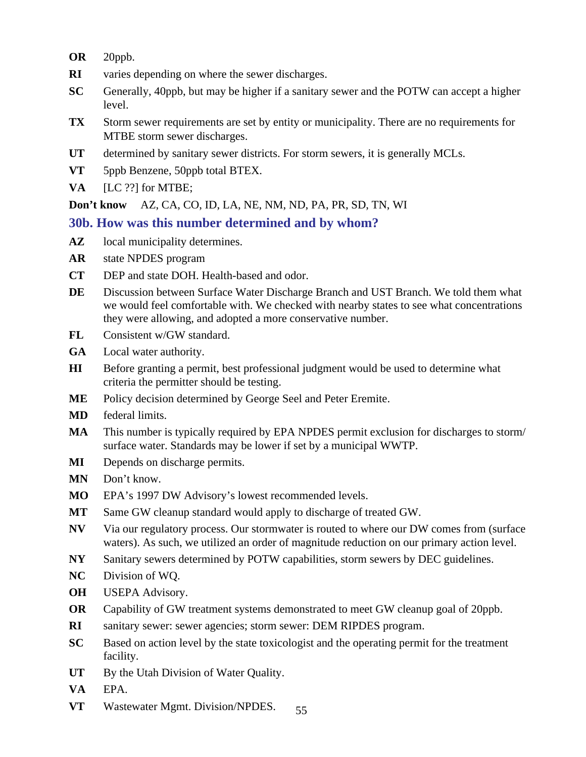- **OR** 20ppb.
- **RI** varies depending on where the sewer discharges.
- **SC** Generally, 40ppb, but may be higher if a sanitary sewer and the POTW can accept a higher level.
- **TX** Storm sewer requirements are set by entity or municipality. There are no requirements for MTBE storm sewer discharges.
- **UT** determined by sanitary sewer districts. For storm sewers, it is generally MCLs.
- **VT** 5ppb Benzene, 50ppb total BTEX.
- **VA** [LC ??] for MTBE;

**Don't know** AZ, CA, CO, ID, LA, NE, NM, ND, PA, PR, SD, TN, WI

#### **30b. How was this number determined and by whom?**

- **AZ** local municipality determines.
- **AR** state NPDES program
- **CT** DEP and state DOH. Health-based and odor.
- **DE** Discussion between Surface Water Discharge Branch and UST Branch. We told them what we would feel comfortable with. We checked with nearby states to see what concentrations they were allowing, and adopted a more conservative number.
- **FL** Consistent w/GW standard.
- **GA** Local water authority.
- **HI** Before granting a permit, best professional judgment would be used to determine what criteria the permitter should be testing.
- **ME** Policy decision determined by George Seel and Peter Eremite.
- **MD** federal limits.
- **MA** This number is typically required by EPA NPDES permit exclusion for discharges to storm/ surface water. Standards may be lower if set by a municipal WWTP.
- **MI** Depends on discharge permits.
- **MN** Don't know.
- **MO** EPA's 1997 DW Advisory's lowest recommended levels.
- **MT** Same GW cleanup standard would apply to discharge of treated GW.
- **NV** Via our regulatory process. Our stormwater is routed to where our DW comes from (surface waters). As such, we utilized an order of magnitude reduction on our primary action level.
- **NY** Sanitary sewers determined by POTW capabilities, storm sewers by DEC guidelines.
- **NC** Division of WQ.
- **OH** USEPA Advisory.
- **OR** Capability of GW treatment systems demonstrated to meet GW cleanup goal of 20ppb.
- **RI** sanitary sewer: sewer agencies; storm sewer: DEM RIPDES program.
- **SC** Based on action level by the state toxicologist and the operating permit for the treatment facility.
- UT By the Utah Division of Water Quality.
- **VA** EPA.
- 55 **VT** Wastewater Mgmt. Division/NPDES.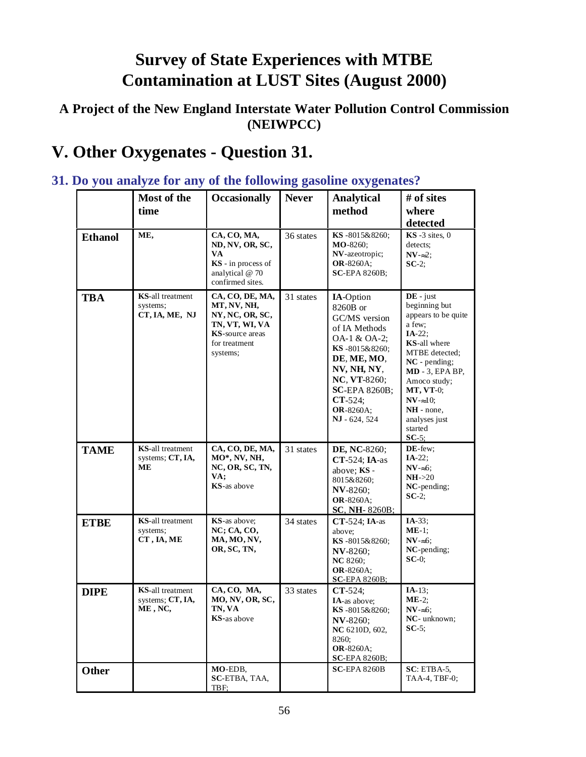### **A Project of the New England Interstate Water Pollution Control Commission (NEIWPCC)**

# **V. Other Oxygenates - Question 31.**

#### **Most of the time Occasionally Never Analytical method # of sites where detected Ethanol** ME, CA, CO, MA, **ND, NV, OR, SC, VA KS** - in process of analytical @ 70 confirmed sites. 36 states **KS** -8015&8260; **MO**-8260; **NV**-azeotropic; **OR**-8260A; **SC**-EPA 8260B; **KS** -3 sites, 0 detects;  $NV =2$ ; **SC**-2; **TBA KS**-all treatment systems; **CT, IA, ME, NJ CA, CO, DE, MA, MT, NV, NH, NY, NC, OR, SC, TN, VT, WI, VA KS**-source areas for treatment systems; 31 states **IA**-Option 8260B or GC/MS version of IA Methods OA-1 & OA-2; **KS** -8015&8260; **DE**, **ME, MO**, **NV, NH, NY**, **NC**, **VT**-8260; **SC**-EPA 8260B; **CT**-524; **OR**-8260A; **NJ** - 624, 524 **DE** - just beginning but appears to be quite a few; **IA**-22; **KS**-all where MTBE detected; **NC** - pending; **MD** - 3, EPA BP, Amoco study; **MT, VT**-0;  $N$ **V**- $\approx$ 10; **NH** - none, analyses just started **SC**-5; **TAME KS**-all treatment systems; **CT, IA, ME CA, CO, DE, MA, MO\*, NV, NH, NC, OR, SC, TN, VA; KS**-as above 31 states **DE, NC**-8260; **CT**-524; **IA**-as above; **KS** - 8015&8260; **NV**-8260; **OR**-8260A; **SC**, **NH**- 8260B; **DE**-few; **IA**-22; **NV**-≈6; **NH**->20 **NC**-pending; **SC**-2; **ETBE KS**-all treatment systems; **CT , IA, ME KS**-as above; **NC; CA, CO, MA, MO, NV, OR, SC, TN,** 34 states **CT**-524; **IA**-as above; **KS** -8015&8260; **NV**-8260; **NC** 8260; **OR**-8260A; **SC**-EPA 8260B; **IA**-33; **ME**-1; **NV**-≈6; **NC**-pending; **SC**-0; **DIPE KS**-all treatment systems; **CT, IA, ME , NC, CA, CO, MA, MO, NV, OR, SC, TN, VA KS-**as above 33 states **CT**-524; **IA**-as above; **KS** -8015&8260; **NV**-8260; **NC** 6210D, 602, 8260; **OR**-8260A; **SC**-EPA 8260B; **IA**-13; **ME**-2; **NV**-≈6; **NC**- unknown; **SC**-5; **Other MO-EDB**, **SC**-ETBA, TAA, TBF; **SC**-EPA 8260B **SC**: ETBA-5, TAA-4, TBF-0;

### **31. Do you analyze for any of the following gasoline oxygenates?**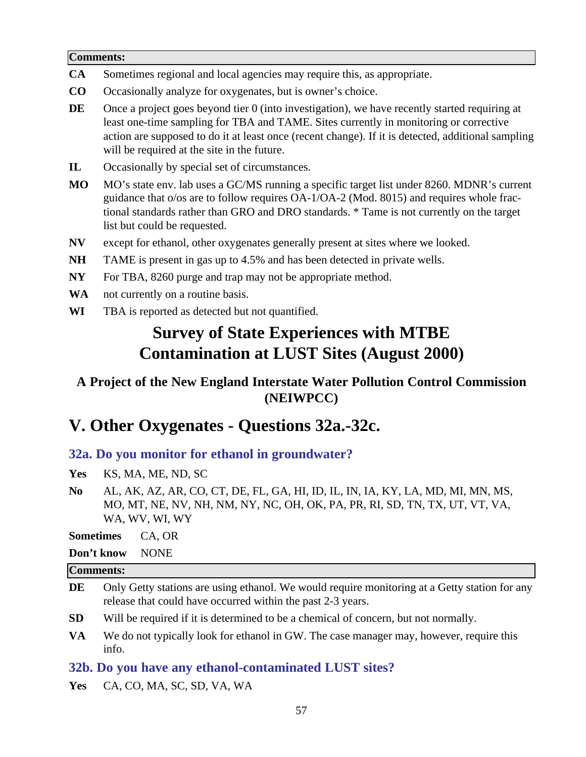#### **Comments:**

- **CA** Sometimes regional and local agencies may require this, as appropriate.
- **CO** Occasionally analyze for oxygenates, but is owner's choice.
- **DE** Once a project goes beyond tier 0 (into investigation), we have recently started requiring at least one-time sampling for TBA and TAME. Sites currently in monitoring or corrective action are supposed to do it at least once (recent change). If it is detected, additional sampling will be required at the site in the future.
- **IL** Occasionally by special set of circumstances.
- **MO** MO's state env. lab uses a GC/MS running a specific target list under 8260. MDNR's current guidance that o/os are to follow requires OA-1/OA-2 (Mod. 8015) and requires whole fractional standards rather than GRO and DRO standards. \* Tame is not currently on the target list but could be requested.
- **NV** except for ethanol, other oxygenates generally present at sites where we looked.
- **NH** TAME is present in gas up to 4.5% and has been detected in private wells.
- **NY** For TBA, 8260 purge and trap may not be appropriate method.
- **WA** not currently on a routine basis.
- **WI** TBA is reported as detected but not quantified.

## **Survey of State Experiences with MTBE Contamination at LUST Sites (August 2000)**

### **A Project of the New England Interstate Water Pollution Control Commission (NEIWPCC)**

## **V. Other Oxygenates - Questions 32a.-32c.**

#### **32a. Do you monitor for ethanol in groundwater?**

- **Yes** KS, MA, ME, ND, SC
- **No** AL, AK, AZ, AR, CO, CT, DE, FL, GA, HI, ID, IL, IN, IA, KY, LA, MD, MI, MN, MS, MO, MT, NE, NV, NH, NM, NY, NC, OH, OK, PA, PR, RI, SD, TN, TX, UT, VT, VA, WA, WV, WI, WY

**Sometimes** CA, OR

**Don't know** NONE

#### **Comments:**

- DE Only Getty stations are using ethanol. We would require monitoring at a Getty station for any release that could have occurred within the past 2-3 years.
- **SD** Will be required if it is determined to be a chemical of concern, but not normally.
- **VA** We do not typically look for ethanol in GW. The case manager may, however, require this info.

#### **32b. Do you have any ethanol-contaminated LUST sites?**

**Yes** CA, CO, MA, SC, SD, VA, WA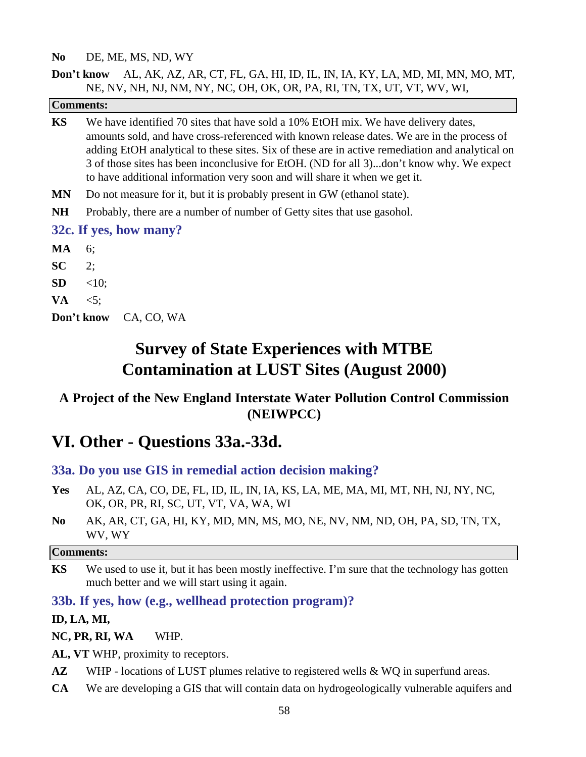#### **No** DE, ME, MS, ND, WY

#### **Don't know** AL, AK, AZ, AR, CT, FL, GA, HI, ID, IL, IN, IA, KY, LA, MD, MI, MN, MO, MT, NE, NV, NH, NJ, NM, NY, NC, OH, OK, OR, PA, RI, TN, TX, UT, VT, WV, WI,

|           | <b>Comments:</b>                                                                                                                                                                                                                                                                                                                                                                                                                                              |
|-----------|---------------------------------------------------------------------------------------------------------------------------------------------------------------------------------------------------------------------------------------------------------------------------------------------------------------------------------------------------------------------------------------------------------------------------------------------------------------|
| <b>KS</b> | We have identified 70 sites that have sold a 10% EtOH mix. We have delivery dates,<br>amounts sold, and have cross-referenced with known release dates. We are in the process of<br>adding EtOH analytical to these sites. Six of these are in active remediation and analytical on<br>3 of those sites has been inconclusive for EtOH. (ND for all 3)don't know why. We expect<br>to have additional information very soon and will share it when we get it. |
| <b>MN</b> | Do not measure for it, but it is probably present in GW (ethanol state).                                                                                                                                                                                                                                                                                                                                                                                      |
| <b>NH</b> | Probably, there are a number of number of Getty sites that use gasohol.                                                                                                                                                                                                                                                                                                                                                                                       |
|           | 32c. If yes, how many?                                                                                                                                                                                                                                                                                                                                                                                                                                        |
| MA        | 6;                                                                                                                                                                                                                                                                                                                                                                                                                                                            |
| <b>SC</b> | 2:                                                                                                                                                                                                                                                                                                                                                                                                                                                            |
| <b>SD</b> | $<10$ ;                                                                                                                                                                                                                                                                                                                                                                                                                                                       |
| VA        | $\leq 5$ ;                                                                                                                                                                                                                                                                                                                                                                                                                                                    |
|           | Don't know<br>CA, CO, WA                                                                                                                                                                                                                                                                                                                                                                                                                                      |
|           |                                                                                                                                                                                                                                                                                                                                                                                                                                                               |

## **Survey of State Experiences with MTBE Contamination at LUST Sites (August 2000)**

### **A Project of the New England Interstate Water Pollution Control Commission (NEIWPCC)**

## **VI. Other - Questions 33a.-33d.**

#### **33a. Do you use GIS in remedial action decision making?**

- **Yes** AL, AZ, CA, CO, DE, FL, ID, IL, IN, IA, KS, LA, ME, MA, MI, MT, NH, NJ, NY, NC, OK, OR, PR, RI, SC, UT, VT, VA, WA, WI
- **No** AK, AR, CT, GA, HI, KY, MD, MN, MS, MO, NE, NV, NM, ND, OH, PA, SD, TN, TX, WV, WY

#### **Comments:**

**KS** We used to use it, but it has been mostly ineffective. I'm sure that the technology has gotten much better and we will start using it again.

#### **33b. If yes, how (e.g., wellhead protection program)?**

#### **ID, LA, MI,**

**NC, PR, RI, WA** WHP.

**AL, VT** WHP, proximity to receptors.

- **AZ** WHP locations of LUST plumes relative to registered wells & WQ in superfund areas.
- **CA** We are developing a GIS that will contain data on hydrogeologically vulnerable aquifers and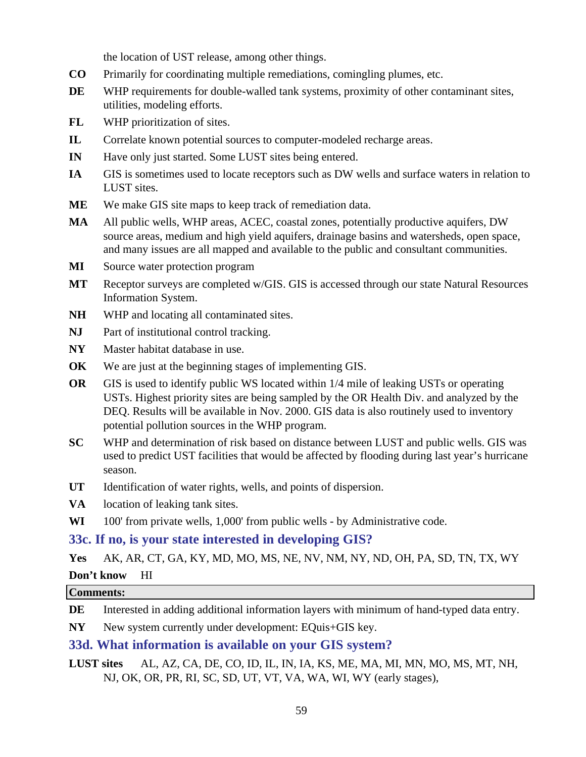the location of UST release, among other things.

- **CO** Primarily for coordinating multiple remediations, comingling plumes, etc.
- **DE** WHP requirements for double-walled tank systems, proximity of other contaminant sites, utilities, modeling efforts.
- **FL** WHP prioritization of sites.
- **IL** Correlate known potential sources to computer-modeled recharge areas.
- **IN** Have only just started. Some LUST sites being entered.
- **IA** GIS is sometimes used to locate receptors such as DW wells and surface waters in relation to LUST sites.
- **ME** We make GIS site maps to keep track of remediation data.
- **MA** All public wells, WHP areas, ACEC, coastal zones, potentially productive aquifers, DW source areas, medium and high yield aquifers, drainage basins and watersheds, open space, and many issues are all mapped and available to the public and consultant communities.
- **MI** Source water protection program
- **MT** Receptor surveys are completed w/GIS. GIS is accessed through our state Natural Resources Information System.
- **NH** WHP and locating all contaminated sites.
- **NJ** Part of institutional control tracking.
- **NY** Master habitat database in use.
- **OK** We are just at the beginning stages of implementing GIS.
- **OR** GIS is used to identify public WS located within 1/4 mile of leaking USTs or operating USTs. Highest priority sites are being sampled by the OR Health Div. and analyzed by the DEQ. Results will be available in Nov. 2000. GIS data is also routinely used to inventory potential pollution sources in the WHP program.
- **SC** WHP and determination of risk based on distance between LUST and public wells. GIS was used to predict UST facilities that would be affected by flooding during last year's hurricane season.
- **UT** Identification of water rights, wells, and points of dispersion.
- **VA** location of leaking tank sites.
- **WI** 100' from private wells, 1,000' from public wells by Administrative code.

#### **33c. If no, is your state interested in developing GIS?**

**Yes** AK, AR, CT, GA, KY, MD, MO, MS, NE, NV, NM, NY, ND, OH, PA, SD, TN, TX, WY

#### **Don't know** HI

#### **Comments:**

**DE** Interested in adding additional information layers with minimum of hand-typed data entry.

**NY** New system currently under development: EQuis+GIS key.

#### **33d. What information is available on your GIS system?**

**LUST sites** AL, AZ, CA, DE, CO, ID, IL, IN, IA, KS, ME, MA, MI, MN, MO, MS, MT, NH, NJ, OK, OR, PR, RI, SC, SD, UT, VT, VA, WA, WI, WY (early stages),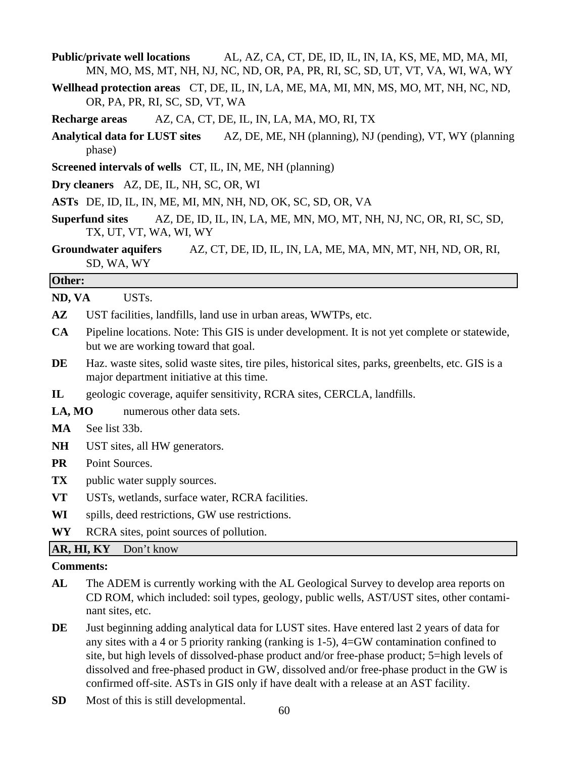- **Public/private well locations** AL, AZ, CA, CT, DE, ID, IL, IN, IA, KS, ME, MD, MA, MI, MN, MO, MS, MT, NH, NJ, NC, ND, OR, PA, PR, RI, SC, SD, UT, VT, VA, WI, WA, WY
- **Wellhead protection areas** CT, DE, IL, IN, LA, ME, MA, MI, MN, MS, MO, MT, NH, NC, ND, OR, PA, PR, RI, SC, SD, VT, WA
- **Recharge areas** AZ, CA, CT, DE, IL, IN, LA, MA, MO, RI, TX
- **Analytical data for LUST sites** AZ, DE, ME, NH (planning), NJ (pending), VT, WY (planning phase)
- **Screened intervals of wells** CT, IL, IN, ME, NH (planning)
- **Dry cleaners** AZ, DE, IL, NH, SC, OR, WI
- **ASTs** DE, ID, IL, IN, ME, MI, MN, NH, ND, OK, SC, SD, OR, VA
- **Superfund sites** AZ, DE, ID, IL, IN, LA, ME, MN, MO, MT, NH, NJ, NC, OR, RI, SC, SD, TX, UT, VT, WA, WI, WY
- **Groundwater aquifers** AZ, CT, DE, ID, IL, IN, LA, ME, MA, MN, MT, NH, ND, OR, RI, SD, WA, WY

#### **Other:**

**ND, VA** USTs.

- **AZ** UST facilities, landfills, land use in urban areas, WWTPs, etc.
- **CA** Pipeline locations. Note: This GIS is under development. It is not yet complete or statewide, but we are working toward that goal.
- **DE** Haz. waste sites, solid waste sites, tire piles, historical sites, parks, greenbelts, etc. GIS is a major department initiative at this time.
- **IL** geologic coverage, aquifer sensitivity, RCRA sites, CERCLA, landfills.
- LA, MO numerous other data sets.
- **MA** See list 33b.
- **NH** UST sites, all HW generators.
- **PR** Point Sources.
- **TX** public water supply sources.
- **VT** USTs, wetlands, surface water, RCRA facilities.
- **WI** spills, deed restrictions, GW use restrictions.

**WY** RCRA sites, point sources of pollution.

AR, HI, KY Don't know

#### **Comments:**

- **AL** The ADEM is currently working with the AL Geological Survey to develop area reports on CD ROM, which included: soil types, geology, public wells, AST/UST sites, other contaminant sites, etc.
- **DE** Just beginning adding analytical data for LUST sites. Have entered last 2 years of data for any sites with a 4 or 5 priority ranking (ranking is 1-5), 4=GW contamination confined to site, but high levels of dissolved-phase product and/or free-phase product; 5=high levels of dissolved and free-phased product in GW, dissolved and/or free-phase product in the GW is confirmed off-site. ASTs in GIS only if have dealt with a release at an AST facility.
- **SD** Most of this is still developmental.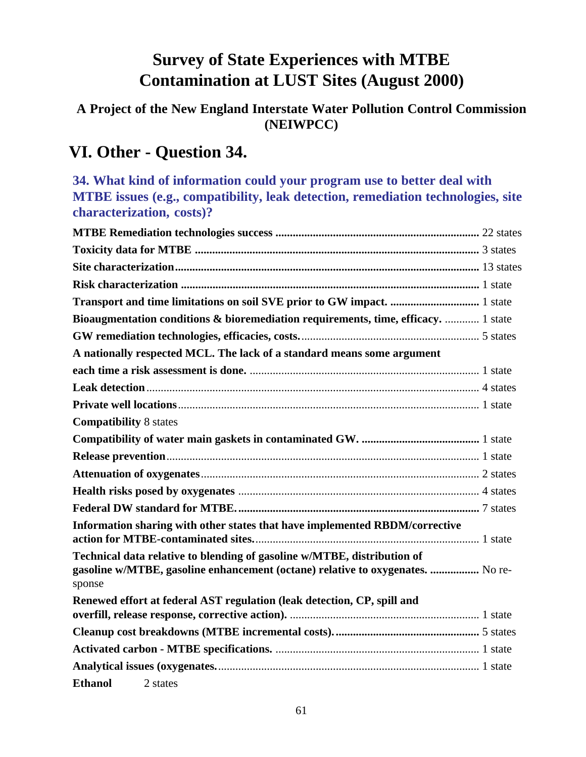## **A Project of the New England Interstate Water Pollution Control Commission (NEIWPCC)**

## **VI. Other - Question 34.**

**34. What kind of information could your program use to better deal with MTBE issues (e.g., compatibility, leak detection, remediation technologies, site characterization, costs)?**

| Bioaugmentation conditions & bioremediation requirements, time, efficacy.  1 state                                                                                  |  |
|---------------------------------------------------------------------------------------------------------------------------------------------------------------------|--|
|                                                                                                                                                                     |  |
| A nationally respected MCL. The lack of a standard means some argument                                                                                              |  |
|                                                                                                                                                                     |  |
|                                                                                                                                                                     |  |
|                                                                                                                                                                     |  |
| <b>Compatibility 8 states</b>                                                                                                                                       |  |
|                                                                                                                                                                     |  |
|                                                                                                                                                                     |  |
|                                                                                                                                                                     |  |
|                                                                                                                                                                     |  |
|                                                                                                                                                                     |  |
| Information sharing with other states that have implemented RBDM/corrective                                                                                         |  |
| Technical data relative to blending of gasoline w/MTBE, distribution of<br>gasoline w/MTBE, gasoline enhancement (octane) relative to oxygenates.  No re-<br>sponse |  |
| Renewed effort at federal AST regulation (leak detection, CP, spill and                                                                                             |  |
|                                                                                                                                                                     |  |
|                                                                                                                                                                     |  |
|                                                                                                                                                                     |  |
| <b>Ethanol</b><br>2 states                                                                                                                                          |  |